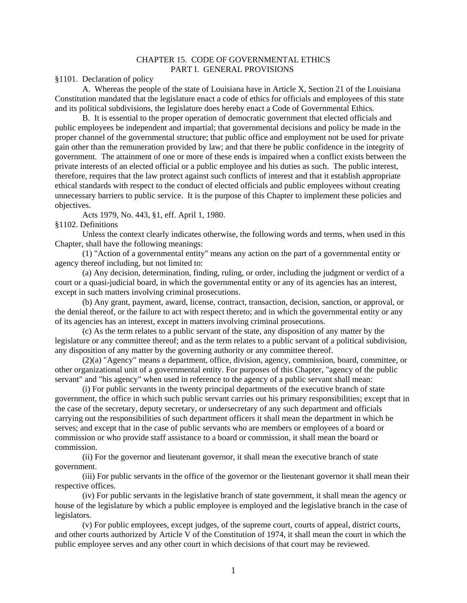#### CHAPTER 15. CODE OF GOVERNMENTAL ETHICS PART I. GENERAL PROVISIONS

§1101. Declaration of policy

A. Whereas the people of the state of Louisiana have in Article X, Section 21 of the Louisiana Constitution mandated that the legislature enact a code of ethics for officials and employees of this state and its political subdivisions, the legislature does hereby enact a Code of Governmental Ethics.

B. It is essential to the proper operation of democratic government that elected officials and public employees be independent and impartial; that governmental decisions and policy be made in the proper channel of the governmental structure; that public office and employment not be used for private gain other than the remuneration provided by law; and that there be public confidence in the integrity of government. The attainment of one or more of these ends is impaired when a conflict exists between the private interests of an elected official or a public employee and his duties as such. The public interest, therefore, requires that the law protect against such conflicts of interest and that it establish appropriate ethical standards with respect to the conduct of elected officials and public employees without creating unnecessary barriers to public service. It is the purpose of this Chapter to implement these policies and objectives.

Acts 1979, No. 443, §1, eff. April 1, 1980.

§1102. Definitions

Unless the context clearly indicates otherwise, the following words and terms, when used in this Chapter, shall have the following meanings:

(1) "Action of a governmental entity" means any action on the part of a governmental entity or agency thereof including, but not limited to:

(a) Any decision, determination, finding, ruling, or order, including the judgment or verdict of a court or a quasi-judicial board, in which the governmental entity or any of its agencies has an interest, except in such matters involving criminal prosecutions.

(b) Any grant, payment, award, license, contract, transaction, decision, sanction, or approval, or the denial thereof, or the failure to act with respect thereto; and in which the governmental entity or any of its agencies has an interest, except in matters involving criminal prosecutions.

(c) As the term relates to a public servant of the state, any disposition of any matter by the legislature or any committee thereof; and as the term relates to a public servant of a political subdivision, any disposition of any matter by the governing authority or any committee thereof.

(2)(a) "Agency" means a department, office, division, agency, commission, board, committee, or other organizational unit of a governmental entity. For purposes of this Chapter, "agency of the public servant" and "his agency" when used in reference to the agency of a public servant shall mean:

(i) For public servants in the twenty principal departments of the executive branch of state government, the office in which such public servant carries out his primary responsibilities; except that in the case of the secretary, deputy secretary, or undersecretary of any such department and officials carrying out the responsibilities of such department officers it shall mean the department in which he serves; and except that in the case of public servants who are members or employees of a board or commission or who provide staff assistance to a board or commission, it shall mean the board or commission.

(ii) For the governor and lieutenant governor, it shall mean the executive branch of state government.

(iii) For public servants in the office of the governor or the lieutenant governor it shall mean their respective offices.

(iv) For public servants in the legislative branch of state government, it shall mean the agency or house of the legislature by which a public employee is employed and the legislative branch in the case of legislators.

(v) For public employees, except judges, of the supreme court, courts of appeal, district courts, and other courts authorized by Article V of the Constitution of 1974, it shall mean the court in which the public employee serves and any other court in which decisions of that court may be reviewed.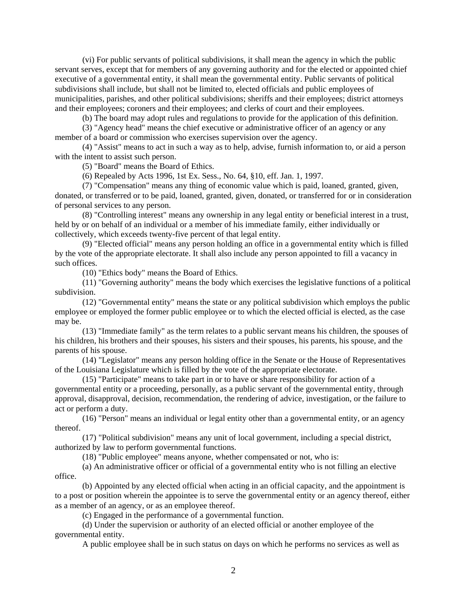(vi) For public servants of political subdivisions, it shall mean the agency in which the public servant serves, except that for members of any governing authority and for the elected or appointed chief executive of a governmental entity, it shall mean the governmental entity. Public servants of political subdivisions shall include, but shall not be limited to, elected officials and public employees of municipalities, parishes, and other political subdivisions; sheriffs and their employees; district attorneys and their employees; coroners and their employees; and clerks of court and their employees.

(b) The board may adopt rules and regulations to provide for the application of this definition.

(3) "Agency head" means the chief executive or administrative officer of an agency or any member of a board or commission who exercises supervision over the agency.

(4) "Assist" means to act in such a way as to help, advise, furnish information to, or aid a person with the intent to assist such person.

(5) "Board" means the Board of Ethics.

(6) Repealed by Acts 1996, 1st Ex. Sess., No. 64, §10, eff. Jan. 1, 1997.

(7) "Compensation" means any thing of economic value which is paid, loaned, granted, given, donated, or transferred or to be paid, loaned, granted, given, donated, or transferred for or in consideration of personal services to any person.

(8) "Controlling interest" means any ownership in any legal entity or beneficial interest in a trust, held by or on behalf of an individual or a member of his immediate family, either individually or collectively, which exceeds twenty-five percent of that legal entity.

(9) "Elected official" means any person holding an office in a governmental entity which is filled by the vote of the appropriate electorate. It shall also include any person appointed to fill a vacancy in such offices.

(10) "Ethics body" means the Board of Ethics.

(11) "Governing authority" means the body which exercises the legislative functions of a political subdivision.

(12) "Governmental entity" means the state or any political subdivision which employs the public employee or employed the former public employee or to which the elected official is elected, as the case may be.

(13) "Immediate family" as the term relates to a public servant means his children, the spouses of his children, his brothers and their spouses, his sisters and their spouses, his parents, his spouse, and the parents of his spouse.

(14) "Legislator" means any person holding office in the Senate or the House of Representatives of the Louisiana Legislature which is filled by the vote of the appropriate electorate.

(15) "Participate" means to take part in or to have or share responsibility for action of a governmental entity or a proceeding, personally, as a public servant of the governmental entity, through approval, disapproval, decision, recommendation, the rendering of advice, investigation, or the failure to act or perform a duty.

(16) "Person" means an individual or legal entity other than a governmental entity, or an agency thereof.

(17) "Political subdivision" means any unit of local government, including a special district, authorized by law to perform governmental functions.

(18) "Public employee" means anyone, whether compensated or not, who is:

(a) An administrative officer or official of a governmental entity who is not filling an elective office.

(b) Appointed by any elected official when acting in an official capacity, and the appointment is to a post or position wherein the appointee is to serve the governmental entity or an agency thereof, either as a member of an agency, or as an employee thereof.

(c) Engaged in the performance of a governmental function.

(d) Under the supervision or authority of an elected official or another employee of the governmental entity.

A public employee shall be in such status on days on which he performs no services as well as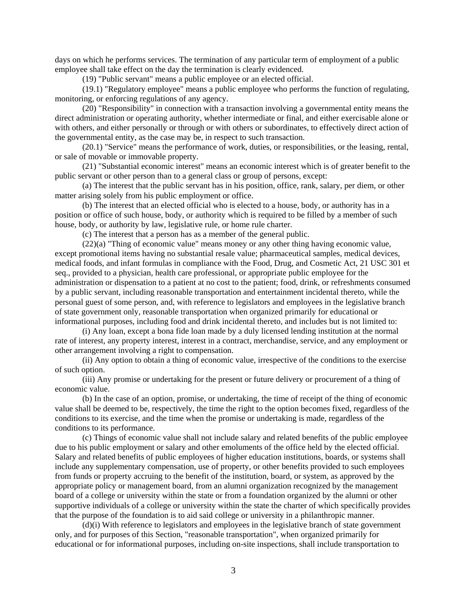days on which he performs services. The termination of any particular term of employment of a public employee shall take effect on the day the termination is clearly evidenced.

(19) "Public servant" means a public employee or an elected official.

(19.1) "Regulatory employee" means a public employee who performs the function of regulating, monitoring, or enforcing regulations of any agency.

(20) "Responsibility" in connection with a transaction involving a governmental entity means the direct administration or operating authority, whether intermediate or final, and either exercisable alone or with others, and either personally or through or with others or subordinates, to effectively direct action of the governmental entity, as the case may be, in respect to such transaction.

(20.1) "Service" means the performance of work, duties, or responsibilities, or the leasing, rental, or sale of movable or immovable property.

(21) "Substantial economic interest" means an economic interest which is of greater benefit to the public servant or other person than to a general class or group of persons, except:

(a) The interest that the public servant has in his position, office, rank, salary, per diem, or other matter arising solely from his public employment or office.

(b) The interest that an elected official who is elected to a house, body, or authority has in a position or office of such house, body, or authority which is required to be filled by a member of such house, body, or authority by law, legislative rule, or home rule charter.

(c) The interest that a person has as a member of the general public.

(22)(a) "Thing of economic value" means money or any other thing having economic value, except promotional items having no substantial resale value; pharmaceutical samples, medical devices, medical foods, and infant formulas in compliance with the Food, Drug, and Cosmetic Act, 21 USC 301 et seq., provided to a physician, health care professional, or appropriate public employee for the administration or dispensation to a patient at no cost to the patient; food, drink, or refreshments consumed by a public servant, including reasonable transportation and entertainment incidental thereto, while the personal guest of some person, and, with reference to legislators and employees in the legislative branch of state government only, reasonable transportation when organized primarily for educational or informational purposes, including food and drink incidental thereto, and includes but is not limited to:

(i) Any loan, except a bona fide loan made by a duly licensed lending institution at the normal rate of interest, any property interest, interest in a contract, merchandise, service, and any employment or other arrangement involving a right to compensation.

(ii) Any option to obtain a thing of economic value, irrespective of the conditions to the exercise of such option.

(iii) Any promise or undertaking for the present or future delivery or procurement of a thing of economic value.

(b) In the case of an option, promise, or undertaking, the time of receipt of the thing of economic value shall be deemed to be, respectively, the time the right to the option becomes fixed, regardless of the conditions to its exercise, and the time when the promise or undertaking is made, regardless of the conditions to its performance.

(c) Things of economic value shall not include salary and related benefits of the public employee due to his public employment or salary and other emoluments of the office held by the elected official. Salary and related benefits of public employees of higher education institutions, boards, or systems shall include any supplementary compensation, use of property, or other benefits provided to such employees from funds or property accruing to the benefit of the institution, board, or system, as approved by the appropriate policy or management board, from an alumni organization recognized by the management board of a college or university within the state or from a foundation organized by the alumni or other supportive individuals of a college or university within the state the charter of which specifically provides that the purpose of the foundation is to aid said college or university in a philanthropic manner.

(d)(i) With reference to legislators and employees in the legislative branch of state government only, and for purposes of this Section, "reasonable transportation", when organized primarily for educational or for informational purposes, including on-site inspections, shall include transportation to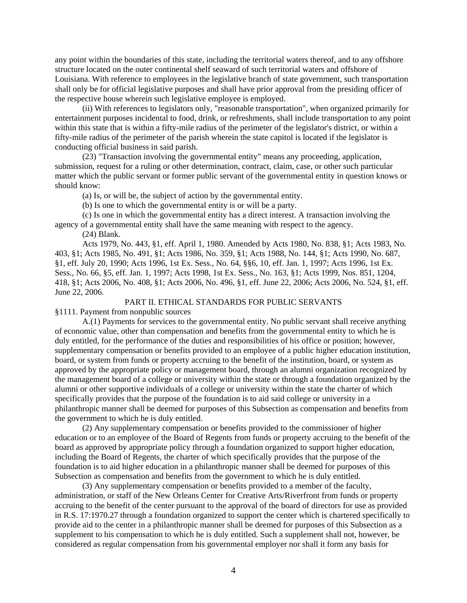any point within the boundaries of this state, including the territorial waters thereof, and to any offshore structure located on the outer continental shelf seaward of such territorial waters and offshore of Louisiana. With reference to employees in the legislative branch of state government, such transportation shall only be for official legislative purposes and shall have prior approval from the presiding officer of the respective house wherein such legislative employee is employed.

(ii) With references to legislators only, "reasonable transportation", when organized primarily for entertainment purposes incidental to food, drink, or refreshments, shall include transportation to any point within this state that is within a fifty-mile radius of the perimeter of the legislator's district, or within a fifty-mile radius of the perimeter of the parish wherein the state capitol is located if the legislator is conducting official business in said parish.

(23) "Transaction involving the governmental entity" means any proceeding, application, submission, request for a ruling or other determination, contract, claim, case, or other such particular matter which the public servant or former public servant of the governmental entity in question knows or should know:

(a) Is, or will be, the subject of action by the governmental entity.

(b) Is one to which the governmental entity is or will be a party.

(c) Is one in which the governmental entity has a direct interest. A transaction involving the agency of a governmental entity shall have the same meaning with respect to the agency.

(24) Blank.

Acts 1979, No. 443, §1, eff. April 1, 1980. Amended by Acts 1980, No. 838, §1; Acts 1983, No. 403, §1; Acts 1985, No. 491, §1; Acts 1986, No. 359, §1; Acts 1988, No. 144, §1; Acts 1990, No. 687, §1, eff. July 20, 1990; Acts 1996, 1st Ex. Sess., No. 64, §§6, 10, eff. Jan. 1, 1997; Acts 1996, 1st Ex. Sess., No. 66, §5, eff. Jan. 1, 1997; Acts 1998, 1st Ex. Sess., No. 163, §1; Acts 1999, Nos. 851, 1204, 418, §1; Acts 2006, No. 408, §1; Acts 2006, No. 496, §1, eff. June 22, 2006; Acts 2006, No. 524, §1, eff. June 22, 2006.

### PART II. ETHICAL STANDARDS FOR PUBLIC SERVANTS

§1111. Payment from nonpublic sources

A.(1) Payments for services to the governmental entity. No public servant shall receive anything of economic value, other than compensation and benefits from the governmental entity to which he is duly entitled, for the performance of the duties and responsibilities of his office or position; however, supplementary compensation or benefits provided to an employee of a public higher education institution, board, or system from funds or property accruing to the benefit of the institution, board, or system as approved by the appropriate policy or management board, through an alumni organization recognized by the management board of a college or university within the state or through a foundation organized by the alumni or other supportive individuals of a college or university within the state the charter of which specifically provides that the purpose of the foundation is to aid said college or university in a philanthropic manner shall be deemed for purposes of this Subsection as compensation and benefits from the government to which he is duly entitled.

(2) Any supplementary compensation or benefits provided to the commissioner of higher education or to an employee of the Board of Regents from funds or property accruing to the benefit of the board as approved by appropriate policy through a foundation organized to support higher education, including the Board of Regents, the charter of which specifically provides that the purpose of the foundation is to aid higher education in a philanthropic manner shall be deemed for purposes of this Subsection as compensation and benefits from the government to which he is duly entitled.

(3) Any supplementary compensation or benefits provided to a member of the faculty, administration, or staff of the New Orleans Center for Creative Arts/Riverfront from funds or property accruing to the benefit of the center pursuant to the approval of the board of directors for use as provided in R.S. 17:1970.27 through a foundation organized to support the center which is chartered specifically to provide aid to the center in a philanthropic manner shall be deemed for purposes of this Subsection as a supplement to his compensation to which he is duly entitled. Such a supplement shall not, however, be considered as regular compensation from his governmental employer nor shall it form any basis for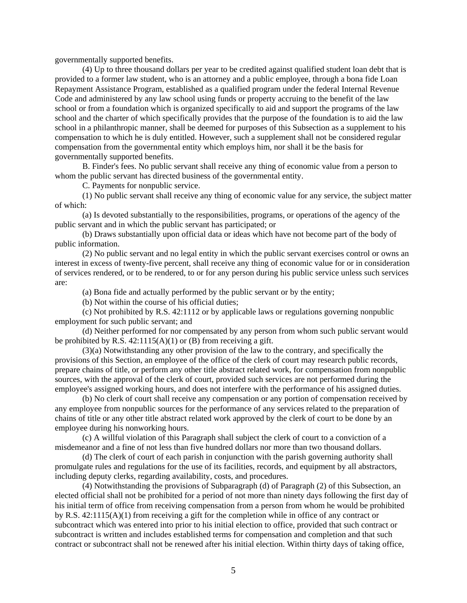governmentally supported benefits.

(4) Up to three thousand dollars per year to be credited against qualified student loan debt that is provided to a former law student, who is an attorney and a public employee, through a bona fide Loan Repayment Assistance Program, established as a qualified program under the federal Internal Revenue Code and administered by any law school using funds or property accruing to the benefit of the law school or from a foundation which is organized specifically to aid and support the programs of the law school and the charter of which specifically provides that the purpose of the foundation is to aid the law school in a philanthropic manner, shall be deemed for purposes of this Subsection as a supplement to his compensation to which he is duly entitled. However, such a supplement shall not be considered regular compensation from the governmental entity which employs him, nor shall it be the basis for governmentally supported benefits.

B. Finder's fees. No public servant shall receive any thing of economic value from a person to whom the public servant has directed business of the governmental entity.

C. Payments for nonpublic service.

(1) No public servant shall receive any thing of economic value for any service, the subject matter of which:

(a) Is devoted substantially to the responsibilities, programs, or operations of the agency of the public servant and in which the public servant has participated; or

(b) Draws substantially upon official data or ideas which have not become part of the body of public information.

(2) No public servant and no legal entity in which the public servant exercises control or owns an interest in excess of twenty-five percent, shall receive any thing of economic value for or in consideration of services rendered, or to be rendered, to or for any person during his public service unless such services are:

(a) Bona fide and actually performed by the public servant or by the entity;

(b) Not within the course of his official duties;

(c) Not prohibited by R.S. 42:1112 or by applicable laws or regulations governing nonpublic employment for such public servant; and

(d) Neither performed for nor compensated by any person from whom such public servant would be prohibited by R.S.  $42:1115(A)(1)$  or (B) from receiving a gift.

(3)(a) Notwithstanding any other provision of the law to the contrary, and specifically the provisions of this Section, an employee of the office of the clerk of court may research public records, prepare chains of title, or perform any other title abstract related work, for compensation from nonpublic sources, with the approval of the clerk of court, provided such services are not performed during the employee's assigned working hours, and does not interfere with the performance of his assigned duties.

(b) No clerk of court shall receive any compensation or any portion of compensation received by any employee from nonpublic sources for the performance of any services related to the preparation of chains of title or any other title abstract related work approved by the clerk of court to be done by an employee during his nonworking hours.

(c) A willful violation of this Paragraph shall subject the clerk of court to a conviction of a misdemeanor and a fine of not less than five hundred dollars nor more than two thousand dollars.

(d) The clerk of court of each parish in conjunction with the parish governing authority shall promulgate rules and regulations for the use of its facilities, records, and equipment by all abstractors, including deputy clerks, regarding availability, costs, and procedures.

(4) Notwithstanding the provisions of Subparagraph (d) of Paragraph (2) of this Subsection, an elected official shall not be prohibited for a period of not more than ninety days following the first day of his initial term of office from receiving compensation from a person from whom he would be prohibited by R.S. 42:1115(A)(1) from receiving a gift for the completion while in office of any contract or subcontract which was entered into prior to his initial election to office, provided that such contract or subcontract is written and includes established terms for compensation and completion and that such contract or subcontract shall not be renewed after his initial election. Within thirty days of taking office,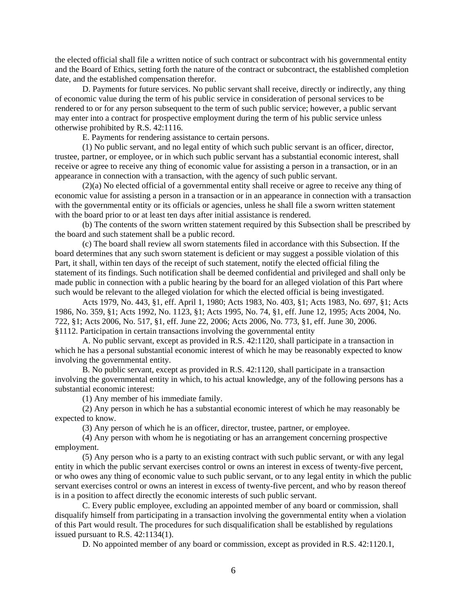the elected official shall file a written notice of such contract or subcontract with his governmental entity and the Board of Ethics, setting forth the nature of the contract or subcontract, the established completion date, and the established compensation therefor.

D. Payments for future services. No public servant shall receive, directly or indirectly, any thing of economic value during the term of his public service in consideration of personal services to be rendered to or for any person subsequent to the term of such public service; however, a public servant may enter into a contract for prospective employment during the term of his public service unless otherwise prohibited by R.S. 42:1116.

E. Payments for rendering assistance to certain persons.

(1) No public servant, and no legal entity of which such public servant is an officer, director, trustee, partner, or employee, or in which such public servant has a substantial economic interest, shall receive or agree to receive any thing of economic value for assisting a person in a transaction, or in an appearance in connection with a transaction, with the agency of such public servant.

(2)(a) No elected official of a governmental entity shall receive or agree to receive any thing of economic value for assisting a person in a transaction or in an appearance in connection with a transaction with the governmental entity or its officials or agencies, unless he shall file a sworn written statement with the board prior to or at least ten days after initial assistance is rendered.

(b) The contents of the sworn written statement required by this Subsection shall be prescribed by the board and such statement shall be a public record.

(c) The board shall review all sworn statements filed in accordance with this Subsection. If the board determines that any such sworn statement is deficient or may suggest a possible violation of this Part, it shall, within ten days of the receipt of such statement, notify the elected official filing the statement of its findings. Such notification shall be deemed confidential and privileged and shall only be made public in connection with a public hearing by the board for an alleged violation of this Part where such would be relevant to the alleged violation for which the elected official is being investigated.

Acts 1979, No. 443, §1, eff. April 1, 1980; Acts 1983, No. 403, §1; Acts 1983, No. 697, §1; Acts 1986, No. 359, §1; Acts 1992, No. 1123, §1; Acts 1995, No. 74, §1, eff. June 12, 1995; Acts 2004, No. 722, §1; Acts 2006, No. 517, §1, eff. June 22, 2006; Acts 2006, No. 773, §1, eff. June 30, 2006. §1112. Participation in certain transactions involving the governmental entity

A. No public servant, except as provided in R.S. 42:1120, shall participate in a transaction in which he has a personal substantial economic interest of which he may be reasonably expected to know involving the governmental entity.

B. No public servant, except as provided in R.S. 42:1120, shall participate in a transaction involving the governmental entity in which, to his actual knowledge, any of the following persons has a substantial economic interest:

(1) Any member of his immediate family.

(2) Any person in which he has a substantial economic interest of which he may reasonably be expected to know.

(3) Any person of which he is an officer, director, trustee, partner, or employee.

(4) Any person with whom he is negotiating or has an arrangement concerning prospective employment.

(5) Any person who is a party to an existing contract with such public servant, or with any legal entity in which the public servant exercises control or owns an interest in excess of twenty-five percent, or who owes any thing of economic value to such public servant, or to any legal entity in which the public servant exercises control or owns an interest in excess of twenty-five percent, and who by reason thereof is in a position to affect directly the economic interests of such public servant.

C. Every public employee, excluding an appointed member of any board or commission, shall disqualify himself from participating in a transaction involving the governmental entity when a violation of this Part would result. The procedures for such disqualification shall be established by regulations issued pursuant to R.S. 42:1134(1).

D. No appointed member of any board or commission, except as provided in R.S. 42:1120.1,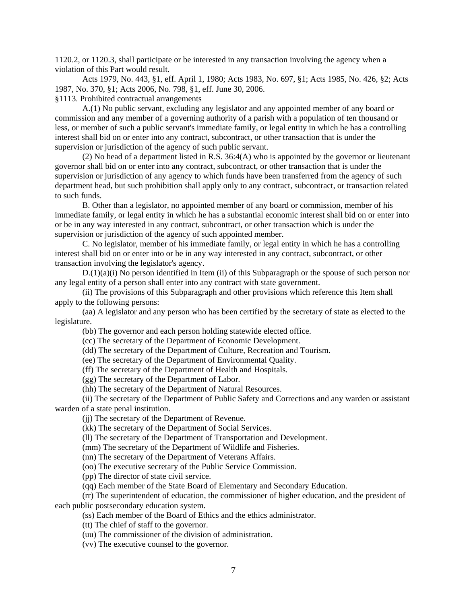1120.2, or 1120.3, shall participate or be interested in any transaction involving the agency when a violation of this Part would result.

Acts 1979, No. 443, §1, eff. April 1, 1980; Acts 1983, No. 697, §1; Acts 1985, No. 426, §2; Acts 1987, No. 370, §1; Acts 2006, No. 798, §1, eff. June 30, 2006.

§1113. Prohibited contractual arrangements

A.(1) No public servant, excluding any legislator and any appointed member of any board or commission and any member of a governing authority of a parish with a population of ten thousand or less, or member of such a public servant's immediate family, or legal entity in which he has a controlling interest shall bid on or enter into any contract, subcontract, or other transaction that is under the supervision or jurisdiction of the agency of such public servant.

(2) No head of a department listed in R.S. 36:4(A) who is appointed by the governor or lieutenant governor shall bid on or enter into any contract, subcontract, or other transaction that is under the supervision or jurisdiction of any agency to which funds have been transferred from the agency of such department head, but such prohibition shall apply only to any contract, subcontract, or transaction related to such funds.

B. Other than a legislator, no appointed member of any board or commission, member of his immediate family, or legal entity in which he has a substantial economic interest shall bid on or enter into or be in any way interested in any contract, subcontract, or other transaction which is under the supervision or jurisdiction of the agency of such appointed member.

C. No legislator, member of his immediate family, or legal entity in which he has a controlling interest shall bid on or enter into or be in any way interested in any contract, subcontract, or other transaction involving the legislator's agency.

 $D(1)(a)(i)$  No person identified in Item (ii) of this Subparagraph or the spouse of such person nor any legal entity of a person shall enter into any contract with state government.

(ii) The provisions of this Subparagraph and other provisions which reference this Item shall apply to the following persons:

(aa) A legislator and any person who has been certified by the secretary of state as elected to the legislature.

(bb) The governor and each person holding statewide elected office.

(cc) The secretary of the Department of Economic Development.

(dd) The secretary of the Department of Culture, Recreation and Tourism.

(ee) The secretary of the Department of Environmental Quality.

(ff) The secretary of the Department of Health and Hospitals.

(gg) The secretary of the Department of Labor.

(hh) The secretary of the Department of Natural Resources.

(ii) The secretary of the Department of Public Safety and Corrections and any warden or assistant warden of a state penal institution.

(jj) The secretary of the Department of Revenue.

(kk) The secretary of the Department of Social Services.

(ll) The secretary of the Department of Transportation and Development.

(mm) The secretary of the Department of Wildlife and Fisheries.

(nn) The secretary of the Department of Veterans Affairs.

(oo) The executive secretary of the Public Service Commission.

(pp) The director of state civil service.

(qq) Each member of the State Board of Elementary and Secondary Education.

(rr) The superintendent of education, the commissioner of higher education, and the president of each public postsecondary education system.

(ss) Each member of the Board of Ethics and the ethics administrator.

(tt) The chief of staff to the governor.

(uu) The commissioner of the division of administration.

(vv) The executive counsel to the governor.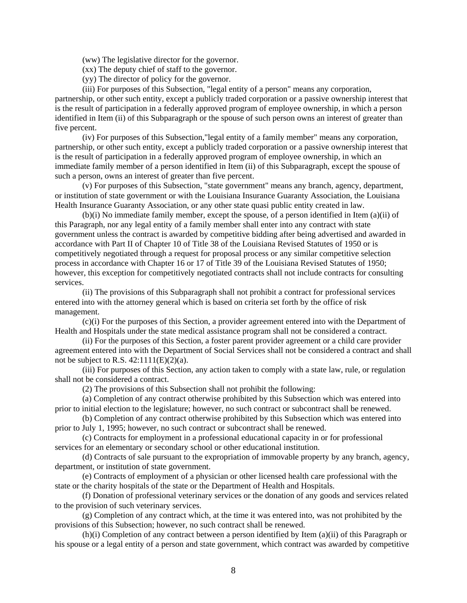(ww) The legislative director for the governor.

- (xx) The deputy chief of staff to the governor.
- (yy) The director of policy for the governor.

(iii) For purposes of this Subsection, "legal entity of a person" means any corporation,

partnership, or other such entity, except a publicly traded corporation or a passive ownership interest that is the result of participation in a federally approved program of employee ownership, in which a person identified in Item (ii) of this Subparagraph or the spouse of such person owns an interest of greater than five percent.

(iv) For purposes of this Subsection,"legal entity of a family member" means any corporation, partnership, or other such entity, except a publicly traded corporation or a passive ownership interest that is the result of participation in a federally approved program of employee ownership, in which an immediate family member of a person identified in Item (ii) of this Subparagraph, except the spouse of such a person, owns an interest of greater than five percent.

(v) For purposes of this Subsection, "state government" means any branch, agency, department, or institution of state government or with the Louisiana Insurance Guaranty Association, the Louisiana Health Insurance Guaranty Association, or any other state quasi public entity created in law.

(b)(i) No immediate family member, except the spouse, of a person identified in Item (a)(ii) of this Paragraph, nor any legal entity of a family member shall enter into any contract with state government unless the contract is awarded by competitive bidding after being advertised and awarded in accordance with Part II of Chapter 10 of Title 38 of the Louisiana Revised Statutes of 1950 or is competitively negotiated through a request for proposal process or any similar competitive selection process in accordance with Chapter 16 or 17 of Title 39 of the Louisiana Revised Statutes of 1950; however, this exception for competitively negotiated contracts shall not include contracts for consulting services.

(ii) The provisions of this Subparagraph shall not prohibit a contract for professional services entered into with the attorney general which is based on criteria set forth by the office of risk management.

(c)(i) For the purposes of this Section, a provider agreement entered into with the Department of Health and Hospitals under the state medical assistance program shall not be considered a contract.

(ii) For the purposes of this Section, a foster parent provider agreement or a child care provider agreement entered into with the Department of Social Services shall not be considered a contract and shall not be subject to R.S.  $42:1111(E)(2)(a)$ .

(iii) For purposes of this Section, any action taken to comply with a state law, rule, or regulation shall not be considered a contract.

(2) The provisions of this Subsection shall not prohibit the following:

(a) Completion of any contract otherwise prohibited by this Subsection which was entered into prior to initial election to the legislature; however, no such contract or subcontract shall be renewed.

(b) Completion of any contract otherwise prohibited by this Subsection which was entered into prior to July 1, 1995; however, no such contract or subcontract shall be renewed.

(c) Contracts for employment in a professional educational capacity in or for professional services for an elementary or secondary school or other educational institution.

(d) Contracts of sale pursuant to the expropriation of immovable property by any branch, agency, department, or institution of state government.

(e) Contracts of employment of a physician or other licensed health care professional with the state or the charity hospitals of the state or the Department of Health and Hospitals.

(f) Donation of professional veterinary services or the donation of any goods and services related to the provision of such veterinary services.

(g) Completion of any contract which, at the time it was entered into, was not prohibited by the provisions of this Subsection; however, no such contract shall be renewed.

(h)(i) Completion of any contract between a person identified by Item (a)(ii) of this Paragraph or his spouse or a legal entity of a person and state government, which contract was awarded by competitive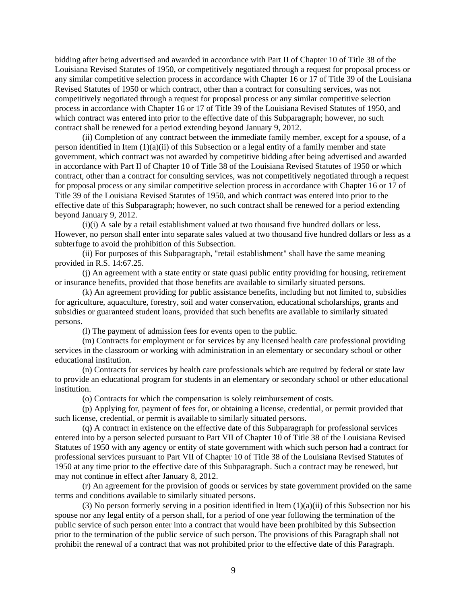bidding after being advertised and awarded in accordance with Part II of Chapter 10 of Title 38 of the Louisiana Revised Statutes of 1950, or competitively negotiated through a request for proposal process or any similar competitive selection process in accordance with Chapter 16 or 17 of Title 39 of the Louisiana Revised Statutes of 1950 or which contract, other than a contract for consulting services, was not competitively negotiated through a request for proposal process or any similar competitive selection process in accordance with Chapter 16 or 17 of Title 39 of the Louisiana Revised Statutes of 1950, and which contract was entered into prior to the effective date of this Subparagraph; however, no such contract shall be renewed for a period extending beyond January 9, 2012.

(ii) Completion of any contract between the immediate family member, except for a spouse, of a person identified in Item (1)(a)(ii) of this Subsection or a legal entity of a family member and state government, which contract was not awarded by competitive bidding after being advertised and awarded in accordance with Part II of Chapter 10 of Title 38 of the Louisiana Revised Statutes of 1950 or which contract, other than a contract for consulting services, was not competitively negotiated through a request for proposal process or any similar competitive selection process in accordance with Chapter 16 or 17 of Title 39 of the Louisiana Revised Statutes of 1950, and which contract was entered into prior to the effective date of this Subparagraph; however, no such contract shall be renewed for a period extending beyond January 9, 2012.

(i)(i) A sale by a retail establishment valued at two thousand five hundred dollars or less. However, no person shall enter into separate sales valued at two thousand five hundred dollars or less as a subterfuge to avoid the prohibition of this Subsection.

(ii) For purposes of this Subparagraph, "retail establishment" shall have the same meaning provided in R.S. 14:67.25.

(j) An agreement with a state entity or state quasi public entity providing for housing, retirement or insurance benefits, provided that those benefits are available to similarly situated persons.

(k) An agreement providing for public assistance benefits, including but not limited to, subsidies for agriculture, aquaculture, forestry, soil and water conservation, educational scholarships, grants and subsidies or guaranteed student loans, provided that such benefits are available to similarly situated persons.

(l) The payment of admission fees for events open to the public.

(m) Contracts for employment or for services by any licensed health care professional providing services in the classroom or working with administration in an elementary or secondary school or other educational institution.

(n) Contracts for services by health care professionals which are required by federal or state law to provide an educational program for students in an elementary or secondary school or other educational institution.

(o) Contracts for which the compensation is solely reimbursement of costs.

(p) Applying for, payment of fees for, or obtaining a license, credential, or permit provided that such license, credential, or permit is available to similarly situated persons.

(q) A contract in existence on the effective date of this Subparagraph for professional services entered into by a person selected pursuant to Part VII of Chapter 10 of Title 38 of the Louisiana Revised Statutes of 1950 with any agency or entity of state government with which such person had a contract for professional services pursuant to Part VII of Chapter 10 of Title 38 of the Louisiana Revised Statutes of 1950 at any time prior to the effective date of this Subparagraph. Such a contract may be renewed, but may not continue in effect after January 8, 2012.

(r) An agreement for the provision of goods or services by state government provided on the same terms and conditions available to similarly situated persons.

(3) No person formerly serving in a position identified in Item  $(1)(a)(ii)$  of this Subsection nor his spouse nor any legal entity of a person shall, for a period of one year following the termination of the public service of such person enter into a contract that would have been prohibited by this Subsection prior to the termination of the public service of such person. The provisions of this Paragraph shall not prohibit the renewal of a contract that was not prohibited prior to the effective date of this Paragraph.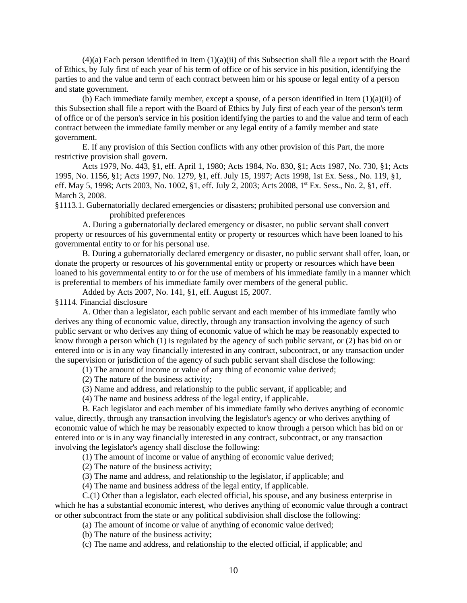$(4)(a)$  Each person identified in Item  $(1)(a)(ii)$  of this Subsection shall file a report with the Board of Ethics, by July first of each year of his term of office or of his service in his position, identifying the parties to and the value and term of each contract between him or his spouse or legal entity of a person and state government.

(b) Each immediate family member, except a spouse, of a person identified in Item  $(1)(a)(ii)$  of this Subsection shall file a report with the Board of Ethics by July first of each year of the person's term of office or of the person's service in his position identifying the parties to and the value and term of each contract between the immediate family member or any legal entity of a family member and state government.

E. If any provision of this Section conflicts with any other provision of this Part, the more restrictive provision shall govern.

Acts 1979, No. 443, §1, eff. April 1, 1980; Acts 1984, No. 830, §1; Acts 1987, No. 730, §1; Acts 1995, No. 1156, §1; Acts 1997, No. 1279, §1, eff. July 15, 1997; Acts 1998, 1st Ex. Sess., No. 119, §1, eff. May 5, 1998; Acts 2003, No. 1002, §1, eff. July 2, 2003; Acts 2008, 1<sup>st</sup> Ex. Sess., No. 2, §1, eff. March 3, 2008.

§1113.1. Gubernatorially declared emergencies or disasters; prohibited personal use conversion and prohibited preferences

A. During a gubernatorially declared emergency or disaster, no public servant shall convert property or resources of his governmental entity or property or resources which have been loaned to his governmental entity to or for his personal use.

B. During a gubernatorially declared emergency or disaster, no public servant shall offer, loan, or donate the property or resources of his governmental entity or property or resources which have been loaned to his governmental entity to or for the use of members of his immediate family in a manner which is preferential to members of his immediate family over members of the general public.

Added by Acts 2007, No. 141, §1, eff. August 15, 2007.

§1114. Financial disclosure

A. Other than a legislator, each public servant and each member of his immediate family who derives any thing of economic value, directly, through any transaction involving the agency of such public servant or who derives any thing of economic value of which he may be reasonably expected to know through a person which (1) is regulated by the agency of such public servant, or (2) has bid on or entered into or is in any way financially interested in any contract, subcontract, or any transaction under the supervision or jurisdiction of the agency of such public servant shall disclose the following:

(1) The amount of income or value of any thing of economic value derived;

(2) The nature of the business activity;

(3) Name and address, and relationship to the public servant, if applicable; and

(4) The name and business address of the legal entity, if applicable.

B. Each legislator and each member of his immediate family who derives anything of economic value, directly, through any transaction involving the legislator's agency or who derives anything of economic value of which he may be reasonably expected to know through a person which has bid on or entered into or is in any way financially interested in any contract, subcontract, or any transaction involving the legislator's agency shall disclose the following:

(1) The amount of income or value of anything of economic value derived;

(2) The nature of the business activity;

(3) The name and address, and relationship to the legislator, if applicable; and

(4) The name and business address of the legal entity, if applicable.

C.(1) Other than a legislator, each elected official, his spouse, and any business enterprise in which he has a substantial economic interest, who derives anything of economic value through a contract or other subcontract from the state or any political subdivision shall disclose the following:

(a) The amount of income or value of anything of economic value derived;

(b) The nature of the business activity;

(c) The name and address, and relationship to the elected official, if applicable; and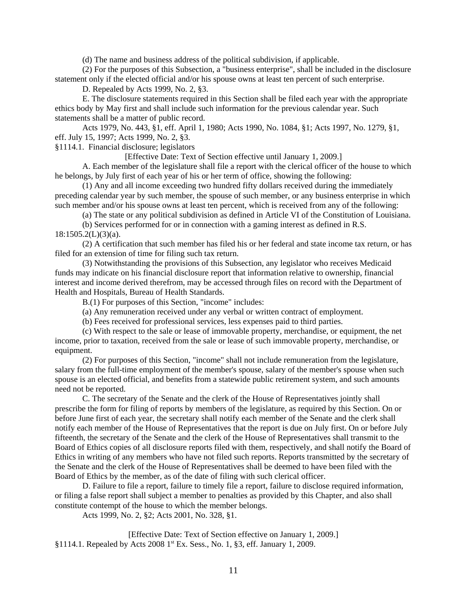(d) The name and business address of the political subdivision, if applicable.

(2) For the purposes of this Subsection, a "business enterprise", shall be included in the disclosure statement only if the elected official and/or his spouse owns at least ten percent of such enterprise.

D. Repealed by Acts 1999, No. 2, §3.

E. The disclosure statements required in this Section shall be filed each year with the appropriate ethics body by May first and shall include such information for the previous calendar year. Such statements shall be a matter of public record.

Acts 1979, No. 443, §1, eff. April 1, 1980; Acts 1990, No. 1084, §1; Acts 1997, No. 1279, §1, eff. July 15, 1997; Acts 1999, No. 2, §3.

§1114.1. Financial disclosure; legislators

[Effective Date: Text of Section effective until January 1, 2009.]

A. Each member of the legislature shall file a report with the clerical officer of the house to which he belongs, by July first of each year of his or her term of office, showing the following:

(1) Any and all income exceeding two hundred fifty dollars received during the immediately preceding calendar year by such member, the spouse of such member, or any business enterprise in which such member and/or his spouse owns at least ten percent, which is received from any of the following:

(a) The state or any political subdivision as defined in Article VI of the Constitution of Louisiana.

(b) Services performed for or in connection with a gaming interest as defined in R.S.  $18:1505.2(L)(3)(a)$ .

(2) A certification that such member has filed his or her federal and state income tax return, or has filed for an extension of time for filing such tax return.

(3) Notwithstanding the provisions of this Subsection, any legislator who receives Medicaid funds may indicate on his financial disclosure report that information relative to ownership, financial interest and income derived therefrom, may be accessed through files on record with the Department of Health and Hospitals, Bureau of Health Standards.

B.(1) For purposes of this Section, "income" includes:

(a) Any remuneration received under any verbal or written contract of employment.

(b) Fees received for professional services, less expenses paid to third parties.

(c) With respect to the sale or lease of immovable property, merchandise, or equipment, the net income, prior to taxation, received from the sale or lease of such immovable property, merchandise, or equipment.

(2) For purposes of this Section, "income" shall not include remuneration from the legislature, salary from the full-time employment of the member's spouse, salary of the member's spouse when such spouse is an elected official, and benefits from a statewide public retirement system, and such amounts need not be reported.

C. The secretary of the Senate and the clerk of the House of Representatives jointly shall prescribe the form for filing of reports by members of the legislature, as required by this Section. On or before June first of each year, the secretary shall notify each member of the Senate and the clerk shall notify each member of the House of Representatives that the report is due on July first. On or before July fifteenth, the secretary of the Senate and the clerk of the House of Representatives shall transmit to the Board of Ethics copies of all disclosure reports filed with them, respectively, and shall notify the Board of Ethics in writing of any members who have not filed such reports. Reports transmitted by the secretary of the Senate and the clerk of the House of Representatives shall be deemed to have been filed with the Board of Ethics by the member, as of the date of filing with such clerical officer.

D. Failure to file a report, failure to timely file a report, failure to disclose required information, or filing a false report shall subject a member to penalties as provided by this Chapter, and also shall constitute contempt of the house to which the member belongs.

Acts 1999, No. 2, §2; Acts 2001, No. 328, §1.

[Effective Date: Text of Section effective on January 1, 2009.] §1114.1. Repealed by Acts 2008 1st Ex. Sess., No. 1, §3, eff. January 1, 2009.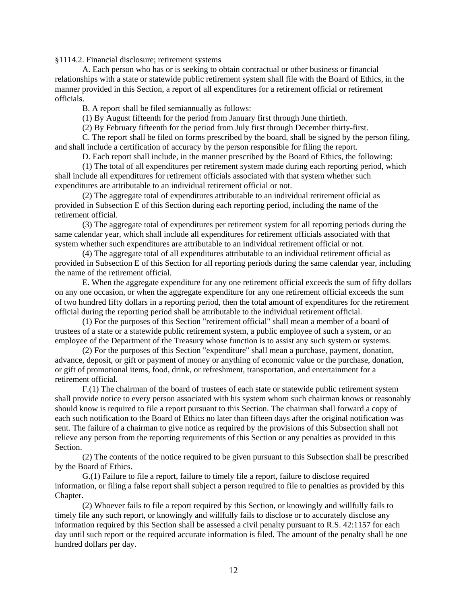§1114.2. Financial disclosure; retirement systems

A. Each person who has or is seeking to obtain contractual or other business or financial relationships with a state or statewide public retirement system shall file with the Board of Ethics, in the manner provided in this Section, a report of all expenditures for a retirement official or retirement officials.

B. A report shall be filed semiannually as follows:

(1) By August fifteenth for the period from January first through June thirtieth.

(2) By February fifteenth for the period from July first through December thirty-first.

C. The report shall be filed on forms prescribed by the board, shall be signed by the person filing, and shall include a certification of accuracy by the person responsible for filing the report.

D. Each report shall include, in the manner prescribed by the Board of Ethics, the following:

(1) The total of all expenditures per retirement system made during each reporting period, which shall include all expenditures for retirement officials associated with that system whether such expenditures are attributable to an individual retirement official or not.

(2) The aggregate total of expenditures attributable to an individual retirement official as provided in Subsection E of this Section during each reporting period, including the name of the retirement official.

(3) The aggregate total of expenditures per retirement system for all reporting periods during the same calendar year, which shall include all expenditures for retirement officials associated with that system whether such expenditures are attributable to an individual retirement official or not.

(4) The aggregate total of all expenditures attributable to an individual retirement official as provided in Subsection E of this Section for all reporting periods during the same calendar year, including the name of the retirement official.

E. When the aggregate expenditure for any one retirement official exceeds the sum of fifty dollars on any one occasion, or when the aggregate expenditure for any one retirement official exceeds the sum of two hundred fifty dollars in a reporting period, then the total amount of expenditures for the retirement official during the reporting period shall be attributable to the individual retirement official.

(1) For the purposes of this Section "retirement official" shall mean a member of a board of trustees of a state or a statewide public retirement system, a public employee of such a system, or an employee of the Department of the Treasury whose function is to assist any such system or systems.

(2) For the purposes of this Section "expenditure" shall mean a purchase, payment, donation, advance, deposit, or gift or payment of money or anything of economic value or the purchase, donation, or gift of promotional items, food, drink, or refreshment, transportation, and entertainment for a retirement official.

F.(1) The chairman of the board of trustees of each state or statewide public retirement system shall provide notice to every person associated with his system whom such chairman knows or reasonably should know is required to file a report pursuant to this Section. The chairman shall forward a copy of each such notification to the Board of Ethics no later than fifteen days after the original notification was sent. The failure of a chairman to give notice as required by the provisions of this Subsection shall not relieve any person from the reporting requirements of this Section or any penalties as provided in this Section.

(2) The contents of the notice required to be given pursuant to this Subsection shall be prescribed by the Board of Ethics.

G.(1) Failure to file a report, failure to timely file a report, failure to disclose required information, or filing a false report shall subject a person required to file to penalties as provided by this Chapter.

(2) Whoever fails to file a report required by this Section, or knowingly and willfully fails to timely file any such report, or knowingly and willfully fails to disclose or to accurately disclose any information required by this Section shall be assessed a civil penalty pursuant to R.S. 42:1157 for each day until such report or the required accurate information is filed. The amount of the penalty shall be one hundred dollars per day.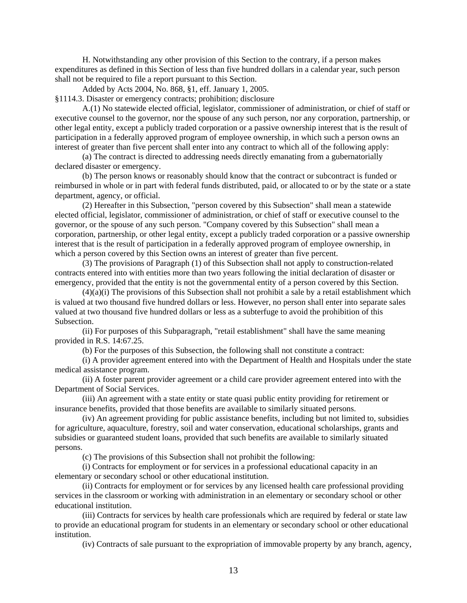H. Notwithstanding any other provision of this Section to the contrary, if a person makes expenditures as defined in this Section of less than five hundred dollars in a calendar year, such person shall not be required to file a report pursuant to this Section.

Added by Acts 2004, No. 868, §1, eff. January 1, 2005.

§1114.3. Disaster or emergency contracts; prohibition; disclosure

A.(1) No statewide elected official, legislator, commissioner of administration, or chief of staff or executive counsel to the governor, nor the spouse of any such person, nor any corporation, partnership, or other legal entity, except a publicly traded corporation or a passive ownership interest that is the result of participation in a federally approved program of employee ownership, in which such a person owns an interest of greater than five percent shall enter into any contract to which all of the following apply:

(a) The contract is directed to addressing needs directly emanating from a gubernatorially declared disaster or emergency.

(b) The person knows or reasonably should know that the contract or subcontract is funded or reimbursed in whole or in part with federal funds distributed, paid, or allocated to or by the state or a state department, agency, or official.

(2) Hereafter in this Subsection, "person covered by this Subsection" shall mean a statewide elected official, legislator, commissioner of administration, or chief of staff or executive counsel to the governor, or the spouse of any such person. "Company covered by this Subsection" shall mean a corporation, partnership, or other legal entity, except a publicly traded corporation or a passive ownership interest that is the result of participation in a federally approved program of employee ownership, in which a person covered by this Section owns an interest of greater than five percent.

(3) The provisions of Paragraph (1) of this Subsection shall not apply to construction-related contracts entered into with entities more than two years following the initial declaration of disaster or emergency, provided that the entity is not the governmental entity of a person covered by this Section.

(4)(a)(i) The provisions of this Subsection shall not prohibit a sale by a retail establishment which is valued at two thousand five hundred dollars or less. However, no person shall enter into separate sales valued at two thousand five hundred dollars or less as a subterfuge to avoid the prohibition of this Subsection.

(ii) For purposes of this Subparagraph, "retail establishment" shall have the same meaning provided in R.S. 14:67.25.

(b) For the purposes of this Subsection, the following shall not constitute a contract:

(i) A provider agreement entered into with the Department of Health and Hospitals under the state medical assistance program.

(ii) A foster parent provider agreement or a child care provider agreement entered into with the Department of Social Services.

(iii) An agreement with a state entity or state quasi public entity providing for retirement or insurance benefits, provided that those benefits are available to similarly situated persons.

(iv) An agreement providing for public assistance benefits, including but not limited to, subsidies for agriculture, aquaculture, forestry, soil and water conservation, educational scholarships, grants and subsidies or guaranteed student loans, provided that such benefits are available to similarly situated persons.

(c) The provisions of this Subsection shall not prohibit the following:

(i) Contracts for employment or for services in a professional educational capacity in an elementary or secondary school or other educational institution.

(ii) Contracts for employment or for services by any licensed health care professional providing services in the classroom or working with administration in an elementary or secondary school or other educational institution.

(iii) Contracts for services by health care professionals which are required by federal or state law to provide an educational program for students in an elementary or secondary school or other educational institution.

(iv) Contracts of sale pursuant to the expropriation of immovable property by any branch, agency,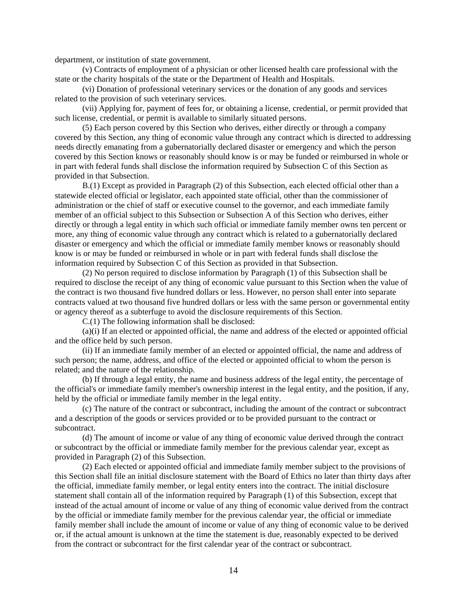department, or institution of state government.

(v) Contracts of employment of a physician or other licensed health care professional with the state or the charity hospitals of the state or the Department of Health and Hospitals.

(vi) Donation of professional veterinary services or the donation of any goods and services related to the provision of such veterinary services.

(vii) Applying for, payment of fees for, or obtaining a license, credential, or permit provided that such license, credential, or permit is available to similarly situated persons.

(5) Each person covered by this Section who derives, either directly or through a company covered by this Section, any thing of economic value through any contract which is directed to addressing needs directly emanating from a gubernatorially declared disaster or emergency and which the person covered by this Section knows or reasonably should know is or may be funded or reimbursed in whole or in part with federal funds shall disclose the information required by Subsection C of this Section as provided in that Subsection.

B.(1) Except as provided in Paragraph (2) of this Subsection, each elected official other than a statewide elected official or legislator, each appointed state official, other than the commissioner of administration or the chief of staff or executive counsel to the governor, and each immediate family member of an official subject to this Subsection or Subsection A of this Section who derives, either directly or through a legal entity in which such official or immediate family member owns ten percent or more, any thing of economic value through any contract which is related to a gubernatorially declared disaster or emergency and which the official or immediate family member knows or reasonably should know is or may be funded or reimbursed in whole or in part with federal funds shall disclose the information required by Subsection C of this Section as provided in that Subsection.

(2) No person required to disclose information by Paragraph (1) of this Subsection shall be required to disclose the receipt of any thing of economic value pursuant to this Section when the value of the contract is two thousand five hundred dollars or less. However, no person shall enter into separate contracts valued at two thousand five hundred dollars or less with the same person or governmental entity or agency thereof as a subterfuge to avoid the disclosure requirements of this Section.

C.(1) The following information shall be disclosed:

(a)(i) If an elected or appointed official, the name and address of the elected or appointed official and the office held by such person.

(ii) If an immediate family member of an elected or appointed official, the name and address of such person; the name, address, and office of the elected or appointed official to whom the person is related; and the nature of the relationship.

(b) If through a legal entity, the name and business address of the legal entity, the percentage of the official's or immediate family member's ownership interest in the legal entity, and the position, if any, held by the official or immediate family member in the legal entity.

(c) The nature of the contract or subcontract, including the amount of the contract or subcontract and a description of the goods or services provided or to be provided pursuant to the contract or subcontract.

(d) The amount of income or value of any thing of economic value derived through the contract or subcontract by the official or immediate family member for the previous calendar year, except as provided in Paragraph (2) of this Subsection.

(2) Each elected or appointed official and immediate family member subject to the provisions of this Section shall file an initial disclosure statement with the Board of Ethics no later than thirty days after the official, immediate family member, or legal entity enters into the contract. The initial disclosure statement shall contain all of the information required by Paragraph (1) of this Subsection, except that instead of the actual amount of income or value of any thing of economic value derived from the contract by the official or immediate family member for the previous calendar year, the official or immediate family member shall include the amount of income or value of any thing of economic value to be derived or, if the actual amount is unknown at the time the statement is due, reasonably expected to be derived from the contract or subcontract for the first calendar year of the contract or subcontract.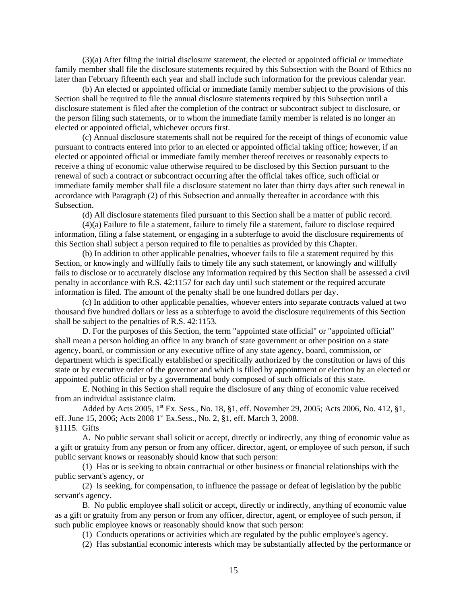(3)(a) After filing the initial disclosure statement, the elected or appointed official or immediate family member shall file the disclosure statements required by this Subsection with the Board of Ethics no later than February fifteenth each year and shall include such information for the previous calendar year.

(b) An elected or appointed official or immediate family member subject to the provisions of this Section shall be required to file the annual disclosure statements required by this Subsection until a disclosure statement is filed after the completion of the contract or subcontract subject to disclosure, or the person filing such statements, or to whom the immediate family member is related is no longer an elected or appointed official, whichever occurs first.

(c) Annual disclosure statements shall not be required for the receipt of things of economic value pursuant to contracts entered into prior to an elected or appointed official taking office; however, if an elected or appointed official or immediate family member thereof receives or reasonably expects to receive a thing of economic value otherwise required to be disclosed by this Section pursuant to the renewal of such a contract or subcontract occurring after the official takes office, such official or immediate family member shall file a disclosure statement no later than thirty days after such renewal in accordance with Paragraph (2) of this Subsection and annually thereafter in accordance with this Subsection.

(d) All disclosure statements filed pursuant to this Section shall be a matter of public record.

(4)(a) Failure to file a statement, failure to timely file a statement, failure to disclose required information, filing a false statement, or engaging in a subterfuge to avoid the disclosure requirements of this Section shall subject a person required to file to penalties as provided by this Chapter.

(b) In addition to other applicable penalties, whoever fails to file a statement required by this Section, or knowingly and willfully fails to timely file any such statement, or knowingly and willfully fails to disclose or to accurately disclose any information required by this Section shall be assessed a civil penalty in accordance with R.S. 42:1157 for each day until such statement or the required accurate information is filed. The amount of the penalty shall be one hundred dollars per day.

(c) In addition to other applicable penalties, whoever enters into separate contracts valued at two thousand five hundred dollars or less as a subterfuge to avoid the disclosure requirements of this Section shall be subject to the penalties of R.S. 42:1153.

D. For the purposes of this Section, the term "appointed state official" or "appointed official" shall mean a person holding an office in any branch of state government or other position on a state agency, board, or commission or any executive office of any state agency, board, commission, or department which is specifically established or specifically authorized by the constitution or laws of this state or by executive order of the governor and which is filled by appointment or election by an elected or appointed public official or by a governmental body composed of such officials of this state.

E. Nothing in this Section shall require the disclosure of any thing of economic value received from an individual assistance claim.

Added by Acts 2005, 1<sup>st</sup> Ex. Sess., No. 18, §1, eff. November 29, 2005; Acts 2006, No. 412, §1, eff. June 15, 2006; Acts 2008 1<sup>st</sup> Ex.Sess., No. 2, §1, eff. March 3, 2008. §1115. Gifts

A. No public servant shall solicit or accept, directly or indirectly, any thing of economic value as a gift or gratuity from any person or from any officer, director, agent, or employee of such person, if such public servant knows or reasonably should know that such person:

(1) Has or is seeking to obtain contractual or other business or financial relationships with the public servant's agency, or

(2) Is seeking, for compensation, to influence the passage or defeat of legislation by the public servant's agency.

B. No public employee shall solicit or accept, directly or indirectly, anything of economic value as a gift or gratuity from any person or from any officer, director, agent, or employee of such person, if such public employee knows or reasonably should know that such person:

(1) Conducts operations or activities which are regulated by the public employee's agency.

(2) Has substantial economic interests which may be substantially affected by the performance or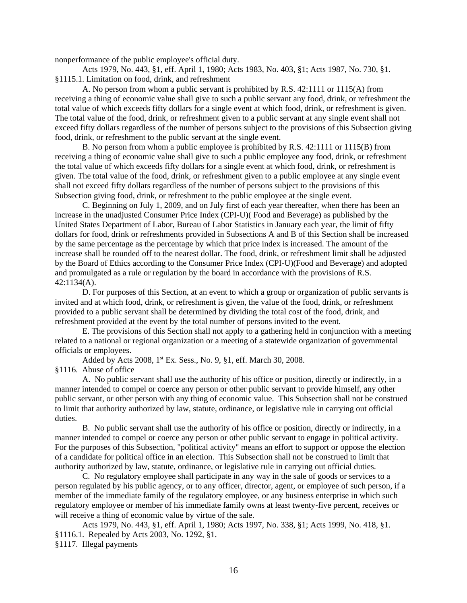nonperformance of the public employee's official duty.

Acts 1979, No. 443, §1, eff. April 1, 1980; Acts 1983, No. 403, §1; Acts 1987, No. 730, §1. §1115.1. Limitation on food, drink, and refreshment

A. No person from whom a public servant is prohibited by R.S. 42:1111 or 1115(A) from receiving a thing of economic value shall give to such a public servant any food, drink, or refreshment the total value of which exceeds fifty dollars for a single event at which food, drink, or refreshment is given. The total value of the food, drink, or refreshment given to a public servant at any single event shall not exceed fifty dollars regardless of the number of persons subject to the provisions of this Subsection giving food, drink, or refreshment to the public servant at the single event.

B. No person from whom a public employee is prohibited by R.S. 42:1111 or 1115(B) from receiving a thing of economic value shall give to such a public employee any food, drink, or refreshment the total value of which exceeds fifty dollars for a single event at which food, drink, or refreshment is given. The total value of the food, drink, or refreshment given to a public employee at any single event shall not exceed fifty dollars regardless of the number of persons subject to the provisions of this Subsection giving food, drink, or refreshment to the public employee at the single event.

C. Beginning on July 1, 2009, and on July first of each year thereafter, when there has been an increase in the unadjusted Consumer Price Index (CPI-U)( Food and Beverage) as published by the United States Department of Labor, Bureau of Labor Statistics in January each year, the limit of fifty dollars for food, drink or refreshments provided in Subsections A and B of this Section shall be increased by the same percentage as the percentage by which that price index is increased. The amount of the increase shall be rounded off to the nearest dollar. The food, drink, or refreshment limit shall be adjusted by the Board of Ethics according to the Consumer Price Index (CPI-U)(Food and Beverage) and adopted and promulgated as a rule or regulation by the board in accordance with the provisions of R.S. 42:1134(A).

D. For purposes of this Section, at an event to which a group or organization of public servants is invited and at which food, drink, or refreshment is given, the value of the food, drink, or refreshment provided to a public servant shall be determined by dividing the total cost of the food, drink, and refreshment provided at the event by the total number of persons invited to the event.

E. The provisions of this Section shall not apply to a gathering held in conjunction with a meeting related to a national or regional organization or a meeting of a statewide organization of governmental officials or employees.

Added by Acts 2008, 1<sup>st</sup> Ex. Sess., No. 9, §1, eff. March 30, 2008.

§1116. Abuse of office

A. No public servant shall use the authority of his office or position, directly or indirectly, in a manner intended to compel or coerce any person or other public servant to provide himself, any other public servant, or other person with any thing of economic value. This Subsection shall not be construed to limit that authority authorized by law, statute, ordinance, or legislative rule in carrying out official duties.

B. No public servant shall use the authority of his office or position, directly or indirectly, in a manner intended to compel or coerce any person or other public servant to engage in political activity. For the purposes of this Subsection, "political activity" means an effort to support or oppose the election of a candidate for political office in an election. This Subsection shall not be construed to limit that authority authorized by law, statute, ordinance, or legislative rule in carrying out official duties.

C. No regulatory employee shall participate in any way in the sale of goods or services to a person regulated by his public agency, or to any officer, director, agent, or employee of such person, if a member of the immediate family of the regulatory employee, or any business enterprise in which such regulatory employee or member of his immediate family owns at least twenty-five percent, receives or will receive a thing of economic value by virtue of the sale.

Acts 1979, No. 443, §1, eff. April 1, 1980; Acts 1997, No. 338, §1; Acts 1999, No. 418, §1. §1116.1. Repealed by Acts 2003, No. 1292, §1. §1117. Illegal payments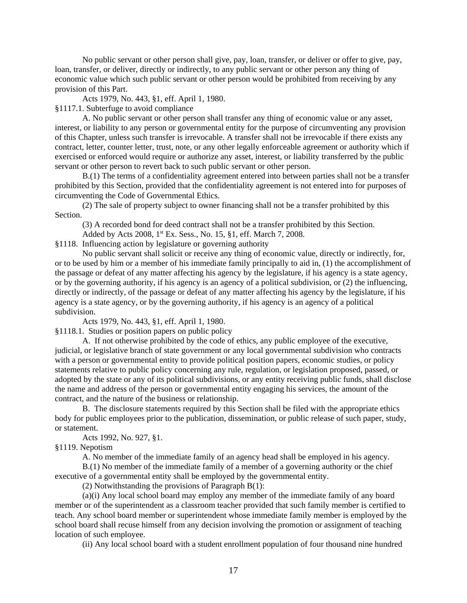No public servant or other person shall give, pay, loan, transfer, or deliver or offer to give, pay, loan, transfer, or deliver, directly or indirectly, to any public servant or other person any thing of economic value which such public servant or other person would be prohibited from receiving by any provision of this Part.

Acts 1979, No. 443, §1, eff. April 1, 1980.

§1117.1. Subterfuge to avoid compliance

A. No public servant or other person shall transfer any thing of economic value or any asset, interest, or liability to any person or governmental entity for the purpose of circumventing any provision of this Chapter, unless such transfer is irrevocable. A transfer shall not be irrevocable if there exists any contract, letter, counter letter, trust, note, or any other legally enforceable agreement or authority which if exercised or enforced would require or authorize any asset, interest, or liability transferred by the public servant or other person to revert back to such public servant or other person.

B.(1) The terms of a confidentiality agreement entered into between parties shall not be a transfer prohibited by this Section, provided that the confidentiality agreement is not entered into for purposes of circumventing the Code of Governmental Ethics.

(2) The sale of property subject to owner financing shall not be a transfer prohibited by this Section.

(3) A recorded bond for deed contract shall not be a transfer prohibited by this Section.

Added by Acts 2008, 1<sup>st</sup> Ex. Sess., No. 15, §1, eff. March 7, 2008.

§1118. Influencing action by legislature or governing authority

No public servant shall solicit or receive any thing of economic value, directly or indirectly, for, or to be used by him or a member of his immediate family principally to aid in, (1) the accomplishment of the passage or defeat of any matter affecting his agency by the legislature, if his agency is a state agency, or by the governing authority, if his agency is an agency of a political subdivision, or (2) the influencing, directly or indirectly, of the passage or defeat of any matter affecting his agency by the legislature, if his agency is a state agency, or by the governing authority, if his agency is an agency of a political subdivision.

Acts 1979, No. 443, §1, eff. April 1, 1980.

§1118.1. Studies or position papers on public policy

A. If not otherwise prohibited by the code of ethics, any public employee of the executive, judicial, or legislative branch of state government or any local governmental subdivision who contracts with a person or governmental entity to provide political position papers, economic studies, or policy statements relative to public policy concerning any rule, regulation, or legislation proposed, passed, or adopted by the state or any of its political subdivisions, or any entity receiving public funds, shall disclose the name and address of the person or governmental entity engaging his services, the amount of the contract, and the nature of the business or relationship.

B. The disclosure statements required by this Section shall be filed with the appropriate ethics body for public employees prior to the publication, dissemination, or public release of such paper, study, or statement.

Acts 1992, No. 927, §1.

§1119. Nepotism

A. No member of the immediate family of an agency head shall be employed in his agency.

B.(1) No member of the immediate family of a member of a governing authority or the chief executive of a governmental entity shall be employed by the governmental entity.

(2) Notwithstanding the provisions of Paragraph B(1):

(a)(i) Any local school board may employ any member of the immediate family of any board member or of the superintendent as a classroom teacher provided that such family member is certified to teach. Any school board member or superintendent whose immediate family member is employed by the school board shall recuse himself from any decision involving the promotion or assignment of teaching location of such employee.

(ii) Any local school board with a student enrollment population of four thousand nine hundred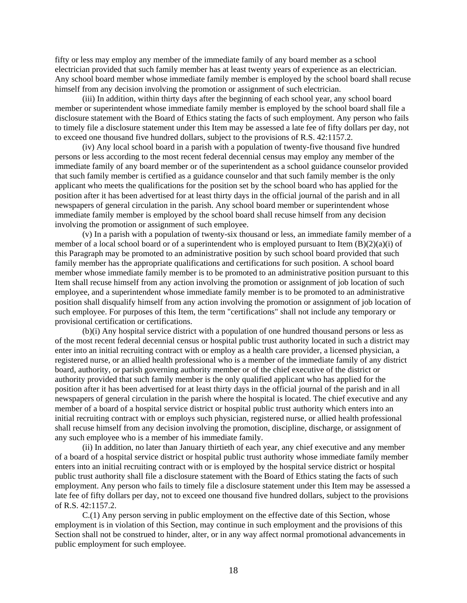fifty or less may employ any member of the immediate family of any board member as a school electrician provided that such family member has at least twenty years of experience as an electrician. Any school board member whose immediate family member is employed by the school board shall recuse himself from any decision involving the promotion or assignment of such electrician.

 (iii) In addition, within thirty days after the beginning of each school year, any school board member or superintendent whose immediate family member is employed by the school board shall file a disclosure statement with the Board of Ethics stating the facts of such employment. Any person who fails to timely file a disclosure statement under this Item may be assessed a late fee of fifty dollars per day, not to exceed one thousand five hundred dollars, subject to the provisions of R.S. 42:1157.2.

(iv) Any local school board in a parish with a population of twenty-five thousand five hundred persons or less according to the most recent federal decennial census may employ any member of the immediate family of any board member or of the superintendent as a school guidance counselor provided that such family member is certified as a guidance counselor and that such family member is the only applicant who meets the qualifications for the position set by the school board who has applied for the position after it has been advertised for at least thirty days in the official journal of the parish and in all newspapers of general circulation in the parish. Any school board member or superintendent whose immediate family member is employed by the school board shall recuse himself from any decision involving the promotion or assignment of such employee.

(v) In a parish with a population of twenty-six thousand or less, an immediate family member of a member of a local school board or of a superintendent who is employed pursuant to Item  $(B)(2)(a)(i)$  of this Paragraph may be promoted to an administrative position by such school board provided that such family member has the appropriate qualifications and certifications for such position. A school board member whose immediate family member is to be promoted to an administrative position pursuant to this Item shall recuse himself from any action involving the promotion or assignment of job location of such employee, and a superintendent whose immediate family member is to be promoted to an administrative position shall disqualify himself from any action involving the promotion or assignment of job location of such employee. For purposes of this Item, the term "certifications" shall not include any temporary or provisional certification or certifications.

(b)(i) Any hospital service district with a population of one hundred thousand persons or less as of the most recent federal decennial census or hospital public trust authority located in such a district may enter into an initial recruiting contract with or employ as a health care provider, a licensed physician, a registered nurse, or an allied health professional who is a member of the immediate family of any district board, authority, or parish governing authority member or of the chief executive of the district or authority provided that such family member is the only qualified applicant who has applied for the position after it has been advertised for at least thirty days in the official journal of the parish and in all newspapers of general circulation in the parish where the hospital is located. The chief executive and any member of a board of a hospital service district or hospital public trust authority which enters into an initial recruiting contract with or employs such physician, registered nurse, or allied health professional shall recuse himself from any decision involving the promotion, discipline, discharge, or assignment of any such employee who is a member of his immediate family.

(ii) In addition, no later than January thirtieth of each year, any chief executive and any member of a board of a hospital service district or hospital public trust authority whose immediate family member enters into an initial recruiting contract with or is employed by the hospital service district or hospital public trust authority shall file a disclosure statement with the Board of Ethics stating the facts of such employment. Any person who fails to timely file a disclosure statement under this Item may be assessed a late fee of fifty dollars per day, not to exceed one thousand five hundred dollars, subject to the provisions of R.S. 42:1157.2.

C.(1) Any person serving in public employment on the effective date of this Section, whose employment is in violation of this Section, may continue in such employment and the provisions of this Section shall not be construed to hinder, alter, or in any way affect normal promotional advancements in public employment for such employee.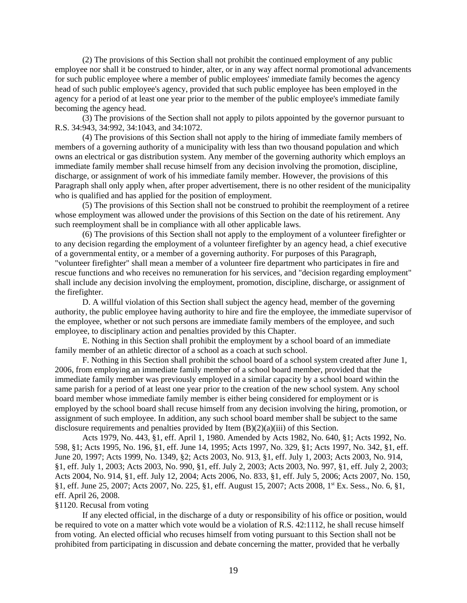(2) The provisions of this Section shall not prohibit the continued employment of any public employee nor shall it be construed to hinder, alter, or in any way affect normal promotional advancements for such public employee where a member of public employees' immediate family becomes the agency head of such public employee's agency, provided that such public employee has been employed in the agency for a period of at least one year prior to the member of the public employee's immediate family becoming the agency head.

(3) The provisions of the Section shall not apply to pilots appointed by the governor pursuant to R.S. 34:943, 34:992, 34:1043, and 34:1072.

(4) The provisions of this Section shall not apply to the hiring of immediate family members of members of a governing authority of a municipality with less than two thousand population and which owns an electrical or gas distribution system. Any member of the governing authority which employs an immediate family member shall recuse himself from any decision involving the promotion, discipline, discharge, or assignment of work of his immediate family member. However, the provisions of this Paragraph shall only apply when, after proper advertisement, there is no other resident of the municipality who is qualified and has applied for the position of employment.

(5) The provisions of this Section shall not be construed to prohibit the reemployment of a retiree whose employment was allowed under the provisions of this Section on the date of his retirement. Any such reemployment shall be in compliance with all other applicable laws.

(6) The provisions of this Section shall not apply to the employment of a volunteer firefighter or to any decision regarding the employment of a volunteer firefighter by an agency head, a chief executive of a governmental entity, or a member of a governing authority. For purposes of this Paragraph, "volunteer firefighter" shall mean a member of a volunteer fire department who participates in fire and rescue functions and who receives no remuneration for his services, and "decision regarding employment" shall include any decision involving the employment, promotion, discipline, discharge, or assignment of the firefighter.

D. A willful violation of this Section shall subject the agency head, member of the governing authority, the public employee having authority to hire and fire the employee, the immediate supervisor of the employee, whether or not such persons are immediate family members of the employee, and such employee, to disciplinary action and penalties provided by this Chapter.

E. Nothing in this Section shall prohibit the employment by a school board of an immediate family member of an athletic director of a school as a coach at such school.

F. Nothing in this Section shall prohibit the school board of a school system created after June 1, 2006, from employing an immediate family member of a school board member, provided that the immediate family member was previously employed in a similar capacity by a school board within the same parish for a period of at least one year prior to the creation of the new school system. Any school board member whose immediate family member is either being considered for employment or is employed by the school board shall recuse himself from any decision involving the hiring, promotion, or assignment of such employee. In addition, any such school board member shall be subject to the same disclosure requirements and penalties provided by Item (B)(2)(a)(iii) of this Section.

Acts 1979, No. 443, §1, eff. April 1, 1980. Amended by Acts 1982, No. 640, §1; Acts 1992, No. 598, §1; Acts 1995, No. 196, §1, eff. June 14, 1995; Acts 1997, No. 329, §1; Acts 1997, No. 342, §1, eff. June 20, 1997; Acts 1999, No. 1349, §2; Acts 2003, No. 913, §1, eff. July 1, 2003; Acts 2003, No. 914, §1, eff. July 1, 2003; Acts 2003, No. 990, §1, eff. July 2, 2003; Acts 2003, No. 997, §1, eff. July 2, 2003; Acts 2004, No. 914, §1, eff. July 12, 2004; Acts 2006, No. 833, §1, eff. July 5, 2006; Acts 2007, No. 150, §1, eff. June 25, 2007; Acts 2007, No. 225, §1, eff. August 15, 2007; Acts 2008, 1st Ex. Sess., No. 6, §1, eff. April 26, 2008.

#### §1120. Recusal from voting

If any elected official, in the discharge of a duty or responsibility of his office or position, would be required to vote on a matter which vote would be a violation of R.S. 42:1112, he shall recuse himself from voting. An elected official who recuses himself from voting pursuant to this Section shall not be prohibited from participating in discussion and debate concerning the matter, provided that he verbally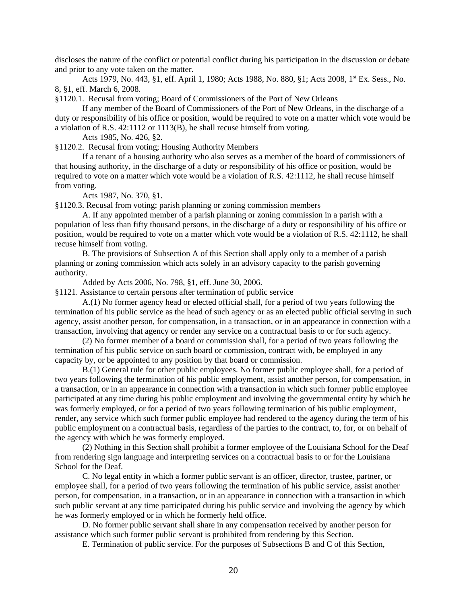discloses the nature of the conflict or potential conflict during his participation in the discussion or debate and prior to any vote taken on the matter.

Acts 1979, No. 443, §1, eff. April 1, 1980; Acts 1988, No. 880, §1; Acts 2008, 1<sup>st</sup> Ex. Sess., No. 8, §1, eff. March 6, 2008.

§1120.1. Recusal from voting; Board of Commissioners of the Port of New Orleans

If any member of the Board of Commissioners of the Port of New Orleans, in the discharge of a duty or responsibility of his office or position, would be required to vote on a matter which vote would be a violation of R.S. 42:1112 or 1113(B), he shall recuse himself from voting.

Acts 1985, No. 426, §2.

§1120.2. Recusal from voting; Housing Authority Members

If a tenant of a housing authority who also serves as a member of the board of commissioners of that housing authority, in the discharge of a duty or responsibility of his office or position, would be required to vote on a matter which vote would be a violation of R.S. 42:1112, he shall recuse himself from voting.

Acts 1987, No. 370, §1.

§1120.3. Recusal from voting; parish planning or zoning commission members

A. If any appointed member of a parish planning or zoning commission in a parish with a population of less than fifty thousand persons, in the discharge of a duty or responsibility of his office or position, would be required to vote on a matter which vote would be a violation of R.S. 42:1112, he shall recuse himself from voting.

B. The provisions of Subsection A of this Section shall apply only to a member of a parish planning or zoning commission which acts solely in an advisory capacity to the parish governing authority.

Added by Acts 2006, No. 798, §1, eff. June 30, 2006.

§1121. Assistance to certain persons after termination of public service

A.(1) No former agency head or elected official shall, for a period of two years following the termination of his public service as the head of such agency or as an elected public official serving in such agency, assist another person, for compensation, in a transaction, or in an appearance in connection with a transaction, involving that agency or render any service on a contractual basis to or for such agency.

(2) No former member of a board or commission shall, for a period of two years following the termination of his public service on such board or commission, contract with, be employed in any capacity by, or be appointed to any position by that board or commission.

B.(1) General rule for other public employees. No former public employee shall, for a period of two years following the termination of his public employment, assist another person, for compensation, in a transaction, or in an appearance in connection with a transaction in which such former public employee participated at any time during his public employment and involving the governmental entity by which he was formerly employed, or for a period of two years following termination of his public employment, render, any service which such former public employee had rendered to the agency during the term of his public employment on a contractual basis, regardless of the parties to the contract, to, for, or on behalf of the agency with which he was formerly employed.

(2) Nothing in this Section shall prohibit a former employee of the Louisiana School for the Deaf from rendering sign language and interpreting services on a contractual basis to or for the Louisiana School for the Deaf.

C. No legal entity in which a former public servant is an officer, director, trustee, partner, or employee shall, for a period of two years following the termination of his public service, assist another person, for compensation, in a transaction, or in an appearance in connection with a transaction in which such public servant at any time participated during his public service and involving the agency by which he was formerly employed or in which he formerly held office.

D. No former public servant shall share in any compensation received by another person for assistance which such former public servant is prohibited from rendering by this Section.

E. Termination of public service. For the purposes of Subsections B and C of this Section,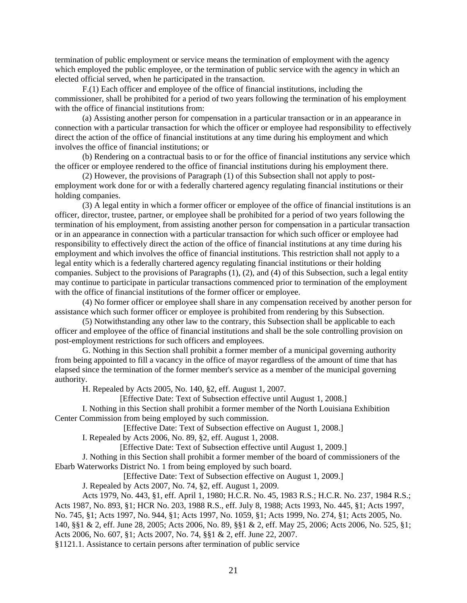termination of public employment or service means the termination of employment with the agency which employed the public employee, or the termination of public service with the agency in which an elected official served, when he participated in the transaction.

F.(1) Each officer and employee of the office of financial institutions, including the commissioner, shall be prohibited for a period of two years following the termination of his employment with the office of financial institutions from:

(a) Assisting another person for compensation in a particular transaction or in an appearance in connection with a particular transaction for which the officer or employee had responsibility to effectively direct the action of the office of financial institutions at any time during his employment and which involves the office of financial institutions; or

(b) Rendering on a contractual basis to or for the office of financial institutions any service which the officer or employee rendered to the office of financial institutions during his employment there.

(2) However, the provisions of Paragraph (1) of this Subsection shall not apply to postemployment work done for or with a federally chartered agency regulating financial institutions or their holding companies.

(3) A legal entity in which a former officer or employee of the office of financial institutions is an officer, director, trustee, partner, or employee shall be prohibited for a period of two years following the termination of his employment, from assisting another person for compensation in a particular transaction or in an appearance in connection with a particular transaction for which such officer or employee had responsibility to effectively direct the action of the office of financial institutions at any time during his employment and which involves the office of financial institutions. This restriction shall not apply to a legal entity which is a federally chartered agency regulating financial institutions or their holding companies. Subject to the provisions of Paragraphs (1), (2), and (4) of this Subsection, such a legal entity may continue to participate in particular transactions commenced prior to termination of the employment with the office of financial institutions of the former officer or employee.

(4) No former officer or employee shall share in any compensation received by another person for assistance which such former officer or employee is prohibited from rendering by this Subsection.

(5) Notwithstanding any other law to the contrary, this Subsection shall be applicable to each officer and employee of the office of financial institutions and shall be the sole controlling provision on post-employment restrictions for such officers and employees.

G. Nothing in this Section shall prohibit a former member of a municipal governing authority from being appointed to fill a vacancy in the office of mayor regardless of the amount of time that has elapsed since the termination of the former member's service as a member of the municipal governing authority.

H. Repealed by Acts 2005, No. 140, §2, eff. August 1, 2007.

[Effective Date: Text of Subsection effective until August 1, 2008.]

I. Nothing in this Section shall prohibit a former member of the North Louisiana Exhibition Center Commission from being employed by such commission.

[Effective Date: Text of Subsection effective on August 1, 2008.]

I. Repealed by Acts 2006, No. 89, §2, eff. August 1, 2008.

[Effective Date: Text of Subsection effective until August 1, 2009.]

J. Nothing in this Section shall prohibit a former member of the board of commissioners of the Ebarb Waterworks District No. 1 from being employed by such board.

[Effective Date: Text of Subsection effective on August 1, 2009.]

J. Repealed by Acts 2007, No. 74, §2, eff. August 1, 2009.

Acts 1979, No. 443, §1, eff. April 1, 1980; H.C.R. No. 45, 1983 R.S.; H.C.R. No. 237, 1984 R.S.; Acts 1987, No. 893, §1; HCR No. 203, 1988 R.S., eff. July 8, 1988; Acts 1993, No. 445, §1; Acts 1997, No. 745, §1; Acts 1997, No. 944, §1; Acts 1997, No. 1059, §1; Acts 1999, No. 274, §1; Acts 2005, No.

140, §§1 & 2, eff. June 28, 2005; Acts 2006, No. 89, §§1 & 2, eff. May 25, 2006; Acts 2006, No. 525, §1; Acts 2006, No. 607, §1; Acts 2007, No. 74, §§1 & 2, eff. June 22, 2007.

§1121.1. Assistance to certain persons after termination of public service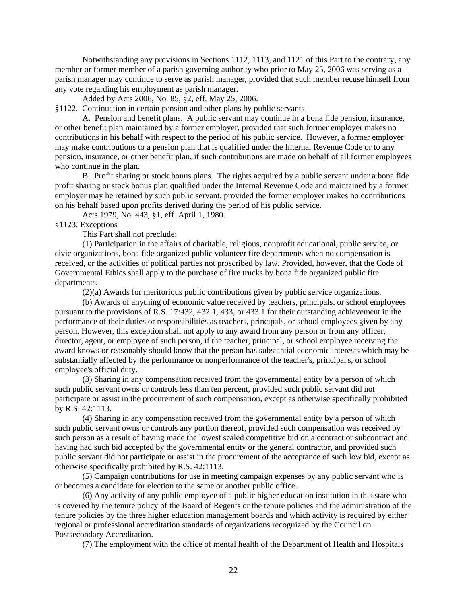Notwithstanding any provisions in Sections 1112, 1113, and 1121 of this Part to the contrary, any member or former member of a parish governing authority who prior to May 25, 2006 was serving as a parish manager may continue to serve as parish manager, provided that such member recuse himself from any vote regarding his employment as parish manager.

Added by Acts 2006, No. 85, §2, eff. May 25, 2006.

§1122. Continuation in certain pension and other plans by public servants

A. Pension and benefit plans. A public servant may continue in a bona fide pension, insurance, or other benefit plan maintained by a former employer, provided that such former employer makes no contributions in his behalf with respect to the period of his public service. However, a former employer may make contributions to a pension plan that is qualified under the Internal Revenue Code or to any pension, insurance, or other benefit plan, if such contributions are made on behalf of all former employees who continue in the plan.

B. Profit sharing or stock bonus plans. The rights acquired by a public servant under a bona fide profit sharing or stock bonus plan qualified under the Internal Revenue Code and maintained by a former employer may be retained by such public servant, provided the former employer makes no contributions on his behalf based upon profits derived during the period of his public service.

Acts 1979, No. 443, §1, eff. April 1, 1980.

§1123. Exceptions

This Part shall not preclude:

(1) Participation in the affairs of charitable, religious, nonprofit educational, public service, or civic organizations, bona fide organized public volunteer fire departments when no compensation is received, or the activities of political parties not proscribed by law. Provided, however, that the Code of Governmental Ethics shall apply to the purchase of fire trucks by bona fide organized public fire departments.

(2)(a) Awards for meritorious public contributions given by public service organizations.

(b) Awards of anything of economic value received by teachers, principals, or school employees pursuant to the provisions of R.S. 17:432, 432.1, 433, or 433.1 for their outstanding achievement in the performance of their duties or responsibilities as teachers, principals, or school employees given by any person. However, this exception shall not apply to any award from any person or from any officer, director, agent, or employee of such person, if the teacher, principal, or school employee receiving the award knows or reasonably should know that the person has substantial economic interests which may be substantially affected by the performance or nonperformance of the teacher's, principal's, or school employee's official duty.

(3) Sharing in any compensation received from the governmental entity by a person of which such public servant owns or controls less than ten percent, provided such public servant did not participate or assist in the procurement of such compensation, except as otherwise specifically prohibited by R.S. 42:1113.

(4) Sharing in any compensation received from the governmental entity by a person of which such public servant owns or controls any portion thereof, provided such compensation was received by such person as a result of having made the lowest sealed competitive bid on a contract or subcontract and having had such bid accepted by the governmental entity or the general contractor, and provided such public servant did not participate or assist in the procurement of the acceptance of such low bid, except as otherwise specifically prohibited by R.S. 42:1113.

(5) Campaign contributions for use in meeting campaign expenses by any public servant who is or becomes a candidate for election to the same or another public office.

(6) Any activity of any public employee of a public higher education institution in this state who is covered by the tenure policy of the Board of Regents or the tenure policies and the administration of the tenure policies by the three higher education management boards and which activity is required by either regional or professional accreditation standards of organizations recognized by the Council on Postsecondary Accreditation.

(7) The employment with the office of mental health of the Department of Health and Hospitals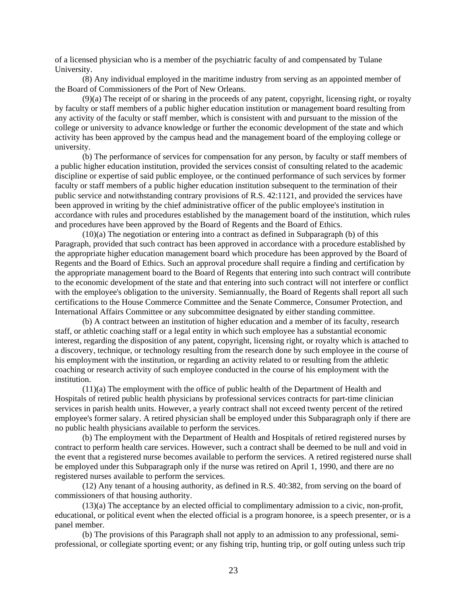of a licensed physician who is a member of the psychiatric faculty of and compensated by Tulane University.

(8) Any individual employed in the maritime industry from serving as an appointed member of the Board of Commissioners of the Port of New Orleans.

(9)(a) The receipt of or sharing in the proceeds of any patent, copyright, licensing right, or royalty by faculty or staff members of a public higher education institution or management board resulting from any activity of the faculty or staff member, which is consistent with and pursuant to the mission of the college or university to advance knowledge or further the economic development of the state and which activity has been approved by the campus head and the management board of the employing college or university.

(b) The performance of services for compensation for any person, by faculty or staff members of a public higher education institution, provided the services consist of consulting related to the academic discipline or expertise of said public employee, or the continued performance of such services by former faculty or staff members of a public higher education institution subsequent to the termination of their public service and notwithstanding contrary provisions of R.S. 42:1121, and provided the services have been approved in writing by the chief administrative officer of the public employee's institution in accordance with rules and procedures established by the management board of the institution, which rules and procedures have been approved by the Board of Regents and the Board of Ethics.

(10)(a) The negotiation or entering into a contract as defined in Subparagraph (b) of this Paragraph, provided that such contract has been approved in accordance with a procedure established by the appropriate higher education management board which procedure has been approved by the Board of Regents and the Board of Ethics. Such an approval procedure shall require a finding and certification by the appropriate management board to the Board of Regents that entering into such contract will contribute to the economic development of the state and that entering into such contract will not interfere or conflict with the employee's obligation to the university. Semiannually, the Board of Regents shall report all such certifications to the House Commerce Committee and the Senate Commerce, Consumer Protection, and International Affairs Committee or any subcommittee designated by either standing committee.

(b) A contract between an institution of higher education and a member of its faculty, research staff, or athletic coaching staff or a legal entity in which such employee has a substantial economic interest, regarding the disposition of any patent, copyright, licensing right, or royalty which is attached to a discovery, technique, or technology resulting from the research done by such employee in the course of his employment with the institution, or regarding an activity related to or resulting from the athletic coaching or research activity of such employee conducted in the course of his employment with the institution.

(11)(a) The employment with the office of public health of the Department of Health and Hospitals of retired public health physicians by professional services contracts for part-time clinician services in parish health units. However, a yearly contract shall not exceed twenty percent of the retired employee's former salary. A retired physician shall be employed under this Subparagraph only if there are no public health physicians available to perform the services.

(b) The employment with the Department of Health and Hospitals of retired registered nurses by contract to perform health care services. However, such a contract shall be deemed to be null and void in the event that a registered nurse becomes available to perform the services. A retired registered nurse shall be employed under this Subparagraph only if the nurse was retired on April 1, 1990, and there are no registered nurses available to perform the services.

(12) Any tenant of a housing authority, as defined in R.S. 40:382, from serving on the board of commissioners of that housing authority.

(13)(a) The acceptance by an elected official to complimentary admission to a civic, non-profit, educational, or political event when the elected official is a program honoree, is a speech presenter, or is a panel member.

(b) The provisions of this Paragraph shall not apply to an admission to any professional, semiprofessional, or collegiate sporting event; or any fishing trip, hunting trip, or golf outing unless such trip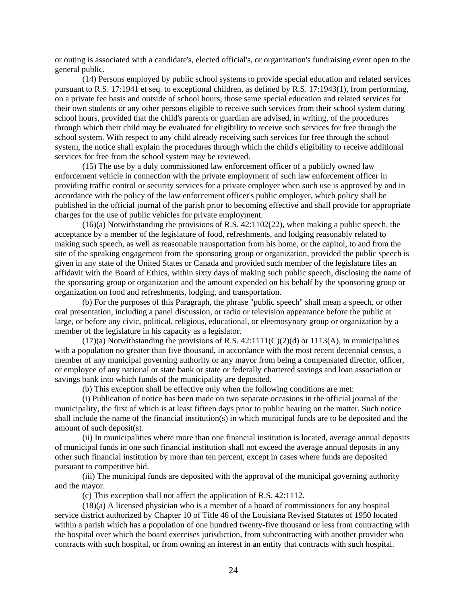or outing is associated with a candidate's, elected official's, or organization's fundraising event open to the general public.

(14) Persons employed by public school systems to provide special education and related services pursuant to R.S. 17:1941 et seq. to exceptional children, as defined by R.S. 17:1943(1), from performing, on a private fee basis and outside of school hours, those same special education and related services for their own students or any other persons eligible to receive such services from their school system during school hours, provided that the child's parents or guardian are advised, in writing, of the procedures through which their child may be evaluated for eligibility to receive such services for free through the school system. With respect to any child already receiving such services for free through the school system, the notice shall explain the procedures through which the child's eligibility to receive additional services for free from the school system may be reviewed.

(15) The use by a duly commissioned law enforcement officer of a publicly owned law enforcement vehicle in connection with the private employment of such law enforcement officer in providing traffic control or security services for a private employer when such use is approved by and in accordance with the policy of the law enforcement officer's public employer, which policy shall be published in the official journal of the parish prior to becoming effective and shall provide for appropriate charges for the use of public vehicles for private employment.

 $(16)(a)$  Notwithstanding the provisions of R.S. 42:1102(22), when making a public speech, the acceptance by a member of the legislature of food, refreshments, and lodging reasonably related to making such speech, as well as reasonable transportation from his home, or the capitol, to and from the site of the speaking engagement from the sponsoring group or organization, provided the public speech is given in any state of the United States or Canada and provided such member of the legislature files an affidavit with the Board of Ethics, within sixty days of making such public speech, disclosing the name of the sponsoring group or organization and the amount expended on his behalf by the sponsoring group or organization on food and refreshments, lodging, and transportation.

(b) For the purposes of this Paragraph, the phrase "public speech" shall mean a speech, or other oral presentation, including a panel discussion, or radio or television appearance before the public at large, or before any civic, political, religious, educational, or eleemosynary group or organization by a member of the legislature in his capacity as a legislator.

 $(17)(a)$  Notwithstanding the provisions of R.S. 42:1111(C)(2)(d) or 1113(A), in municipalities with a population no greater than five thousand, in accordance with the most recent decennial census, a member of any municipal governing authority or any mayor from being a compensated director, officer, or employee of any national or state bank or state or federally chartered savings and loan association or savings bank into which funds of the municipality are deposited.

(b) This exception shall be effective only when the following conditions are met:

(i) Publication of notice has been made on two separate occasions in the official journal of the municipality, the first of which is at least fifteen days prior to public hearing on the matter. Such notice shall include the name of the financial institution(s) in which municipal funds are to be deposited and the amount of such deposit(s).

(ii) In municipalities where more than one financial institution is located, average annual deposits of municipal funds in one such financial institution shall not exceed the average annual deposits in any other such financial institution by more than ten percent, except in cases where funds are deposited pursuant to competitive bid.

(iii) The municipal funds are deposited with the approval of the municipal governing authority and the mayor.

(c) This exception shall not affect the application of R.S. 42:1112.

(18)(a) A licensed physician who is a member of a board of commissioners for any hospital service district authorized by Chapter 10 of Title 46 of the Louisiana Revised Statutes of 1950 located within a parish which has a population of one hundred twenty-five thousand or less from contracting with the hospital over which the board exercises jurisdiction, from subcontracting with another provider who contracts with such hospital, or from owning an interest in an entity that contracts with such hospital.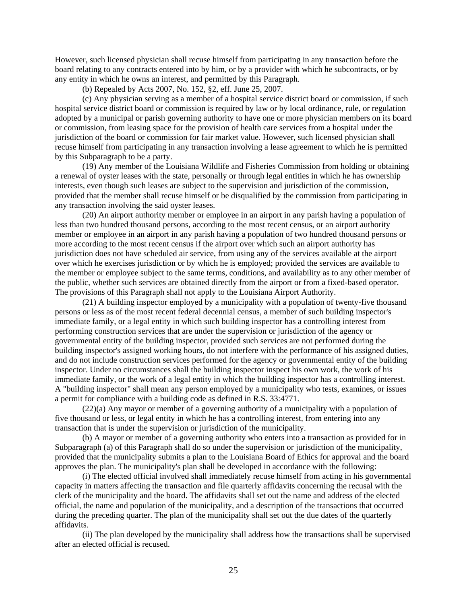However, such licensed physician shall recuse himself from participating in any transaction before the board relating to any contracts entered into by him, or by a provider with which he subcontracts, or by any entity in which he owns an interest, and permitted by this Paragraph.

(b) Repealed by Acts 2007, No. 152, §2, eff. June 25, 2007.

(c) Any physician serving as a member of a hospital service district board or commission, if such hospital service district board or commission is required by law or by local ordinance, rule, or regulation adopted by a municipal or parish governing authority to have one or more physician members on its board or commission, from leasing space for the provision of health care services from a hospital under the jurisdiction of the board or commission for fair market value. However, such licensed physician shall recuse himself from participating in any transaction involving a lease agreement to which he is permitted by this Subparagraph to be a party.

(19) Any member of the Louisiana Wildlife and Fisheries Commission from holding or obtaining a renewal of oyster leases with the state, personally or through legal entities in which he has ownership interests, even though such leases are subject to the supervision and jurisdiction of the commission, provided that the member shall recuse himself or be disqualified by the commission from participating in any transaction involving the said oyster leases.

(20) An airport authority member or employee in an airport in any parish having a population of less than two hundred thousand persons, according to the most recent census, or an airport authority member or employee in an airport in any parish having a population of two hundred thousand persons or more according to the most recent census if the airport over which such an airport authority has jurisdiction does not have scheduled air service, from using any of the services available at the airport over which he exercises jurisdiction or by which he is employed; provided the services are available to the member or employee subject to the same terms, conditions, and availability as to any other member of the public, whether such services are obtained directly from the airport or from a fixed-based operator. The provisions of this Paragraph shall not apply to the Louisiana Airport Authority.

(21) A building inspector employed by a municipality with a population of twenty-five thousand persons or less as of the most recent federal decennial census, a member of such building inspector's immediate family, or a legal entity in which such building inspector has a controlling interest from performing construction services that are under the supervision or jurisdiction of the agency or governmental entity of the building inspector, provided such services are not performed during the building inspector's assigned working hours, do not interfere with the performance of his assigned duties, and do not include construction services performed for the agency or governmental entity of the building inspector. Under no circumstances shall the building inspector inspect his own work, the work of his immediate family, or the work of a legal entity in which the building inspector has a controlling interest. A "building inspector" shall mean any person employed by a municipality who tests, examines, or issues a permit for compliance with a building code as defined in R.S. 33:4771.

(22)(a) Any mayor or member of a governing authority of a municipality with a population of five thousand or less, or legal entity in which he has a controlling interest, from entering into any transaction that is under the supervision or jurisdiction of the municipality.

(b) A mayor or member of a governing authority who enters into a transaction as provided for in Subparagraph (a) of this Paragraph shall do so under the supervision or jurisdiction of the municipality, provided that the municipality submits a plan to the Louisiana Board of Ethics for approval and the board approves the plan. The municipality's plan shall be developed in accordance with the following:

(i) The elected official involved shall immediately recuse himself from acting in his governmental capacity in matters affecting the transaction and file quarterly affidavits concerning the recusal with the clerk of the municipality and the board. The affidavits shall set out the name and address of the elected official, the name and population of the municipality, and a description of the transactions that occurred during the preceding quarter. The plan of the municipality shall set out the due dates of the quarterly affidavits.

(ii) The plan developed by the municipality shall address how the transactions shall be supervised after an elected official is recused.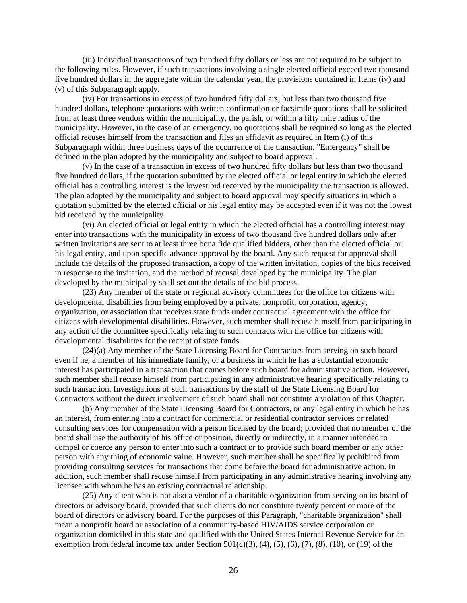(iii) Individual transactions of two hundred fifty dollars or less are not required to be subject to the following rules. However, if such transactions involving a single elected official exceed two thousand five hundred dollars in the aggregate within the calendar year, the provisions contained in Items (iv) and (v) of this Subparagraph apply.

(iv) For transactions in excess of two hundred fifty dollars, but less than two thousand five hundred dollars, telephone quotations with written confirmation or facsimile quotations shall be solicited from at least three vendors within the municipality, the parish, or within a fifty mile radius of the municipality. However, in the case of an emergency, no quotations shall be required so long as the elected official recuses himself from the transaction and files an affidavit as required in Item (i) of this Subparagraph within three business days of the occurrence of the transaction. "Emergency" shall be defined in the plan adopted by the municipality and subject to board approval.

(v) In the case of a transaction in excess of two hundred fifty dollars but less than two thousand five hundred dollars, if the quotation submitted by the elected official or legal entity in which the elected official has a controlling interest is the lowest bid received by the municipality the transaction is allowed. The plan adopted by the municipality and subject to board approval may specify situations in which a quotation submitted by the elected official or his legal entity may be accepted even if it was not the lowest bid received by the municipality.

(vi) An elected official or legal entity in which the elected official has a controlling interest may enter into transactions with the municipality in excess of two thousand five hundred dollars only after written invitations are sent to at least three bona fide qualified bidders, other than the elected official or his legal entity, and upon specific advance approval by the board. Any such request for approval shall include the details of the proposed transaction, a copy of the written invitation, copies of the bids received in response to the invitation, and the method of recusal developed by the municipality. The plan developed by the municipality shall set out the details of the bid process.

(23) Any member of the state or regional advisory committees for the office for citizens with developmental disabilities from being employed by a private, nonprofit, corporation, agency, organization, or association that receives state funds under contractual agreement with the office for citizens with developmental disabilities. However, such member shall recuse himself from participating in any action of the committee specifically relating to such contracts with the office for citizens with developmental disabilities for the receipt of state funds.

(24)(a) Any member of the State Licensing Board for Contractors from serving on such board even if he, a member of his immediate family, or a business in which he has a substantial economic interest has participated in a transaction that comes before such board for administrative action. However, such member shall recuse himself from participating in any administrative hearing specifically relating to such transaction. Investigations of such transactions by the staff of the State Licensing Board for Contractors without the direct involvement of such board shall not constitute a violation of this Chapter.

(b) Any member of the State Licensing Board for Contractors, or any legal entity in which he has an interest, from entering into a contract for commercial or residential contractor services or related consulting services for compensation with a person licensed by the board; provided that no member of the board shall use the authority of his office or position, directly or indirectly, in a manner intended to compel or coerce any person to enter into such a contract or to provide such board member or any other person with any thing of economic value. However, such member shall be specifically prohibited from providing consulting services for transactions that come before the board for administrative action. In addition, such member shall recuse himself from participating in any administrative hearing involving any licensee with whom he has an existing contractual relationship.

(25) Any client who is not also a vendor of a charitable organization from serving on its board of directors or advisory board, provided that such clients do not constitute twenty percent or more of the board of directors or advisory board. For the purposes of this Paragraph, "charitable organization" shall mean a nonprofit board or association of a community-based HIV/AIDS service corporation or organization domiciled in this state and qualified with the United States Internal Revenue Service for an exemption from federal income tax under Section  $501(c)(3)$ ,  $(4)$ ,  $(5)$ ,  $(6)$ ,  $(7)$ ,  $(8)$ ,  $(10)$ , or  $(19)$  of the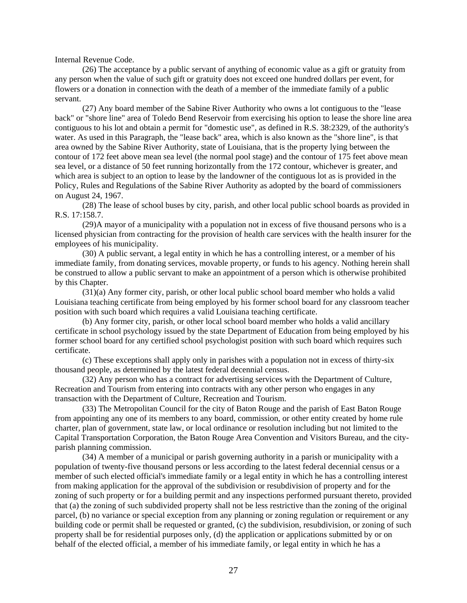Internal Revenue Code.

(26) The acceptance by a public servant of anything of economic value as a gift or gratuity from any person when the value of such gift or gratuity does not exceed one hundred dollars per event, for flowers or a donation in connection with the death of a member of the immediate family of a public servant.

(27) Any board member of the Sabine River Authority who owns a lot contiguous to the "lease back" or "shore line" area of Toledo Bend Reservoir from exercising his option to lease the shore line area contiguous to his lot and obtain a permit for "domestic use", as defined in R.S. 38:2329, of the authority's water. As used in this Paragraph, the "lease back" area, which is also known as the "shore line", is that area owned by the Sabine River Authority, state of Louisiana, that is the property lying between the contour of 172 feet above mean sea level (the normal pool stage) and the contour of 175 feet above mean sea level, or a distance of 50 feet running horizontally from the 172 contour, whichever is greater, and which area is subject to an option to lease by the landowner of the contiguous lot as is provided in the Policy, Rules and Regulations of the Sabine River Authority as adopted by the board of commissioners on August 24, 1967.

(28) The lease of school buses by city, parish, and other local public school boards as provided in R.S. 17:158.7.

(29)A mayor of a municipality with a population not in excess of five thousand persons who is a licensed physician from contracting for the provision of health care services with the health insurer for the employees of his municipality.

(30) A public servant, a legal entity in which he has a controlling interest, or a member of his immediate family, from donating services, movable property, or funds to his agency. Nothing herein shall be construed to allow a public servant to make an appointment of a person which is otherwise prohibited by this Chapter.

(31)(a) Any former city, parish, or other local public school board member who holds a valid Louisiana teaching certificate from being employed by his former school board for any classroom teacher position with such board which requires a valid Louisiana teaching certificate.

(b) Any former city, parish, or other local school board member who holds a valid ancillary certificate in school psychology issued by the state Department of Education from being employed by his former school board for any certified school psychologist position with such board which requires such certificate.

(c) These exceptions shall apply only in parishes with a population not in excess of thirty-six thousand people, as determined by the latest federal decennial census.

(32) Any person who has a contract for advertising services with the Department of Culture, Recreation and Tourism from entering into contracts with any other person who engages in any transaction with the Department of Culture, Recreation and Tourism.

(33) The Metropolitan Council for the city of Baton Rouge and the parish of East Baton Rouge from appointing any one of its members to any board, commission, or other entity created by home rule charter, plan of government, state law, or local ordinance or resolution including but not limited to the Capital Transportation Corporation, the Baton Rouge Area Convention and Visitors Bureau, and the cityparish planning commission.

(34) A member of a municipal or parish governing authority in a parish or municipality with a population of twenty-five thousand persons or less according to the latest federal decennial census or a member of such elected official's immediate family or a legal entity in which he has a controlling interest from making application for the approval of the subdivision or resubdivision of property and for the zoning of such property or for a building permit and any inspections performed pursuant thereto, provided that (a) the zoning of such subdivided property shall not be less restrictive than the zoning of the original parcel, (b) no variance or special exception from any planning or zoning regulation or requirement or any building code or permit shall be requested or granted, (c) the subdivision, resubdivision, or zoning of such property shall be for residential purposes only, (d) the application or applications submitted by or on behalf of the elected official, a member of his immediate family, or legal entity in which he has a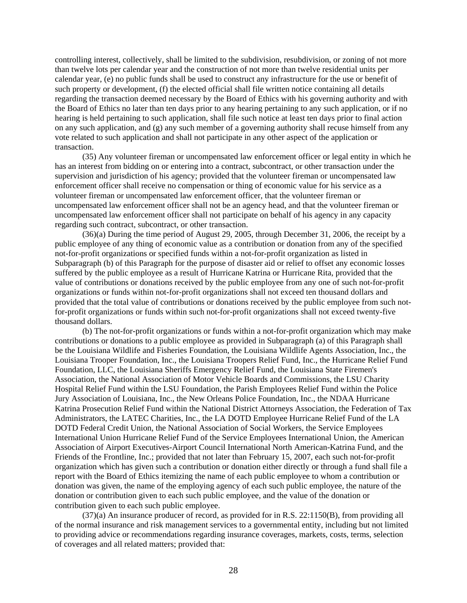controlling interest, collectively, shall be limited to the subdivision, resubdivision, or zoning of not more than twelve lots per calendar year and the construction of not more than twelve residential units per calendar year, (e) no public funds shall be used to construct any infrastructure for the use or benefit of such property or development, (f) the elected official shall file written notice containing all details regarding the transaction deemed necessary by the Board of Ethics with his governing authority and with the Board of Ethics no later than ten days prior to any hearing pertaining to any such application, or if no hearing is held pertaining to such application, shall file such notice at least ten days prior to final action on any such application, and (g) any such member of a governing authority shall recuse himself from any vote related to such application and shall not participate in any other aspect of the application or transaction.

(35) Any volunteer fireman or uncompensated law enforcement officer or legal entity in which he has an interest from bidding on or entering into a contract, subcontract, or other transaction under the supervision and jurisdiction of his agency; provided that the volunteer fireman or uncompensated law enforcement officer shall receive no compensation or thing of economic value for his service as a volunteer fireman or uncompensated law enforcement officer, that the volunteer fireman or uncompensated law enforcement officer shall not be an agency head, and that the volunteer fireman or uncompensated law enforcement officer shall not participate on behalf of his agency in any capacity regarding such contract, subcontract, or other transaction.

(36)(a) During the time period of August 29, 2005, through December 31, 2006, the receipt by a public employee of any thing of economic value as a contribution or donation from any of the specified not-for-profit organizations or specified funds within a not-for-profit organization as listed in Subparagraph (b) of this Paragraph for the purpose of disaster aid or relief to offset any economic losses suffered by the public employee as a result of Hurricane Katrina or Hurricane Rita, provided that the value of contributions or donations received by the public employee from any one of such not-for-profit organizations or funds within not-for-profit organizations shall not exceed ten thousand dollars and provided that the total value of contributions or donations received by the public employee from such notfor-profit organizations or funds within such not-for-profit organizations shall not exceed twenty-five thousand dollars.

(b) The not-for-profit organizations or funds within a not-for-profit organization which may make contributions or donations to a public employee as provided in Subparagraph (a) of this Paragraph shall be the Louisiana Wildlife and Fisheries Foundation, the Louisiana Wildlife Agents Association, Inc., the Louisiana Trooper Foundation, Inc., the Louisiana Troopers Relief Fund, Inc., the Hurricane Relief Fund Foundation, LLC, the Louisiana Sheriffs Emergency Relief Fund, the Louisiana State Firemen's Association, the National Association of Motor Vehicle Boards and Commissions, the LSU Charity Hospital Relief Fund within the LSU Foundation, the Parish Employees Relief Fund within the Police Jury Association of Louisiana, Inc., the New Orleans Police Foundation, Inc., the NDAA Hurricane Katrina Prosecution Relief Fund within the National District Attorneys Association, the Federation of Tax Administrators, the LATEC Charities, Inc., the LA DOTD Employee Hurricane Relief Fund of the LA DOTD Federal Credit Union, the National Association of Social Workers, the Service Employees International Union Hurricane Relief Fund of the Service Employees International Union, the American Association of Airport Executives-Airport Council International North American-Katrina Fund, and the Friends of the Frontline, Inc.; provided that not later than February 15, 2007, each such not-for-profit organization which has given such a contribution or donation either directly or through a fund shall file a report with the Board of Ethics itemizing the name of each public employee to whom a contribution or donation was given, the name of the employing agency of each such public employee, the nature of the donation or contribution given to each such public employee, and the value of the donation or contribution given to each such public employee.

(37)(a) An insurance producer of record, as provided for in R.S. 22:1150(B), from providing all of the normal insurance and risk management services to a governmental entity, including but not limited to providing advice or recommendations regarding insurance coverages, markets, costs, terms, selection of coverages and all related matters; provided that: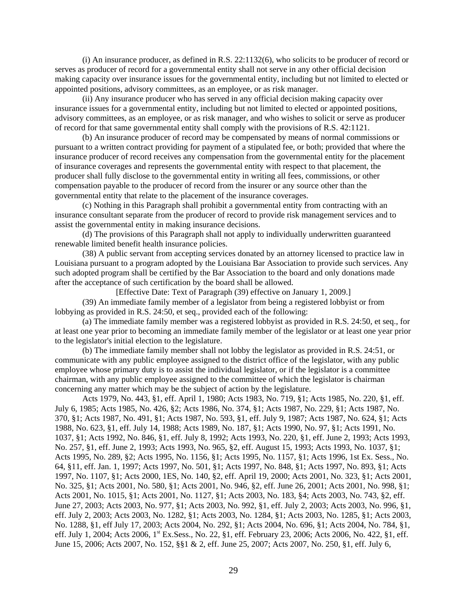(i) An insurance producer, as defined in R.S. 22:1132(6), who solicits to be producer of record or serves as producer of record for a governmental entity shall not serve in any other official decision making capacity over insurance issues for the governmental entity, including but not limited to elected or appointed positions, advisory committees, as an employee, or as risk manager.

(ii) Any insurance producer who has served in any official decision making capacity over insurance issues for a governmental entity, including but not limited to elected or appointed positions, advisory committees, as an employee, or as risk manager, and who wishes to solicit or serve as producer of record for that same governmental entity shall comply with the provisions of R.S. 42:1121.

(b) An insurance producer of record may be compensated by means of normal commissions or pursuant to a written contract providing for payment of a stipulated fee, or both; provided that where the insurance producer of record receives any compensation from the governmental entity for the placement of insurance coverages and represents the governmental entity with respect to that placement, the producer shall fully disclose to the governmental entity in writing all fees, commissions, or other compensation payable to the producer of record from the insurer or any source other than the governmental entity that relate to the placement of the insurance coverages.

(c) Nothing in this Paragraph shall prohibit a governmental entity from contracting with an insurance consultant separate from the producer of record to provide risk management services and to assist the governmental entity in making insurance decisions.

(d) The provisions of this Paragraph shall not apply to individually underwritten guaranteed renewable limited benefit health insurance policies.

(38) A public servant from accepting services donated by an attorney licensed to practice law in Louisiana pursuant to a program adopted by the Louisiana Bar Association to provide such services. Any such adopted program shall be certified by the Bar Association to the board and only donations made after the acceptance of such certification by the board shall be allowed.

[Effective Date: Text of Paragraph (39) effective on January 1, 2009.]

(39) An immediate family member of a legislator from being a registered lobbyist or from lobbying as provided in R.S. 24:50, et seq., provided each of the following:

(a) The immediate family member was a registered lobbyist as provided in R.S. 24:50, et seq., for at least one year prior to becoming an immediate family member of the legislator or at least one year prior to the legislator's initial election to the legislature.

(b) The immediate family member shall not lobby the legislator as provided in R.S. 24:51, or communicate with any public employee assigned to the district office of the legislator, with any public employee whose primary duty is to assist the individual legislator, or if the legislator is a committee chairman, with any public employee assigned to the committee of which the legislator is chairman concerning any matter which may be the subject of action by the legislature.

Acts 1979, No. 443, §1, eff. April 1, 1980; Acts 1983, No. 719, §1; Acts 1985, No. 220, §1, eff. July 6, 1985; Acts 1985, No. 426, §2; Acts 1986, No. 374, §1; Acts 1987, No. 229, §1; Acts 1987, No. 370, §1; Acts 1987, No. 491, §1; Acts 1987, No. 593, §1, eff. July 9, 1987; Acts 1987, No. 624, §1; Acts 1988, No. 623, §1, eff. July 14, 1988; Acts 1989, No. 187, §1; Acts 1990, No. 97, §1; Acts 1991, No. 1037, §1; Acts 1992, No. 846, §1, eff. July 8, 1992; Acts 1993, No. 220, §1, eff. June 2, 1993; Acts 1993, No. 257, §1, eff. June 2, 1993; Acts 1993, No. 965, §2, eff. August 15, 1993; Acts 1993, No. 1037, §1; Acts 1995, No. 289, §2; Acts 1995, No. 1156, §1; Acts 1995, No. 1157, §1; Acts 1996, 1st Ex. Sess., No. 64, §11, eff. Jan. 1, 1997; Acts 1997, No. 501, §1; Acts 1997, No. 848, §1; Acts 1997, No. 893, §1; Acts 1997, No. 1107, §1; Acts 2000, 1ES, No. 140, §2, eff. April 19, 2000; Acts 2001, No. 323, §1; Acts 2001, No. 325, §1; Acts 2001, No. 580, §1; Acts 2001, No. 946, §2, eff. June 26, 2001; Acts 2001, No. 998, §1; Acts 2001, No. 1015, §1; Acts 2001, No. 1127, §1; Acts 2003, No. 183, §4; Acts 2003, No. 743, §2, eff. June 27, 2003; Acts 2003, No. 977, §1; Acts 2003, No. 992, §1, eff. July 2, 2003; Acts 2003, No. 996, §1, eff. July 2, 2003; Acts 2003, No. 1282, §1; Acts 2003, No. 1284, §1; Acts 2003, No. 1285, §1; Acts 2003, No. 1288, §1, eff July 17, 2003; Acts 2004, No. 292, §1; Acts 2004, No. 696, §1; Acts 2004, No. 784, §1, eff. July 1, 2004; Acts 2006, 1<sup>st</sup> Ex.Sess., No. 22, §1, eff. February 23, 2006; Acts 2006, No. 422, §1, eff. June 15, 2006; Acts 2007, No. 152, §§1 & 2, eff. June 25, 2007; Acts 2007, No. 250, §1, eff. July 6,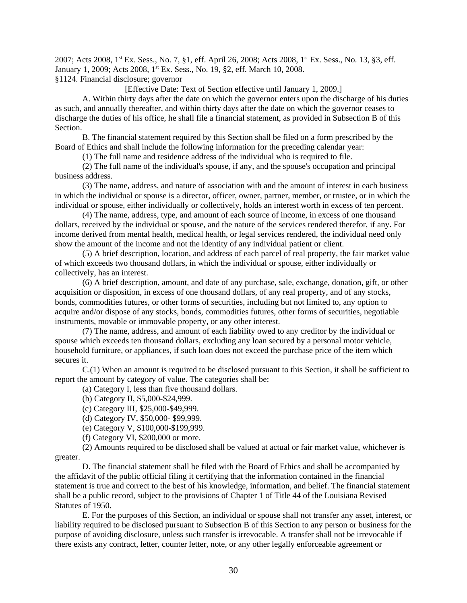2007; Acts 2008, 1st Ex. Sess., No. 7, §1, eff. April 26, 2008; Acts 2008, 1st Ex. Sess., No. 13, §3, eff. January 1, 2009; Acts 2008, 1<sup>st</sup> Ex. Sess., No. 19, §2, eff. March 10, 2008. §1124. Financial disclosure; governor

[Effective Date: Text of Section effective until January 1, 2009.]

A. Within thirty days after the date on which the governor enters upon the discharge of his duties as such, and annually thereafter, and within thirty days after the date on which the governor ceases to discharge the duties of his office, he shall file a financial statement, as provided in Subsection B of this **Section** 

B. The financial statement required by this Section shall be filed on a form prescribed by the Board of Ethics and shall include the following information for the preceding calendar year:

(1) The full name and residence address of the individual who is required to file.

(2) The full name of the individual's spouse, if any, and the spouse's occupation and principal business address.

(3) The name, address, and nature of association with and the amount of interest in each business in which the individual or spouse is a director, officer, owner, partner, member, or trustee, or in which the individual or spouse, either individually or collectively, holds an interest worth in excess of ten percent.

(4) The name, address, type, and amount of each source of income, in excess of one thousand dollars, received by the individual or spouse, and the nature of the services rendered therefor, if any. For income derived from mental health, medical health, or legal services rendered, the individual need only show the amount of the income and not the identity of any individual patient or client.

(5) A brief description, location, and address of each parcel of real property, the fair market value of which exceeds two thousand dollars, in which the individual or spouse, either individually or collectively, has an interest.

(6) A brief description, amount, and date of any purchase, sale, exchange, donation, gift, or other acquisition or disposition, in excess of one thousand dollars, of any real property, and of any stocks, bonds, commodities futures, or other forms of securities, including but not limited to, any option to acquire and/or dispose of any stocks, bonds, commodities futures, other forms of securities, negotiable instruments, movable or immovable property, or any other interest.

(7) The name, address, and amount of each liability owed to any creditor by the individual or spouse which exceeds ten thousand dollars, excluding any loan secured by a personal motor vehicle, household furniture, or appliances, if such loan does not exceed the purchase price of the item which secures it.

C.(1) When an amount is required to be disclosed pursuant to this Section, it shall be sufficient to report the amount by category of value. The categories shall be:

(a) Category I, less than five thousand dollars.

(b) Category II, \$5,000-\$24,999.

(c) Category III, \$25,000-\$49,999.

(d) Category IV, \$50,000- \$99,999.

(e) Category V, \$100,000-\$199,999.

(f) Category VI, \$200,000 or more.

(2) Amounts required to be disclosed shall be valued at actual or fair market value, whichever is greater.

D. The financial statement shall be filed with the Board of Ethics and shall be accompanied by the affidavit of the public official filing it certifying that the information contained in the financial statement is true and correct to the best of his knowledge, information, and belief. The financial statement shall be a public record, subject to the provisions of Chapter 1 of Title 44 of the Louisiana Revised Statutes of 1950.

E. For the purposes of this Section, an individual or spouse shall not transfer any asset, interest, or liability required to be disclosed pursuant to Subsection B of this Section to any person or business for the purpose of avoiding disclosure, unless such transfer is irrevocable. A transfer shall not be irrevocable if there exists any contract, letter, counter letter, note, or any other legally enforceable agreement or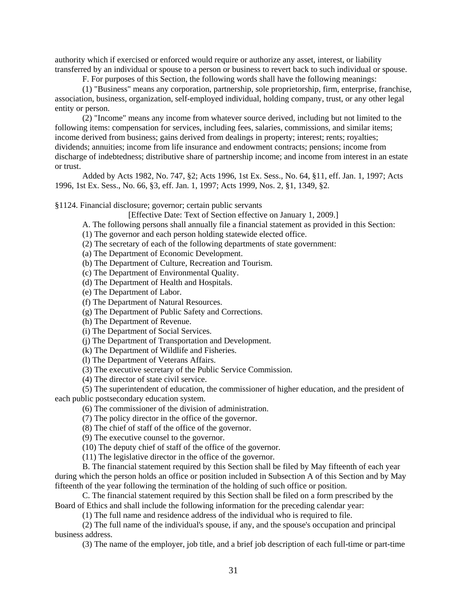authority which if exercised or enforced would require or authorize any asset, interest, or liability transferred by an individual or spouse to a person or business to revert back to such individual or spouse.

F. For purposes of this Section, the following words shall have the following meanings:

(1) "Business" means any corporation, partnership, sole proprietorship, firm, enterprise, franchise, association, business, organization, self-employed individual, holding company, trust, or any other legal entity or person.

(2) "Income" means any income from whatever source derived, including but not limited to the following items: compensation for services, including fees, salaries, commissions, and similar items; income derived from business; gains derived from dealings in property; interest; rents; royalties; dividends; annuities; income from life insurance and endowment contracts; pensions; income from discharge of indebtedness; distributive share of partnership income; and income from interest in an estate or trust.

Added by Acts 1982, No. 747, §2; Acts 1996, 1st Ex. Sess., No. 64, §11, eff. Jan. 1, 1997; Acts 1996, 1st Ex. Sess., No. 66, §3, eff. Jan. 1, 1997; Acts 1999, Nos. 2, §1, 1349, §2.

§1124. Financial disclosure; governor; certain public servants

[Effective Date: Text of Section effective on January 1, 2009.]

A. The following persons shall annually file a financial statement as provided in this Section:

(1) The governor and each person holding statewide elected office.

(2) The secretary of each of the following departments of state government:

(a) The Department of Economic Development.

(b) The Department of Culture, Recreation and Tourism.

(c) The Department of Environmental Quality.

(d) The Department of Health and Hospitals.

(e) The Department of Labor.

(f) The Department of Natural Resources.

(g) The Department of Public Safety and Corrections.

(h) The Department of Revenue.

(i) The Department of Social Services.

(j) The Department of Transportation and Development.

(k) The Department of Wildlife and Fisheries.

(l) The Department of Veterans Affairs.

(3) The executive secretary of the Public Service Commission.

(4) The director of state civil service.

(5) The superintendent of education, the commissioner of higher education, and the president of each public postsecondary education system.

(6) The commissioner of the division of administration.

(7) The policy director in the office of the governor.

(8) The chief of staff of the office of the governor.

(9) The executive counsel to the governor.

(10) The deputy chief of staff of the office of the governor.

(11) The legislative director in the office of the governor.

B. The financial statement required by this Section shall be filed by May fifteenth of each year during which the person holds an office or position included in Subsection A of this Section and by May fifteenth of the year following the termination of the holding of such office or position.

C. The financial statement required by this Section shall be filed on a form prescribed by the Board of Ethics and shall include the following information for the preceding calendar year:

(1) The full name and residence address of the individual who is required to file.

(2) The full name of the individual's spouse, if any, and the spouse's occupation and principal business address.

(3) The name of the employer, job title, and a brief job description of each full-time or part-time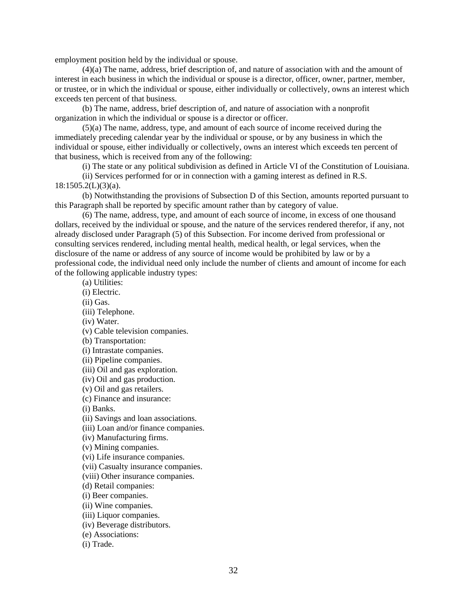employment position held by the individual or spouse.

(4)(a) The name, address, brief description of, and nature of association with and the amount of interest in each business in which the individual or spouse is a director, officer, owner, partner, member, or trustee, or in which the individual or spouse, either individually or collectively, owns an interest which exceeds ten percent of that business.

(b) The name, address, brief description of, and nature of association with a nonprofit organization in which the individual or spouse is a director or officer.

(5)(a) The name, address, type, and amount of each source of income received during the immediately preceding calendar year by the individual or spouse, or by any business in which the individual or spouse, either individually or collectively, owns an interest which exceeds ten percent of that business, which is received from any of the following:

(i) The state or any political subdivision as defined in Article VI of the Constitution of Louisiana.

(ii) Services performed for or in connection with a gaming interest as defined in R.S.  $18:1505.2(L)(3)(a)$ .

(b) Notwithstanding the provisions of Subsection D of this Section, amounts reported pursuant to this Paragraph shall be reported by specific amount rather than by category of value.

(6) The name, address, type, and amount of each source of income, in excess of one thousand dollars, received by the individual or spouse, and the nature of the services rendered therefor, if any, not already disclosed under Paragraph (5) of this Subsection. For income derived from professional or consulting services rendered, including mental health, medical health, or legal services, when the disclosure of the name or address of any source of income would be prohibited by law or by a professional code, the individual need only include the number of clients and amount of income for each of the following applicable industry types:

(a) Utilities:

(i) Electric.

(ii) Gas.

(iii) Telephone.

(iv) Water.

(v) Cable television companies.

(b) Transportation:

(i) Intrastate companies.

(ii) Pipeline companies.

(iii) Oil and gas exploration.

(iv) Oil and gas production.

(v) Oil and gas retailers.

(c) Finance and insurance:

(i) Banks.

(ii) Savings and loan associations.

(iii) Loan and/or finance companies.

(iv) Manufacturing firms.

(v) Mining companies.

(vi) Life insurance companies.

(vii) Casualty insurance companies.

(viii) Other insurance companies.

(d) Retail companies:

(i) Beer companies.

(ii) Wine companies.

(iii) Liquor companies.

(iv) Beverage distributors.

(e) Associations:

(i) Trade.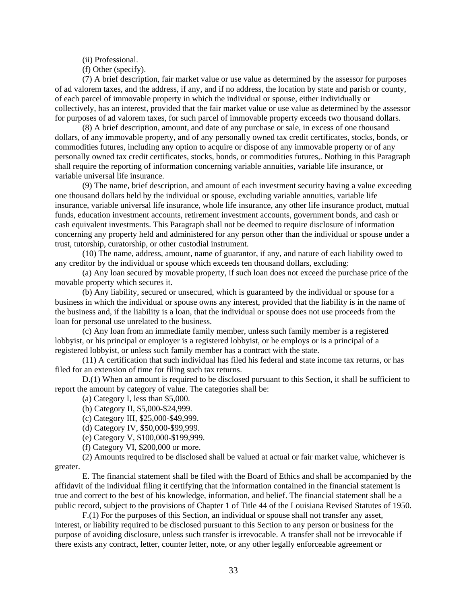(ii) Professional.

(f) Other (specify).

(7) A brief description, fair market value or use value as determined by the assessor for purposes of ad valorem taxes, and the address, if any, and if no address, the location by state and parish or county, of each parcel of immovable property in which the individual or spouse, either individually or collectively, has an interest, provided that the fair market value or use value as determined by the assessor for purposes of ad valorem taxes, for such parcel of immovable property exceeds two thousand dollars.

(8) A brief description, amount, and date of any purchase or sale, in excess of one thousand dollars, of any immovable property, and of any personally owned tax credit certificates, stocks, bonds, or commodities futures, including any option to acquire or dispose of any immovable property or of any personally owned tax credit certificates, stocks, bonds, or commodities futures,. Nothing in this Paragraph shall require the reporting of information concerning variable annuities, variable life insurance, or variable universal life insurance.

(9) The name, brief description, and amount of each investment security having a value exceeding one thousand dollars held by the individual or spouse, excluding variable annuities, variable life insurance, variable universal life insurance, whole life insurance, any other life insurance product, mutual funds, education investment accounts, retirement investment accounts, government bonds, and cash or cash equivalent investments. This Paragraph shall not be deemed to require disclosure of information concerning any property held and administered for any person other than the individual or spouse under a trust, tutorship, curatorship, or other custodial instrument.

(10) The name, address, amount, name of guarantor, if any, and nature of each liability owed to any creditor by the individual or spouse which exceeds ten thousand dollars, excluding:

(a) Any loan secured by movable property, if such loan does not exceed the purchase price of the movable property which secures it.

(b) Any liability, secured or unsecured, which is guaranteed by the individual or spouse for a business in which the individual or spouse owns any interest, provided that the liability is in the name of the business and, if the liability is a loan, that the individual or spouse does not use proceeds from the loan for personal use unrelated to the business.

(c) Any loan from an immediate family member, unless such family member is a registered lobbyist, or his principal or employer is a registered lobbyist, or he employs or is a principal of a registered lobbyist, or unless such family member has a contract with the state.

(11) A certification that such individual has filed his federal and state income tax returns, or has filed for an extension of time for filing such tax returns.

D.(1) When an amount is required to be disclosed pursuant to this Section, it shall be sufficient to report the amount by category of value. The categories shall be:

(a) Category I, less than \$5,000.

(b) Category II, \$5,000-\$24,999.

(c) Category III, \$25,000-\$49,999.

(d) Category IV, \$50,000-\$99,999.

(e) Category V, \$100,000-\$199,999.

(f) Category VI, \$200,000 or more.

(2) Amounts required to be disclosed shall be valued at actual or fair market value, whichever is greater.

E. The financial statement shall be filed with the Board of Ethics and shall be accompanied by the affidavit of the individual filing it certifying that the information contained in the financial statement is true and correct to the best of his knowledge, information, and belief. The financial statement shall be a public record, subject to the provisions of Chapter 1 of Title 44 of the Louisiana Revised Statutes of 1950.

F.(1) For the purposes of this Section, an individual or spouse shall not transfer any asset, interest, or liability required to be disclosed pursuant to this Section to any person or business for the purpose of avoiding disclosure, unless such transfer is irrevocable. A transfer shall not be irrevocable if there exists any contract, letter, counter letter, note, or any other legally enforceable agreement or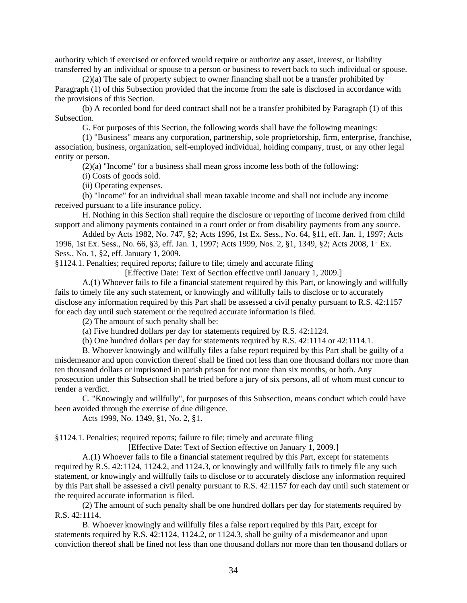authority which if exercised or enforced would require or authorize any asset, interest, or liability transferred by an individual or spouse to a person or business to revert back to such individual or spouse.

(2)(a) The sale of property subject to owner financing shall not be a transfer prohibited by Paragraph (1) of this Subsection provided that the income from the sale is disclosed in accordance with the provisions of this Section.

(b) A recorded bond for deed contract shall not be a transfer prohibited by Paragraph (1) of this Subsection.

G. For purposes of this Section, the following words shall have the following meanings:

(1) "Business" means any corporation, partnership, sole proprietorship, firm, enterprise, franchise, association, business, organization, self-employed individual, holding company, trust, or any other legal entity or person.

(2)(a) "Income" for a business shall mean gross income less both of the following:

(i) Costs of goods sold.

(ii) Operating expenses.

(b) "Income" for an individual shall mean taxable income and shall not include any income received pursuant to a life insurance policy.

H. Nothing in this Section shall require the disclosure or reporting of income derived from child support and alimony payments contained in a court order or from disability payments from any source.

Added by Acts 1982, No. 747, §2; Acts 1996, 1st Ex. Sess., No. 64, §11, eff. Jan. 1, 1997; Acts 1996, 1st Ex. Sess., No. 66, §3, eff. Jan. 1, 1997; Acts 1999, Nos. 2, §1, 1349, §2; Acts 2008, 1st Ex. Sess., No. 1, §2, eff. January 1, 2009.

§1124.1. Penalties; required reports; failure to file; timely and accurate filing

[Effective Date: Text of Section effective until January 1, 2009.]

A.(1) Whoever fails to file a financial statement required by this Part, or knowingly and willfully fails to timely file any such statement, or knowingly and willfully fails to disclose or to accurately disclose any information required by this Part shall be assessed a civil penalty pursuant to R.S. 42:1157 for each day until such statement or the required accurate information is filed.

(2) The amount of such penalty shall be:

(a) Five hundred dollars per day for statements required by R.S. 42:1124.

(b) One hundred dollars per day for statements required by R.S. 42:1114 or 42:1114.1.

B. Whoever knowingly and willfully files a false report required by this Part shall be guilty of a misdemeanor and upon conviction thereof shall be fined not less than one thousand dollars nor more than ten thousand dollars or imprisoned in parish prison for not more than six months, or both. Any prosecution under this Subsection shall be tried before a jury of six persons, all of whom must concur to render a verdict.

C. "Knowingly and willfully", for purposes of this Subsection, means conduct which could have been avoided through the exercise of due diligence.

Acts 1999, No. 1349, §1, No. 2, §1.

§1124.1. Penalties; required reports; failure to file; timely and accurate filing

[Effective Date: Text of Section effective on January 1, 2009.]

A.(1) Whoever fails to file a financial statement required by this Part, except for statements required by R.S. 42:1124, 1124.2, and 1124.3, or knowingly and willfully fails to timely file any such statement, or knowingly and willfully fails to disclose or to accurately disclose any information required by this Part shall be assessed a civil penalty pursuant to R.S. 42:1157 for each day until such statement or the required accurate information is filed.

(2) The amount of such penalty shall be one hundred dollars per day for statements required by R.S. 42:1114.

B. Whoever knowingly and willfully files a false report required by this Part, except for statements required by R.S. 42:1124, 1124.2, or 1124.3, shall be guilty of a misdemeanor and upon conviction thereof shall be fined not less than one thousand dollars nor more than ten thousand dollars or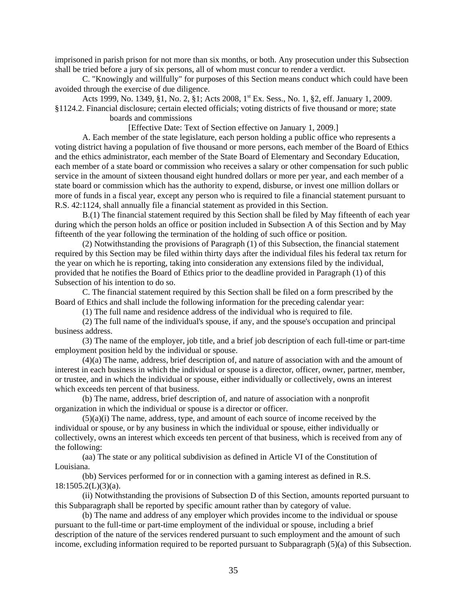imprisoned in parish prison for not more than six months, or both. Any prosecution under this Subsection shall be tried before a jury of six persons, all of whom must concur to render a verdict.

C. "Knowingly and willfully" for purposes of this Section means conduct which could have been avoided through the exercise of due diligence.

Acts 1999, No. 1349, §1, No. 2, §1; Acts 2008, 1<sup>st</sup> Ex. Sess., No. 1, §2, eff. January 1, 2009. §1124.2. Financial disclosure; certain elected officials; voting districts of five thousand or more; state

boards and commissions

[Effective Date: Text of Section effective on January 1, 2009.]

A. Each member of the state legislature, each person holding a public office who represents a voting district having a population of five thousand or more persons, each member of the Board of Ethics and the ethics administrator, each member of the State Board of Elementary and Secondary Education, each member of a state board or commission who receives a salary or other compensation for such public service in the amount of sixteen thousand eight hundred dollars or more per year, and each member of a state board or commission which has the authority to expend, disburse, or invest one million dollars or more of funds in a fiscal year, except any person who is required to file a financial statement pursuant to R.S. 42:1124, shall annually file a financial statement as provided in this Section.

B.(1) The financial statement required by this Section shall be filed by May fifteenth of each year during which the person holds an office or position included in Subsection A of this Section and by May fifteenth of the year following the termination of the holding of such office or position.

(2) Notwithstanding the provisions of Paragraph (1) of this Subsection, the financial statement required by this Section may be filed within thirty days after the individual files his federal tax return for the year on which he is reporting, taking into consideration any extensions filed by the individual, provided that he notifies the Board of Ethics prior to the deadline provided in Paragraph (1) of this Subsection of his intention to do so.

C. The financial statement required by this Section shall be filed on a form prescribed by the Board of Ethics and shall include the following information for the preceding calendar year:

(1) The full name and residence address of the individual who is required to file.

(2) The full name of the individual's spouse, if any, and the spouse's occupation and principal business address.

(3) The name of the employer, job title, and a brief job description of each full-time or part-time employment position held by the individual or spouse.

(4)(a) The name, address, brief description of, and nature of association with and the amount of interest in each business in which the individual or spouse is a director, officer, owner, partner, member, or trustee, and in which the individual or spouse, either individually or collectively, owns an interest which exceeds ten percent of that business.

(b) The name, address, brief description of, and nature of association with a nonprofit organization in which the individual or spouse is a director or officer.

(5)(a)(i) The name, address, type, and amount of each source of income received by the individual or spouse, or by any business in which the individual or spouse, either individually or collectively, owns an interest which exceeds ten percent of that business, which is received from any of the following:

(aa) The state or any political subdivision as defined in Article VI of the Constitution of Louisiana.

(bb) Services performed for or in connection with a gaming interest as defined in R.S.  $18:1505.2(L)(3)(a)$ .

(ii) Notwithstanding the provisions of Subsection D of this Section, amounts reported pursuant to this Subparagraph shall be reported by specific amount rather than by category of value.

(b) The name and address of any employer which provides income to the individual or spouse pursuant to the full-time or part-time employment of the individual or spouse, including a brief description of the nature of the services rendered pursuant to such employment and the amount of such income, excluding information required to be reported pursuant to Subparagraph (5)(a) of this Subsection.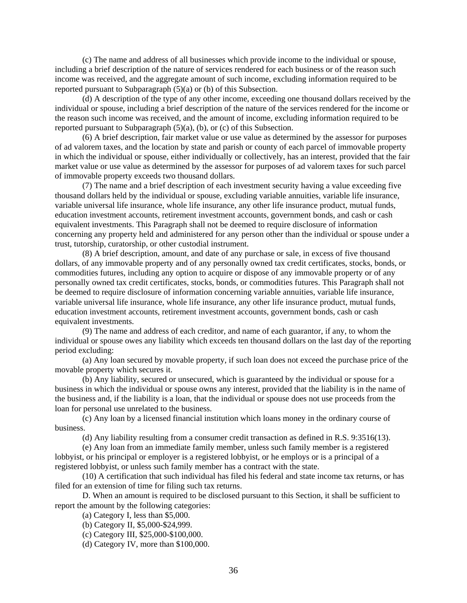(c) The name and address of all businesses which provide income to the individual or spouse, including a brief description of the nature of services rendered for each business or of the reason such income was received, and the aggregate amount of such income, excluding information required to be reported pursuant to Subparagraph (5)(a) or (b) of this Subsection.

(d) A description of the type of any other income, exceeding one thousand dollars received by the individual or spouse, including a brief description of the nature of the services rendered for the income or the reason such income was received, and the amount of income, excluding information required to be reported pursuant to Subparagraph (5)(a), (b), or (c) of this Subsection.

(6) A brief description, fair market value or use value as determined by the assessor for purposes of ad valorem taxes, and the location by state and parish or county of each parcel of immovable property in which the individual or spouse, either individually or collectively, has an interest, provided that the fair market value or use value as determined by the assessor for purposes of ad valorem taxes for such parcel of immovable property exceeds two thousand dollars.

(7) The name and a brief description of each investment security having a value exceeding five thousand dollars held by the individual or spouse, excluding variable annuities, variable life insurance, variable universal life insurance, whole life insurance, any other life insurance product, mutual funds, education investment accounts, retirement investment accounts, government bonds, and cash or cash equivalent investments. This Paragraph shall not be deemed to require disclosure of information concerning any property held and administered for any person other than the individual or spouse under a trust, tutorship, curatorship, or other custodial instrument.

(8) A brief description, amount, and date of any purchase or sale, in excess of five thousand dollars, of any immovable property and of any personally owned tax credit certificates, stocks, bonds, or commodities futures, including any option to acquire or dispose of any immovable property or of any personally owned tax credit certificates, stocks, bonds, or commodities futures. This Paragraph shall not be deemed to require disclosure of information concerning variable annuities, variable life insurance, variable universal life insurance, whole life insurance, any other life insurance product, mutual funds, education investment accounts, retirement investment accounts, government bonds, cash or cash equivalent investments.

(9) The name and address of each creditor, and name of each guarantor, if any, to whom the individual or spouse owes any liability which exceeds ten thousand dollars on the last day of the reporting period excluding:

(a) Any loan secured by movable property, if such loan does not exceed the purchase price of the movable property which secures it.

(b) Any liability, secured or unsecured, which is guaranteed by the individual or spouse for a business in which the individual or spouse owns any interest, provided that the liability is in the name of the business and, if the liability is a loan, that the individual or spouse does not use proceeds from the loan for personal use unrelated to the business.

(c) Any loan by a licensed financial institution which loans money in the ordinary course of business.

(d) Any liability resulting from a consumer credit transaction as defined in R.S. 9:3516(13).

(e) Any loan from an immediate family member, unless such family member is a registered lobbyist, or his principal or employer is a registered lobbyist, or he employs or is a principal of a registered lobbyist, or unless such family member has a contract with the state.

(10) A certification that such individual has filed his federal and state income tax returns, or has filed for an extension of time for filing such tax returns.

D. When an amount is required to be disclosed pursuant to this Section, it shall be sufficient to report the amount by the following categories:

(a) Category I, less than \$5,000.

(b) Category II, \$5,000-\$24,999.

(c) Category III, \$25,000-\$100,000.

(d) Category IV, more than \$100,000.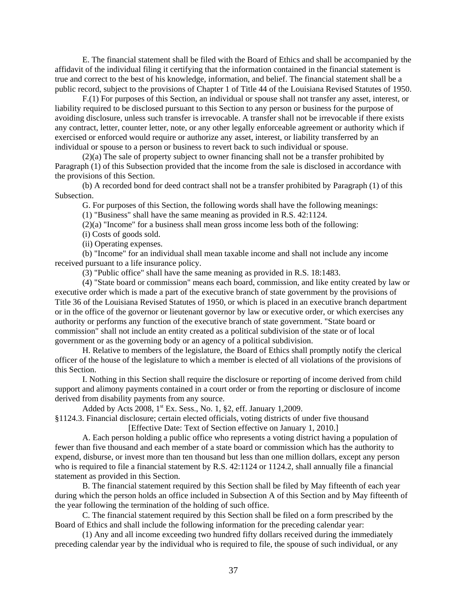E. The financial statement shall be filed with the Board of Ethics and shall be accompanied by the affidavit of the individual filing it certifying that the information contained in the financial statement is true and correct to the best of his knowledge, information, and belief. The financial statement shall be a public record, subject to the provisions of Chapter 1 of Title 44 of the Louisiana Revised Statutes of 1950.

F.(1) For purposes of this Section, an individual or spouse shall not transfer any asset, interest, or liability required to be disclosed pursuant to this Section to any person or business for the purpose of avoiding disclosure, unless such transfer is irrevocable. A transfer shall not be irrevocable if there exists any contract, letter, counter letter, note, or any other legally enforceable agreement or authority which if exercised or enforced would require or authorize any asset, interest, or liability transferred by an individual or spouse to a person or business to revert back to such individual or spouse.

(2)(a) The sale of property subject to owner financing shall not be a transfer prohibited by Paragraph (1) of this Subsection provided that the income from the sale is disclosed in accordance with the provisions of this Section.

(b) A recorded bond for deed contract shall not be a transfer prohibited by Paragraph (1) of this Subsection.

G. For purposes of this Section, the following words shall have the following meanings:

(1) "Business" shall have the same meaning as provided in R.S. 42:1124.

(2)(a) "Income" for a business shall mean gross income less both of the following:

(i) Costs of goods sold.

(ii) Operating expenses.

(b) "Income" for an individual shall mean taxable income and shall not include any income received pursuant to a life insurance policy.

(3) "Public office" shall have the same meaning as provided in R.S. 18:1483.

(4) "State board or commission" means each board, commission, and like entity created by law or executive order which is made a part of the executive branch of state government by the provisions of Title 36 of the Louisiana Revised Statutes of 1950, or which is placed in an executive branch department or in the office of the governor or lieutenant governor by law or executive order, or which exercises any authority or performs any function of the executive branch of state government. "State board or commission" shall not include an entity created as a political subdivision of the state or of local government or as the governing body or an agency of a political subdivision.

H. Relative to members of the legislature, the Board of Ethics shall promptly notify the clerical officer of the house of the legislature to which a member is elected of all violations of the provisions of this Section.

I. Nothing in this Section shall require the disclosure or reporting of income derived from child support and alimony payments contained in a court order or from the reporting or disclosure of income derived from disability payments from any source.

Added by Acts  $2008$ ,  $1<sup>st</sup>$  Ex. Sess., No. 1, §2, eff. January 1,2009.

§1124.3. Financial disclosure; certain elected officials, voting districts of under five thousand [Effective Date: Text of Section effective on January 1, 2010.]

A. Each person holding a public office who represents a voting district having a population of fewer than five thousand and each member of a state board or commission which has the authority to expend, disburse, or invest more than ten thousand but less than one million dollars, except any person who is required to file a financial statement by R.S. 42:1124 or 1124.2, shall annually file a financial statement as provided in this Section.

B. The financial statement required by this Section shall be filed by May fifteenth of each year during which the person holds an office included in Subsection A of this Section and by May fifteenth of the year following the termination of the holding of such office.

C. The financial statement required by this Section shall be filed on a form prescribed by the Board of Ethics and shall include the following information for the preceding calendar year:

(1) Any and all income exceeding two hundred fifty dollars received during the immediately preceding calendar year by the individual who is required to file, the spouse of such individual, or any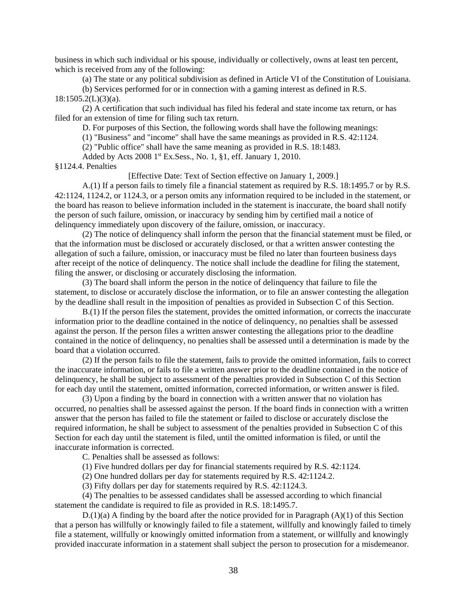business in which such individual or his spouse, individually or collectively, owns at least ten percent, which is received from any of the following:

(a) The state or any political subdivision as defined in Article VI of the Constitution of Louisiana.

(b) Services performed for or in connection with a gaming interest as defined in R.S.

 $18:1505.2(L)(3)(a)$ .

(2) A certification that such individual has filed his federal and state income tax return, or has filed for an extension of time for filing such tax return.

D. For purposes of this Section, the following words shall have the following meanings:

(1) "Business" and "income" shall have the same meanings as provided in R.S. 42:1124.

(2) "Public office" shall have the same meaning as provided in R.S. 18:1483.

Added by Acts  $20081^{st}$  Ex. Sess., No. 1, §1, eff. January 1, 2010.

#### §1124.4. Penalties

[Effective Date: Text of Section effective on January 1, 2009.]

A.(1) If a person fails to timely file a financial statement as required by R.S. 18:1495.7 or by R.S. 42:1124, 1124.2, or 1124.3, or a person omits any information required to be included in the statement, or the board has reason to believe information included in the statement is inaccurate, the board shall notify the person of such failure, omission, or inaccuracy by sending him by certified mail a notice of delinquency immediately upon discovery of the failure, omission, or inaccuracy.

(2) The notice of delinquency shall inform the person that the financial statement must be filed, or that the information must be disclosed or accurately disclosed, or that a written answer contesting the allegation of such a failure, omission, or inaccuracy must be filed no later than fourteen business days after receipt of the notice of delinquency. The notice shall include the deadline for filing the statement, filing the answer, or disclosing or accurately disclosing the information.

(3) The board shall inform the person in the notice of delinquency that failure to file the statement, to disclose or accurately disclose the information, or to file an answer contesting the allegation by the deadline shall result in the imposition of penalties as provided in Subsection C of this Section.

B.(1) If the person files the statement, provides the omitted information, or corrects the inaccurate information prior to the deadline contained in the notice of delinquency, no penalties shall be assessed against the person. If the person files a written answer contesting the allegations prior to the deadline contained in the notice of delinquency, no penalties shall be assessed until a determination is made by the board that a violation occurred.

(2) If the person fails to file the statement, fails to provide the omitted information, fails to correct the inaccurate information, or fails to file a written answer prior to the deadline contained in the notice of delinquency, he shall be subject to assessment of the penalties provided in Subsection C of this Section for each day until the statement, omitted information, corrected information, or written answer is filed.

(3) Upon a finding by the board in connection with a written answer that no violation has occurred, no penalties shall be assessed against the person. If the board finds in connection with a written answer that the person has failed to file the statement or failed to disclose or accurately disclose the required information, he shall be subject to assessment of the penalties provided in Subsection C of this Section for each day until the statement is filed, until the omitted information is filed, or until the inaccurate information is corrected.

C. Penalties shall be assessed as follows:

(1) Five hundred dollars per day for financial statements required by R.S. 42:1124.

(2) One hundred dollars per day for statements required by R.S. 42:1124.2.

(3) Fifty dollars per day for statements required by R.S. 42:1124.3.

(4) The penalties to be assessed candidates shall be assessed according to which financial statement the candidate is required to file as provided in R.S. 18:1495.7.

D.(1)(a) A finding by the board after the notice provided for in Paragraph (A)(1) of this Section that a person has willfully or knowingly failed to file a statement, willfully and knowingly failed to timely file a statement, willfully or knowingly omitted information from a statement, or willfully and knowingly provided inaccurate information in a statement shall subject the person to prosecution for a misdemeanor.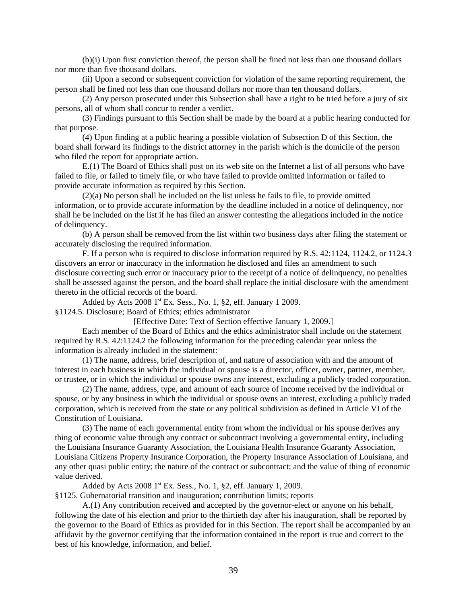(b)(i) Upon first conviction thereof, the person shall be fined not less than one thousand dollars nor more than five thousand dollars.

(ii) Upon a second or subsequent conviction for violation of the same reporting requirement, the person shall be fined not less than one thousand dollars nor more than ten thousand dollars.

(2) Any person prosecuted under this Subsection shall have a right to be tried before a jury of six persons, all of whom shall concur to render a verdict.

(3) Findings pursuant to this Section shall be made by the board at a public hearing conducted for that purpose.

(4) Upon finding at a public hearing a possible violation of Subsection D of this Section, the board shall forward its findings to the district attorney in the parish which is the domicile of the person who filed the report for appropriate action.

E.(1) The Board of Ethics shall post on its web site on the Internet a list of all persons who have failed to file, or failed to timely file, or who have failed to provide omitted information or failed to provide accurate information as required by this Section.

(2)(a) No person shall be included on the list unless he fails to file, to provide omitted information, or to provide accurate information by the deadline included in a notice of delinquency, nor shall he be included on the list if he has filed an answer contesting the allegations included in the notice of delinquency.

(b) A person shall be removed from the list within two business days after filing the statement or accurately disclosing the required information.

F. If a person who is required to disclose information required by R.S. 42:1124, 1124.2, or 1124.3 discovers an error or inaccuracy in the information he disclosed and files an amendment to such disclosure correcting such error or inaccuracy prior to the receipt of a notice of delinquency, no penalties shall be assessed against the person, and the board shall replace the initial disclosure with the amendment thereto in the official records of the board.

Added by Acts 2008 1st Ex. Sess., No. 1, §2, eff. January 1 2009.

§1124.5. Disclosure; Board of Ethics; ethics administrator

[Effective Date: Text of Section effective January 1, 2009.]

Each member of the Board of Ethics and the ethics administrator shall include on the statement required by R.S. 42:1124.2 the following information for the preceding calendar year unless the information is already included in the statement:

(1) The name, address, brief description of, and nature of association with and the amount of interest in each business in which the individual or spouse is a director, officer, owner, partner, member, or trustee, or in which the individual or spouse owns any interest, excluding a publicly traded corporation.

(2) The name, address, type, and amount of each source of income received by the individual or spouse, or by any business in which the individual or spouse owns an interest, excluding a publicly traded corporation, which is received from the state or any political subdivision as defined in Article VI of the Constitution of Louisiana.

(3) The name of each governmental entity from whom the individual or his spouse derives any thing of economic value through any contract or subcontract involving a governmental entity, including the Louisiana Insurance Guaranty Association, the Louisiana Health Insurance Guaranty Association, Louisiana Citizens Property Insurance Corporation, the Property Insurance Association of Louisiana, and any other quasi public entity; the nature of the contract or subcontract; and the value of thing of economic value derived.

Added by Acts 2008 1st Ex. Sess., No. 1, §2, eff. January 1, 2009.

§1125. Gubernatorial transition and inauguration; contribution limits; reports

A.(1) Any contribution received and accepted by the governor-elect or anyone on his behalf, following the date of his election and prior to the thirtieth day after his inauguration, shall be reported by the governor to the Board of Ethics as provided for in this Section. The report shall be accompanied by an affidavit by the governor certifying that the information contained in the report is true and correct to the best of his knowledge, information, and belief.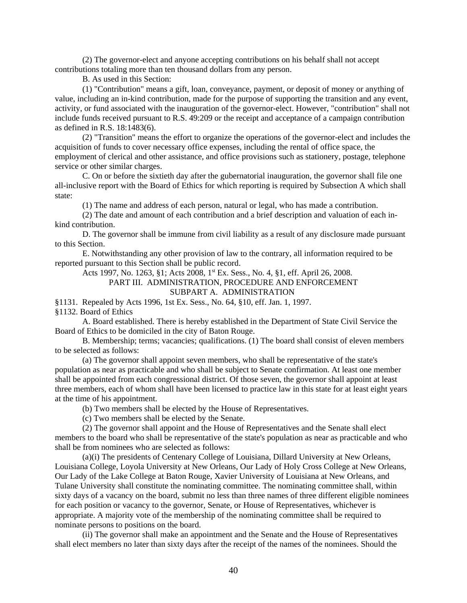(2) The governor-elect and anyone accepting contributions on his behalf shall not accept contributions totaling more than ten thousand dollars from any person.

B. As used in this Section:

(1) "Contribution" means a gift, loan, conveyance, payment, or deposit of money or anything of value, including an in-kind contribution, made for the purpose of supporting the transition and any event, activity, or fund associated with the inauguration of the governor-elect. However, "contribution" shall not include funds received pursuant to R.S. 49:209 or the receipt and acceptance of a campaign contribution as defined in R.S. 18:1483(6).

(2) "Transition" means the effort to organize the operations of the governor-elect and includes the acquisition of funds to cover necessary office expenses, including the rental of office space, the employment of clerical and other assistance, and office provisions such as stationery, postage, telephone service or other similar charges.

C. On or before the sixtieth day after the gubernatorial inauguration, the governor shall file one all-inclusive report with the Board of Ethics for which reporting is required by Subsection A which shall state:

(1) The name and address of each person, natural or legal, who has made a contribution.

(2) The date and amount of each contribution and a brief description and valuation of each inkind contribution.

D. The governor shall be immune from civil liability as a result of any disclosure made pursuant to this Section.

E. Notwithstanding any other provision of law to the contrary, all information required to be reported pursuant to this Section shall be public record.

Acts 1997, No. 1263, §1; Acts 2008, 1<sup>st</sup> Ex. Sess., No. 4, §1, eff. April 26, 2008.

# PART III. ADMINISTRATION, PROCEDURE AND ENFORCEMENT

## SUBPART A. ADMINISTRATION

§1131. Repealed by Acts 1996, 1st Ex. Sess., No. 64, §10, eff. Jan. 1, 1997.

§1132. Board of Ethics

A. Board established. There is hereby established in the Department of State Civil Service the Board of Ethics to be domiciled in the city of Baton Rouge.

B. Membership; terms; vacancies; qualifications. (1) The board shall consist of eleven members to be selected as follows:

(a) The governor shall appoint seven members, who shall be representative of the state's population as near as practicable and who shall be subject to Senate confirmation. At least one member shall be appointed from each congressional district. Of those seven, the governor shall appoint at least three members, each of whom shall have been licensed to practice law in this state for at least eight years at the time of his appointment.

(b) Two members shall be elected by the House of Representatives.

(c) Two members shall be elected by the Senate.

(2) The governor shall appoint and the House of Representatives and the Senate shall elect members to the board who shall be representative of the state's population as near as practicable and who shall be from nominees who are selected as follows:

(a)(i) The presidents of Centenary College of Louisiana, Dillard University at New Orleans, Louisiana College, Loyola University at New Orleans, Our Lady of Holy Cross College at New Orleans, Our Lady of the Lake College at Baton Rouge, Xavier University of Louisiana at New Orleans, and Tulane University shall constitute the nominating committee. The nominating committee shall, within sixty days of a vacancy on the board, submit no less than three names of three different eligible nominees for each position or vacancy to the governor, Senate, or House of Representatives, whichever is appropriate. A majority vote of the membership of the nominating committee shall be required to nominate persons to positions on the board.

(ii) The governor shall make an appointment and the Senate and the House of Representatives shall elect members no later than sixty days after the receipt of the names of the nominees. Should the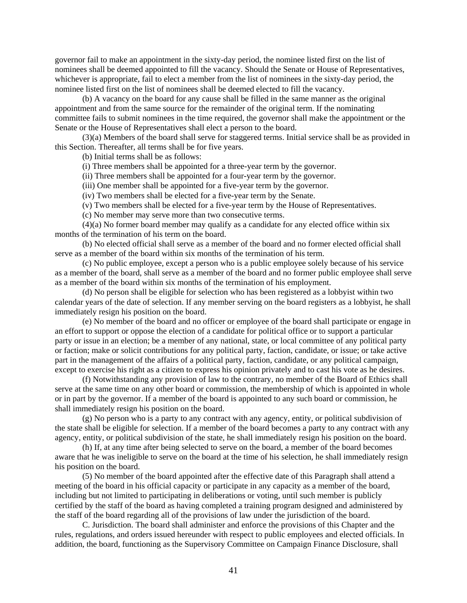governor fail to make an appointment in the sixty-day period, the nominee listed first on the list of nominees shall be deemed appointed to fill the vacancy. Should the Senate or House of Representatives, whichever is appropriate, fail to elect a member from the list of nominees in the sixty-day period, the nominee listed first on the list of nominees shall be deemed elected to fill the vacancy.

(b) A vacancy on the board for any cause shall be filled in the same manner as the original appointment and from the same source for the remainder of the original term. If the nominating committee fails to submit nominees in the time required, the governor shall make the appointment or the Senate or the House of Representatives shall elect a person to the board.

(3)(a) Members of the board shall serve for staggered terms. Initial service shall be as provided in this Section. Thereafter, all terms shall be for five years.

(b) Initial terms shall be as follows:

(i) Three members shall be appointed for a three-year term by the governor.

(ii) Three members shall be appointed for a four-year term by the governor.

(iii) One member shall be appointed for a five-year term by the governor.

(iv) Two members shall be elected for a five-year term by the Senate.

(v) Two members shall be elected for a five-year term by the House of Representatives.

(c) No member may serve more than two consecutive terms.

(4)(a) No former board member may qualify as a candidate for any elected office within six months of the termination of his term on the board.

(b) No elected official shall serve as a member of the board and no former elected official shall serve as a member of the board within six months of the termination of his term.

(c) No public employee, except a person who is a public employee solely because of his service as a member of the board, shall serve as a member of the board and no former public employee shall serve as a member of the board within six months of the termination of his employment.

(d) No person shall be eligible for selection who has been registered as a lobbyist within two calendar years of the date of selection. If any member serving on the board registers as a lobbyist, he shall immediately resign his position on the board.

(e) No member of the board and no officer or employee of the board shall participate or engage in an effort to support or oppose the election of a candidate for political office or to support a particular party or issue in an election; be a member of any national, state, or local committee of any political party or faction; make or solicit contributions for any political party, faction, candidate, or issue; or take active part in the management of the affairs of a political party, faction, candidate, or any political campaign, except to exercise his right as a citizen to express his opinion privately and to cast his vote as he desires.

(f) Notwithstanding any provision of law to the contrary, no member of the Board of Ethics shall serve at the same time on any other board or commission, the membership of which is appointed in whole or in part by the governor. If a member of the board is appointed to any such board or commission, he shall immediately resign his position on the board.

(g) No person who is a party to any contract with any agency, entity, or political subdivision of the state shall be eligible for selection. If a member of the board becomes a party to any contract with any agency, entity, or political subdivision of the state, he shall immediately resign his position on the board.

(h) If, at any time after being selected to serve on the board, a member of the board becomes aware that he was ineligible to serve on the board at the time of his selection, he shall immediately resign his position on the board.

(5) No member of the board appointed after the effective date of this Paragraph shall attend a meeting of the board in his official capacity or participate in any capacity as a member of the board, including but not limited to participating in deliberations or voting, until such member is publicly certified by the staff of the board as having completed a training program designed and administered by the staff of the board regarding all of the provisions of law under the jurisdiction of the board.

C. Jurisdiction. The board shall administer and enforce the provisions of this Chapter and the rules, regulations, and orders issued hereunder with respect to public employees and elected officials. In addition, the board, functioning as the Supervisory Committee on Campaign Finance Disclosure, shall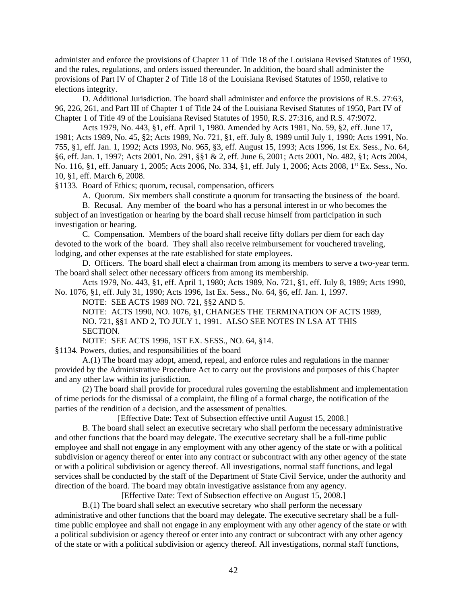administer and enforce the provisions of Chapter 11 of Title 18 of the Louisiana Revised Statutes of 1950, and the rules, regulations, and orders issued thereunder. In addition, the board shall administer the provisions of Part IV of Chapter 2 of Title 18 of the Louisiana Revised Statutes of 1950, relative to elections integrity.

D. Additional Jurisdiction. The board shall administer and enforce the provisions of R.S. 27:63, 96, 226, 261, and Part III of Chapter 1 of Title 24 of the Louisiana Revised Statutes of 1950, Part IV of Chapter 1 of Title 49 of the Louisiana Revised Statutes of 1950, R.S. 27:316, and R.S. 47:9072.

Acts 1979, No. 443, §1, eff. April 1, 1980. Amended by Acts 1981, No. 59, §2, eff. June 17, 1981; Acts 1989, No. 45, §2; Acts 1989, No. 721, §1, eff. July 8, 1989 until July 1, 1990; Acts 1991, No. 755, §1, eff. Jan. 1, 1992; Acts 1993, No. 965, §3, eff. August 15, 1993; Acts 1996, 1st Ex. Sess., No. 64, §6, eff. Jan. 1, 1997; Acts 2001, No. 291, §§1 & 2, eff. June 6, 2001; Acts 2001, No. 482, §1; Acts 2004, No. 116, §1, eff. January 1, 2005; Acts 2006, No. 334, §1, eff. July 1, 2006; Acts 2008, 1<sup>st</sup> Ex. Sess., No. 10, §1, eff. March 6, 2008.

§1133. Board of Ethics; quorum, recusal, compensation, officers

A. Quorum. Six members shall constitute a quorum for transacting the business of the board.

B. Recusal. Any member of the board who has a personal interest in or who becomes the subject of an investigation or hearing by the board shall recuse himself from participation in such investigation or hearing.

C. Compensation. Members of the board shall receive fifty dollars per diem for each day devoted to the work of the board. They shall also receive reimbursement for vouchered traveling, lodging, and other expenses at the rate established for state employees.

D. Officers. The board shall elect a chairman from among its members to serve a two-year term. The board shall select other necessary officers from among its membership.

Acts 1979, No. 443, §1, eff. April 1, 1980; Acts 1989, No. 721, §1, eff. July 8, 1989; Acts 1990, No. 1076, §1, eff. July 31, 1990; Acts 1996, 1st Ex. Sess., No. 64, §6, eff. Jan. 1, 1997.

NOTE: SEE ACTS 1989 NO. 721, §§2 AND 5.

NOTE: ACTS 1990, NO. 1076, §1, CHANGES THE TERMINATION OF ACTS 1989, NO. 721, §§1 AND 2, TO JULY 1, 1991. ALSO SEE NOTES IN LSA AT THIS SECTION.

NOTE: SEE ACTS 1996, 1ST EX. SESS., NO. 64, §14.

§1134. Powers, duties, and responsibilities of the board

A.(1) The board may adopt, amend, repeal, and enforce rules and regulations in the manner provided by the Administrative Procedure Act to carry out the provisions and purposes of this Chapter and any other law within its jurisdiction.

(2) The board shall provide for procedural rules governing the establishment and implementation of time periods for the dismissal of a complaint, the filing of a formal charge, the notification of the parties of the rendition of a decision, and the assessment of penalties.

[Effective Date: Text of Subsection effective until August 15, 2008.]

B. The board shall select an executive secretary who shall perform the necessary administrative and other functions that the board may delegate. The executive secretary shall be a full-time public employee and shall not engage in any employment with any other agency of the state or with a political subdivision or agency thereof or enter into any contract or subcontract with any other agency of the state or with a political subdivision or agency thereof. All investigations, normal staff functions, and legal services shall be conducted by the staff of the Department of State Civil Service, under the authority and direction of the board. The board may obtain investigative assistance from any agency.

[Effective Date: Text of Subsection effective on August 15, 2008.]

B.(1) The board shall select an executive secretary who shall perform the necessary administrative and other functions that the board may delegate. The executive secretary shall be a fulltime public employee and shall not engage in any employment with any other agency of the state or with a political subdivision or agency thereof or enter into any contract or subcontract with any other agency of the state or with a political subdivision or agency thereof. All investigations, normal staff functions,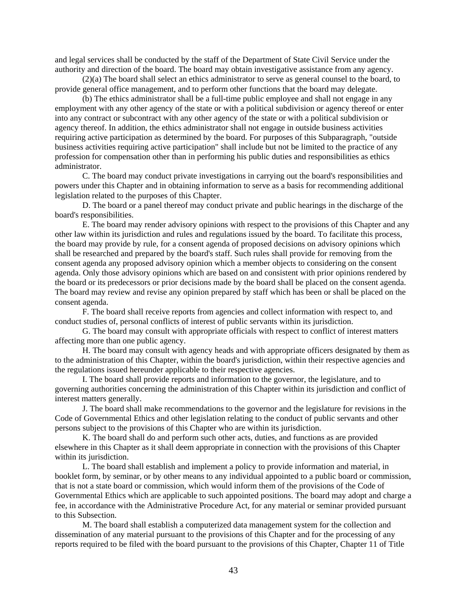and legal services shall be conducted by the staff of the Department of State Civil Service under the authority and direction of the board. The board may obtain investigative assistance from any agency.

(2)(a) The board shall select an ethics administrator to serve as general counsel to the board, to provide general office management, and to perform other functions that the board may delegate.

(b) The ethics administrator shall be a full-time public employee and shall not engage in any employment with any other agency of the state or with a political subdivision or agency thereof or enter into any contract or subcontract with any other agency of the state or with a political subdivision or agency thereof. In addition, the ethics administrator shall not engage in outside business activities requiring active participation as determined by the board. For purposes of this Subparagraph, "outside business activities requiring active participation" shall include but not be limited to the practice of any profession for compensation other than in performing his public duties and responsibilities as ethics administrator.

C. The board may conduct private investigations in carrying out the board's responsibilities and powers under this Chapter and in obtaining information to serve as a basis for recommending additional legislation related to the purposes of this Chapter.

D. The board or a panel thereof may conduct private and public hearings in the discharge of the board's responsibilities.

E. The board may render advisory opinions with respect to the provisions of this Chapter and any other law within its jurisdiction and rules and regulations issued by the board. To facilitate this process, the board may provide by rule, for a consent agenda of proposed decisions on advisory opinions which shall be researched and prepared by the board's staff. Such rules shall provide for removing from the consent agenda any proposed advisory opinion which a member objects to considering on the consent agenda. Only those advisory opinions which are based on and consistent with prior opinions rendered by the board or its predecessors or prior decisions made by the board shall be placed on the consent agenda. The board may review and revise any opinion prepared by staff which has been or shall be placed on the consent agenda.

F. The board shall receive reports from agencies and collect information with respect to, and conduct studies of, personal conflicts of interest of public servants within its jurisdiction.

G. The board may consult with appropriate officials with respect to conflict of interest matters affecting more than one public agency.

H. The board may consult with agency heads and with appropriate officers designated by them as to the administration of this Chapter, within the board's jurisdiction, within their respective agencies and the regulations issued hereunder applicable to their respective agencies.

I. The board shall provide reports and information to the governor, the legislature, and to governing authorities concerning the administration of this Chapter within its jurisdiction and conflict of interest matters generally.

J. The board shall make recommendations to the governor and the legislature for revisions in the Code of Governmental Ethics and other legislation relating to the conduct of public servants and other persons subject to the provisions of this Chapter who are within its jurisdiction.

K. The board shall do and perform such other acts, duties, and functions as are provided elsewhere in this Chapter as it shall deem appropriate in connection with the provisions of this Chapter within its jurisdiction.

L. The board shall establish and implement a policy to provide information and material, in booklet form, by seminar, or by other means to any individual appointed to a public board or commission, that is not a state board or commission, which would inform them of the provisions of the Code of Governmental Ethics which are applicable to such appointed positions. The board may adopt and charge a fee, in accordance with the Administrative Procedure Act, for any material or seminar provided pursuant to this Subsection.

M. The board shall establish a computerized data management system for the collection and dissemination of any material pursuant to the provisions of this Chapter and for the processing of any reports required to be filed with the board pursuant to the provisions of this Chapter, Chapter 11 of Title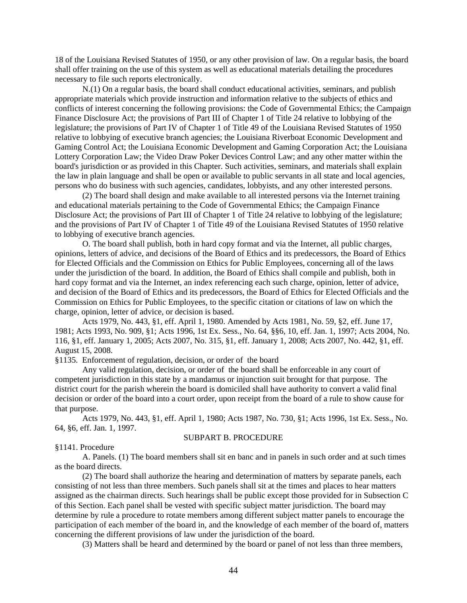18 of the Louisiana Revised Statutes of 1950, or any other provision of law. On a regular basis, the board shall offer training on the use of this system as well as educational materials detailing the procedures necessary to file such reports electronically.

N.(1) On a regular basis, the board shall conduct educational activities, seminars, and publish appropriate materials which provide instruction and information relative to the subjects of ethics and conflicts of interest concerning the following provisions: the Code of Governmental Ethics; the Campaign Finance Disclosure Act; the provisions of Part III of Chapter 1 of Title 24 relative to lobbying of the legislature; the provisions of Part IV of Chapter 1 of Title 49 of the Louisiana Revised Statutes of 1950 relative to lobbying of executive branch agencies; the Louisiana Riverboat Economic Development and Gaming Control Act; the Louisiana Economic Development and Gaming Corporation Act; the Louisiana Lottery Corporation Law; the Video Draw Poker Devices Control Law; and any other matter within the board's jurisdiction or as provided in this Chapter. Such activities, seminars, and materials shall explain the law in plain language and shall be open or available to public servants in all state and local agencies, persons who do business with such agencies, candidates, lobbyists, and any other interested persons.

(2) The board shall design and make available to all interested persons via the Internet training and educational materials pertaining to the Code of Governmental Ethics; the Campaign Finance Disclosure Act; the provisions of Part III of Chapter 1 of Title 24 relative to lobbying of the legislature; and the provisions of Part IV of Chapter 1 of Title 49 of the Louisiana Revised Statutes of 1950 relative to lobbying of executive branch agencies.

O. The board shall publish, both in hard copy format and via the Internet, all public charges, opinions, letters of advice, and decisions of the Board of Ethics and its predecessors, the Board of Ethics for Elected Officials and the Commission on Ethics for Public Employees, concerning all of the laws under the jurisdiction of the board. In addition, the Board of Ethics shall compile and publish, both in hard copy format and via the Internet, an index referencing each such charge, opinion, letter of advice, and decision of the Board of Ethics and its predecessors, the Board of Ethics for Elected Officials and the Commission on Ethics for Public Employees, to the specific citation or citations of law on which the charge, opinion, letter of advice, or decision is based.

Acts 1979, No. 443, §1, eff. April 1, 1980. Amended by Acts 1981, No. 59, §2, eff. June 17, 1981; Acts 1993, No. 909, §1; Acts 1996, 1st Ex. Sess., No. 64, §§6, 10, eff. Jan. 1, 1997; Acts 2004, No. 116, §1, eff. January 1, 2005; Acts 2007, No. 315, §1, eff. January 1, 2008; Acts 2007, No. 442, §1, eff. August 15, 2008.

§1135. Enforcement of regulation, decision, or order of the board

Any valid regulation, decision, or order of the board shall be enforceable in any court of competent jurisdiction in this state by a mandamus or injunction suit brought for that purpose. The district court for the parish wherein the board is domiciled shall have authority to convert a valid final decision or order of the board into a court order, upon receipt from the board of a rule to show cause for that purpose.

Acts 1979, No. 443, §1, eff. April 1, 1980; Acts 1987, No. 730, §1; Acts 1996, 1st Ex. Sess., No. 64, §6, eff. Jan. 1, 1997.

## SUBPART B. PROCEDURE

#### §1141. Procedure

A. Panels. (1) The board members shall sit en banc and in panels in such order and at such times as the board directs.

(2) The board shall authorize the hearing and determination of matters by separate panels, each consisting of not less than three members. Such panels shall sit at the times and places to hear matters assigned as the chairman directs. Such hearings shall be public except those provided for in Subsection C of this Section. Each panel shall be vested with specific subject matter jurisdiction. The board may determine by rule a procedure to rotate members among different subject matter panels to encourage the participation of each member of the board in, and the knowledge of each member of the board of, matters concerning the different provisions of law under the jurisdiction of the board.

(3) Matters shall be heard and determined by the board or panel of not less than three members,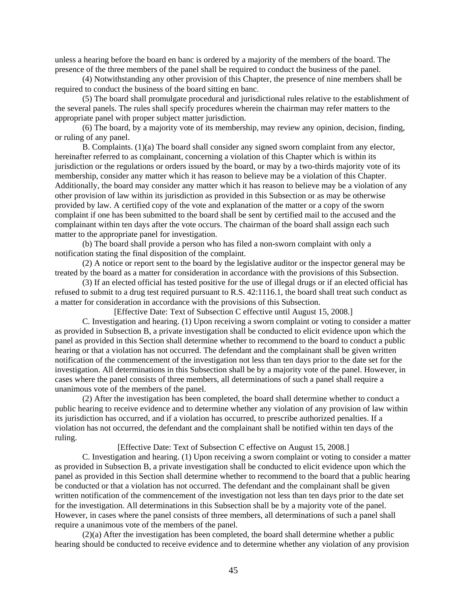unless a hearing before the board en banc is ordered by a majority of the members of the board. The presence of the three members of the panel shall be required to conduct the business of the panel.

(4) Notwithstanding any other provision of this Chapter, the presence of nine members shall be required to conduct the business of the board sitting en banc.

(5) The board shall promulgate procedural and jurisdictional rules relative to the establishment of the several panels. The rules shall specify procedures wherein the chairman may refer matters to the appropriate panel with proper subject matter jurisdiction.

(6) The board, by a majority vote of its membership, may review any opinion, decision, finding, or ruling of any panel.

B. Complaints. (1)(a) The board shall consider any signed sworn complaint from any elector, hereinafter referred to as complainant, concerning a violation of this Chapter which is within its jurisdiction or the regulations or orders issued by the board, or may by a two-thirds majority vote of its membership, consider any matter which it has reason to believe may be a violation of this Chapter. Additionally, the board may consider any matter which it has reason to believe may be a violation of any other provision of law within its jurisdiction as provided in this Subsection or as may be otherwise provided by law. A certified copy of the vote and explanation of the matter or a copy of the sworn complaint if one has been submitted to the board shall be sent by certified mail to the accused and the complainant within ten days after the vote occurs. The chairman of the board shall assign each such matter to the appropriate panel for investigation.

(b) The board shall provide a person who has filed a non-sworn complaint with only a notification stating the final disposition of the complaint.

(2) A notice or report sent to the board by the legislative auditor or the inspector general may be treated by the board as a matter for consideration in accordance with the provisions of this Subsection.

(3) If an elected official has tested positive for the use of illegal drugs or if an elected official has refused to submit to a drug test required pursuant to R.S. 42:1116.1, the board shall treat such conduct as a matter for consideration in accordance with the provisions of this Subsection.

[Effective Date: Text of Subsection C effective until August 15, 2008.]

C. Investigation and hearing. (1) Upon receiving a sworn complaint or voting to consider a matter as provided in Subsection B, a private investigation shall be conducted to elicit evidence upon which the panel as provided in this Section shall determine whether to recommend to the board to conduct a public hearing or that a violation has not occurred. The defendant and the complainant shall be given written notification of the commencement of the investigation not less than ten days prior to the date set for the investigation. All determinations in this Subsection shall be by a majority vote of the panel. However, in cases where the panel consists of three members, all determinations of such a panel shall require a unanimous vote of the members of the panel.

(2) After the investigation has been completed, the board shall determine whether to conduct a public hearing to receive evidence and to determine whether any violation of any provision of law within its jurisdiction has occurred, and if a violation has occurred, to prescribe authorized penalties. If a violation has not occurred, the defendant and the complainant shall be notified within ten days of the ruling.

[Effective Date: Text of Subsection C effective on August 15, 2008.]

C. Investigation and hearing. (1) Upon receiving a sworn complaint or voting to consider a matter as provided in Subsection B, a private investigation shall be conducted to elicit evidence upon which the panel as provided in this Section shall determine whether to recommend to the board that a public hearing be conducted or that a violation has not occurred. The defendant and the complainant shall be given written notification of the commencement of the investigation not less than ten days prior to the date set for the investigation. All determinations in this Subsection shall be by a majority vote of the panel. However, in cases where the panel consists of three members, all determinations of such a panel shall require a unanimous vote of the members of the panel.

(2)(a) After the investigation has been completed, the board shall determine whether a public hearing should be conducted to receive evidence and to determine whether any violation of any provision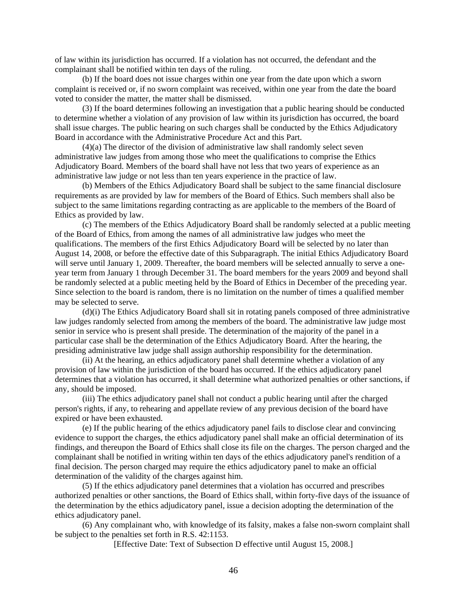of law within its jurisdiction has occurred. If a violation has not occurred, the defendant and the complainant shall be notified within ten days of the ruling.

(b) If the board does not issue charges within one year from the date upon which a sworn complaint is received or, if no sworn complaint was received, within one year from the date the board voted to consider the matter, the matter shall be dismissed.

(3) If the board determines following an investigation that a public hearing should be conducted to determine whether a violation of any provision of law within its jurisdiction has occurred, the board shall issue charges. The public hearing on such charges shall be conducted by the Ethics Adjudicatory Board in accordance with the Administrative Procedure Act and this Part.

(4)(a) The director of the division of administrative law shall randomly select seven administrative law judges from among those who meet the qualifications to comprise the Ethics Adjudicatory Board. Members of the board shall have not less that two years of experience as an administrative law judge or not less than ten years experience in the practice of law.

(b) Members of the Ethics Adjudicatory Board shall be subject to the same financial disclosure requirements as are provided by law for members of the Board of Ethics. Such members shall also be subject to the same limitations regarding contracting as are applicable to the members of the Board of Ethics as provided by law.

(c) The members of the Ethics Adjudicatory Board shall be randomly selected at a public meeting of the Board of Ethics, from among the names of all administrative law judges who meet the qualifications. The members of the first Ethics Adjudicatory Board will be selected by no later than August 14, 2008, or before the effective date of this Subparagraph. The initial Ethics Adjudicatory Board will serve until January 1, 2009. Thereafter, the board members will be selected annually to serve a oneyear term from January 1 through December 31. The board members for the years 2009 and beyond shall be randomly selected at a public meeting held by the Board of Ethics in December of the preceding year. Since selection to the board is random, there is no limitation on the number of times a qualified member may be selected to serve.

(d)(i) The Ethics Adjudicatory Board shall sit in rotating panels composed of three administrative law judges randomly selected from among the members of the board. The administrative law judge most senior in service who is present shall preside. The determination of the majority of the panel in a particular case shall be the determination of the Ethics Adjudicatory Board. After the hearing, the presiding administrative law judge shall assign authorship responsibility for the determination.

(ii) At the hearing, an ethics adjudicatory panel shall determine whether a violation of any provision of law within the jurisdiction of the board has occurred. If the ethics adjudicatory panel determines that a violation has occurred, it shall determine what authorized penalties or other sanctions, if any, should be imposed.

(iii) The ethics adjudicatory panel shall not conduct a public hearing until after the charged person's rights, if any, to rehearing and appellate review of any previous decision of the board have expired or have been exhausted.

(e) If the public hearing of the ethics adjudicatory panel fails to disclose clear and convincing evidence to support the charges, the ethics adjudicatory panel shall make an official determination of its findings, and thereupon the Board of Ethics shall close its file on the charges. The person charged and the complainant shall be notified in writing within ten days of the ethics adjudicatory panel's rendition of a final decision. The person charged may require the ethics adjudicatory panel to make an official determination of the validity of the charges against him.

(5) If the ethics adjudicatory panel determines that a violation has occurred and prescribes authorized penalties or other sanctions, the Board of Ethics shall, within forty-five days of the issuance of the determination by the ethics adjudicatory panel, issue a decision adopting the determination of the ethics adjudicatory panel.

(6) Any complainant who, with knowledge of its falsity, makes a false non-sworn complaint shall be subject to the penalties set forth in R.S. 42:1153.

[Effective Date: Text of Subsection D effective until August 15, 2008.]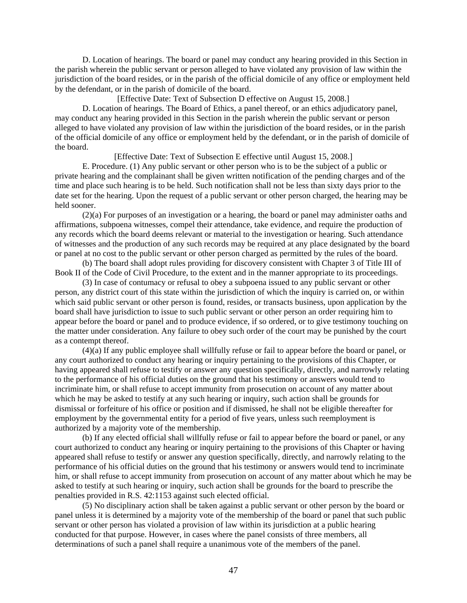D. Location of hearings. The board or panel may conduct any hearing provided in this Section in the parish wherein the public servant or person alleged to have violated any provision of law within the jurisdiction of the board resides, or in the parish of the official domicile of any office or employment held by the defendant, or in the parish of domicile of the board.

[Effective Date: Text of Subsection D effective on August 15, 2008.]

D. Location of hearings. The Board of Ethics, a panel thereof, or an ethics adjudicatory panel, may conduct any hearing provided in this Section in the parish wherein the public servant or person alleged to have violated any provision of law within the jurisdiction of the board resides, or in the parish of the official domicile of any office or employment held by the defendant, or in the parish of domicile of the board.

[Effective Date: Text of Subsection E effective until August 15, 2008.]

E. Procedure. (1) Any public servant or other person who is to be the subject of a public or private hearing and the complainant shall be given written notification of the pending charges and of the time and place such hearing is to be held. Such notification shall not be less than sixty days prior to the date set for the hearing. Upon the request of a public servant or other person charged, the hearing may be held sooner.

(2)(a) For purposes of an investigation or a hearing, the board or panel may administer oaths and affirmations, subpoena witnesses, compel their attendance, take evidence, and require the production of any records which the board deems relevant or material to the investigation or hearing. Such attendance of witnesses and the production of any such records may be required at any place designated by the board or panel at no cost to the public servant or other person charged as permitted by the rules of the board.

(b) The board shall adopt rules providing for discovery consistent with Chapter 3 of Title III of Book II of the Code of Civil Procedure, to the extent and in the manner appropriate to its proceedings.

(3) In case of contumacy or refusal to obey a subpoena issued to any public servant or other person, any district court of this state within the jurisdiction of which the inquiry is carried on, or within which said public servant or other person is found, resides, or transacts business, upon application by the board shall have jurisdiction to issue to such public servant or other person an order requiring him to appear before the board or panel and to produce evidence, if so ordered, or to give testimony touching on the matter under consideration. Any failure to obey such order of the court may be punished by the court as a contempt thereof.

(4)(a) If any public employee shall willfully refuse or fail to appear before the board or panel, or any court authorized to conduct any hearing or inquiry pertaining to the provisions of this Chapter, or having appeared shall refuse to testify or answer any question specifically, directly, and narrowly relating to the performance of his official duties on the ground that his testimony or answers would tend to incriminate him, or shall refuse to accept immunity from prosecution on account of any matter about which he may be asked to testify at any such hearing or inquiry, such action shall be grounds for dismissal or forfeiture of his office or position and if dismissed, he shall not be eligible thereafter for employment by the governmental entity for a period of five years, unless such reemployment is authorized by a majority vote of the membership.

(b) If any elected official shall willfully refuse or fail to appear before the board or panel, or any court authorized to conduct any hearing or inquiry pertaining to the provisions of this Chapter or having appeared shall refuse to testify or answer any question specifically, directly, and narrowly relating to the performance of his official duties on the ground that his testimony or answers would tend to incriminate him, or shall refuse to accept immunity from prosecution on account of any matter about which he may be asked to testify at such hearing or inquiry, such action shall be grounds for the board to prescribe the penalties provided in R.S. 42:1153 against such elected official.

(5) No disciplinary action shall be taken against a public servant or other person by the board or panel unless it is determined by a majority vote of the membership of the board or panel that such public servant or other person has violated a provision of law within its jurisdiction at a public hearing conducted for that purpose. However, in cases where the panel consists of three members, all determinations of such a panel shall require a unanimous vote of the members of the panel.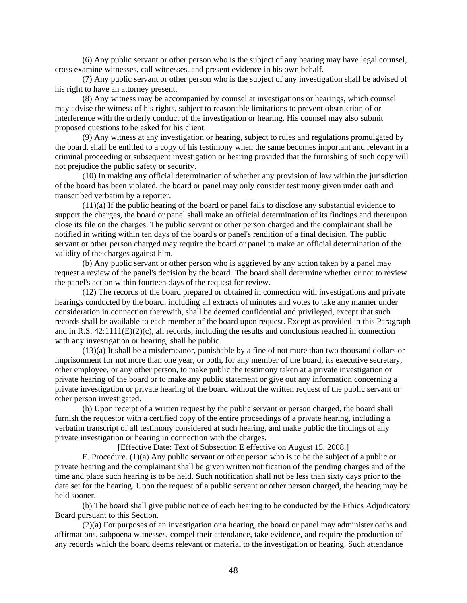(6) Any public servant or other person who is the subject of any hearing may have legal counsel, cross examine witnesses, call witnesses, and present evidence in his own behalf.

(7) Any public servant or other person who is the subject of any investigation shall be advised of his right to have an attorney present.

(8) Any witness may be accompanied by counsel at investigations or hearings, which counsel may advise the witness of his rights, subject to reasonable limitations to prevent obstruction of or interference with the orderly conduct of the investigation or hearing. His counsel may also submit proposed questions to be asked for his client.

(9) Any witness at any investigation or hearing, subject to rules and regulations promulgated by the board, shall be entitled to a copy of his testimony when the same becomes important and relevant in a criminal proceeding or subsequent investigation or hearing provided that the furnishing of such copy will not prejudice the public safety or security.

(10) In making any official determination of whether any provision of law within the jurisdiction of the board has been violated, the board or panel may only consider testimony given under oath and transcribed verbatim by a reporter.

(11)(a) If the public hearing of the board or panel fails to disclose any substantial evidence to support the charges, the board or panel shall make an official determination of its findings and thereupon close its file on the charges. The public servant or other person charged and the complainant shall be notified in writing within ten days of the board's or panel's rendition of a final decision. The public servant or other person charged may require the board or panel to make an official determination of the validity of the charges against him.

(b) Any public servant or other person who is aggrieved by any action taken by a panel may request a review of the panel's decision by the board. The board shall determine whether or not to review the panel's action within fourteen days of the request for review.

(12) The records of the board prepared or obtained in connection with investigations and private hearings conducted by the board, including all extracts of minutes and votes to take any manner under consideration in connection therewith, shall be deemed confidential and privileged, except that such records shall be available to each member of the board upon request. Except as provided in this Paragraph and in R.S. 42:1111(E)(2)(c), all records, including the results and conclusions reached in connection with any investigation or hearing, shall be public.

(13)(a) It shall be a misdemeanor, punishable by a fine of not more than two thousand dollars or imprisonment for not more than one year, or both, for any member of the board, its executive secretary, other employee, or any other person, to make public the testimony taken at a private investigation or private hearing of the board or to make any public statement or give out any information concerning a private investigation or private hearing of the board without the written request of the public servant or other person investigated.

(b) Upon receipt of a written request by the public servant or person charged, the board shall furnish the requestor with a certified copy of the entire proceedings of a private hearing, including a verbatim transcript of all testimony considered at such hearing, and make public the findings of any private investigation or hearing in connection with the charges.

[Effective Date: Text of Subsection E effective on August 15, 2008.]

E. Procedure. (1)(a) Any public servant or other person who is to be the subject of a public or private hearing and the complainant shall be given written notification of the pending charges and of the time and place such hearing is to be held. Such notification shall not be less than sixty days prior to the date set for the hearing. Upon the request of a public servant or other person charged, the hearing may be held sooner.

(b) The board shall give public notice of each hearing to be conducted by the Ethics Adjudicatory Board pursuant to this Section.

(2)(a) For purposes of an investigation or a hearing, the board or panel may administer oaths and affirmations, subpoena witnesses, compel their attendance, take evidence, and require the production of any records which the board deems relevant or material to the investigation or hearing. Such attendance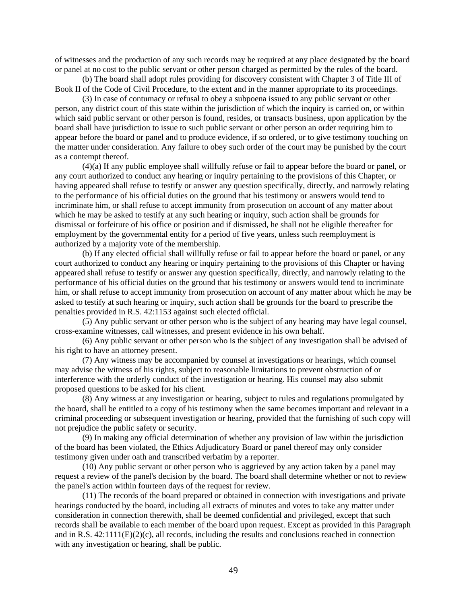of witnesses and the production of any such records may be required at any place designated by the board or panel at no cost to the public servant or other person charged as permitted by the rules of the board.

(b) The board shall adopt rules providing for discovery consistent with Chapter 3 of Title III of Book II of the Code of Civil Procedure, to the extent and in the manner appropriate to its proceedings.

(3) In case of contumacy or refusal to obey a subpoena issued to any public servant or other person, any district court of this state within the jurisdiction of which the inquiry is carried on, or within which said public servant or other person is found, resides, or transacts business, upon application by the board shall have jurisdiction to issue to such public servant or other person an order requiring him to appear before the board or panel and to produce evidence, if so ordered, or to give testimony touching on the matter under consideration. Any failure to obey such order of the court may be punished by the court as a contempt thereof.

(4)(a) If any public employee shall willfully refuse or fail to appear before the board or panel, or any court authorized to conduct any hearing or inquiry pertaining to the provisions of this Chapter, or having appeared shall refuse to testify or answer any question specifically, directly, and narrowly relating to the performance of his official duties on the ground that his testimony or answers would tend to incriminate him, or shall refuse to accept immunity from prosecution on account of any matter about which he may be asked to testify at any such hearing or inquiry, such action shall be grounds for dismissal or forfeiture of his office or position and if dismissed, he shall not be eligible thereafter for employment by the governmental entity for a period of five years, unless such reemployment is authorized by a majority vote of the membership.

(b) If any elected official shall willfully refuse or fail to appear before the board or panel, or any court authorized to conduct any hearing or inquiry pertaining to the provisions of this Chapter or having appeared shall refuse to testify or answer any question specifically, directly, and narrowly relating to the performance of his official duties on the ground that his testimony or answers would tend to incriminate him, or shall refuse to accept immunity from prosecution on account of any matter about which he may be asked to testify at such hearing or inquiry, such action shall be grounds for the board to prescribe the penalties provided in R.S. 42:1153 against such elected official.

(5) Any public servant or other person who is the subject of any hearing may have legal counsel, cross-examine witnesses, call witnesses, and present evidence in his own behalf.

(6) Any public servant or other person who is the subject of any investigation shall be advised of his right to have an attorney present.

(7) Any witness may be accompanied by counsel at investigations or hearings, which counsel may advise the witness of his rights, subject to reasonable limitations to prevent obstruction of or interference with the orderly conduct of the investigation or hearing. His counsel may also submit proposed questions to be asked for his client.

(8) Any witness at any investigation or hearing, subject to rules and regulations promulgated by the board, shall be entitled to a copy of his testimony when the same becomes important and relevant in a criminal proceeding or subsequent investigation or hearing, provided that the furnishing of such copy will not prejudice the public safety or security.

(9) In making any official determination of whether any provision of law within the jurisdiction of the board has been violated, the Ethics Adjudicatory Board or panel thereof may only consider testimony given under oath and transcribed verbatim by a reporter.

(10) Any public servant or other person who is aggrieved by any action taken by a panel may request a review of the panel's decision by the board. The board shall determine whether or not to review the panel's action within fourteen days of the request for review.

(11) The records of the board prepared or obtained in connection with investigations and private hearings conducted by the board, including all extracts of minutes and votes to take any matter under consideration in connection therewith, shall be deemed confidential and privileged, except that such records shall be available to each member of the board upon request. Except as provided in this Paragraph and in R.S.  $42:1111(E)(2)(c)$ , all records, including the results and conclusions reached in connection with any investigation or hearing, shall be public.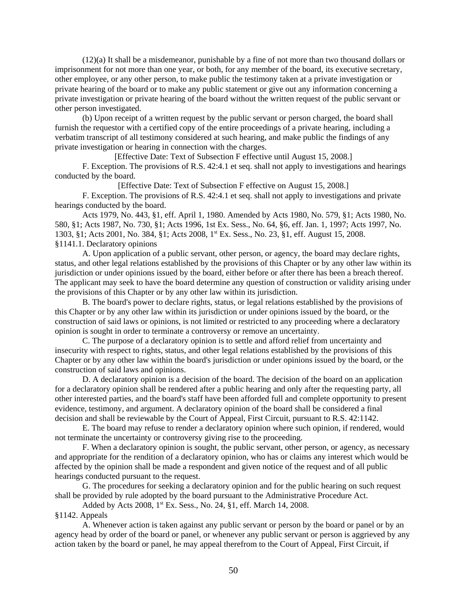(12)(a) It shall be a misdemeanor, punishable by a fine of not more than two thousand dollars or imprisonment for not more than one year, or both, for any member of the board, its executive secretary, other employee, or any other person, to make public the testimony taken at a private investigation or private hearing of the board or to make any public statement or give out any information concerning a private investigation or private hearing of the board without the written request of the public servant or other person investigated.

(b) Upon receipt of a written request by the public servant or person charged, the board shall furnish the requestor with a certified copy of the entire proceedings of a private hearing, including a verbatim transcript of all testimony considered at such hearing, and make public the findings of any private investigation or hearing in connection with the charges.

[Effective Date: Text of Subsection F effective until August 15, 2008.] F. Exception. The provisions of R.S. 42:4.1 et seq. shall not apply to investigations and hearings conducted by the board.

[Effective Date: Text of Subsection F effective on August 15, 2008.]

F. Exception. The provisions of R.S. 42:4.1 et seq. shall not apply to investigations and private hearings conducted by the board.

Acts 1979, No. 443, §1, eff. April 1, 1980. Amended by Acts 1980, No. 579, §1; Acts 1980, No. 580, §1; Acts 1987, No. 730, §1; Acts 1996, 1st Ex. Sess., No. 64, §6, eff. Jan. 1, 1997; Acts 1997, No. 1303, §1; Acts 2001, No. 384, §1; Acts 2008, 1st Ex. Sess., No. 23, §1, eff. August 15, 2008. §1141.1. Declaratory opinions

A. Upon application of a public servant, other person, or agency, the board may declare rights, status, and other legal relations established by the provisions of this Chapter or by any other law within its jurisdiction or under opinions issued by the board, either before or after there has been a breach thereof. The applicant may seek to have the board determine any question of construction or validity arising under the provisions of this Chapter or by any other law within its jurisdiction.

B. The board's power to declare rights, status, or legal relations established by the provisions of this Chapter or by any other law within its jurisdiction or under opinions issued by the board, or the construction of said laws or opinions, is not limited or restricted to any proceeding where a declaratory opinion is sought in order to terminate a controversy or remove an uncertainty.

C. The purpose of a declaratory opinion is to settle and afford relief from uncertainty and insecurity with respect to rights, status, and other legal relations established by the provisions of this Chapter or by any other law within the board's jurisdiction or under opinions issued by the board, or the construction of said laws and opinions.

D. A declaratory opinion is a decision of the board. The decision of the board on an application for a declaratory opinion shall be rendered after a public hearing and only after the requesting party, all other interested parties, and the board's staff have been afforded full and complete opportunity to present evidence, testimony, and argument. A declaratory opinion of the board shall be considered a final decision and shall be reviewable by the Court of Appeal, First Circuit, pursuant to R.S. 42:1142.

E. The board may refuse to render a declaratory opinion where such opinion, if rendered, would not terminate the uncertainty or controversy giving rise to the proceeding.

F. When a declaratory opinion is sought, the public servant, other person, or agency, as necessary and appropriate for the rendition of a declaratory opinion, who has or claims any interest which would be affected by the opinion shall be made a respondent and given notice of the request and of all public hearings conducted pursuant to the request.

G. The procedures for seeking a declaratory opinion and for the public hearing on such request shall be provided by rule adopted by the board pursuant to the Administrative Procedure Act.

Added by Acts 2008, 1<sup>st</sup> Ex. Sess., No. 24, §1, eff. March 14, 2008.

#### §1142. Appeals

A. Whenever action is taken against any public servant or person by the board or panel or by an agency head by order of the board or panel, or whenever any public servant or person is aggrieved by any action taken by the board or panel, he may appeal therefrom to the Court of Appeal, First Circuit, if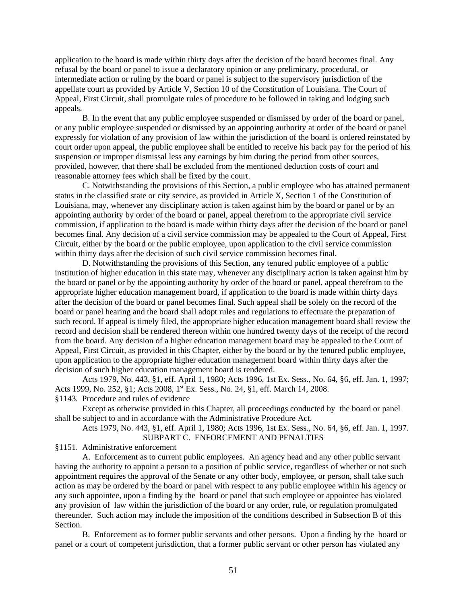application to the board is made within thirty days after the decision of the board becomes final. Any refusal by the board or panel to issue a declaratory opinion or any preliminary, procedural, or intermediate action or ruling by the board or panel is subject to the supervisory jurisdiction of the appellate court as provided by Article V, Section 10 of the Constitution of Louisiana. The Court of Appeal, First Circuit, shall promulgate rules of procedure to be followed in taking and lodging such appeals.

B. In the event that any public employee suspended or dismissed by order of the board or panel, or any public employee suspended or dismissed by an appointing authority at order of the board or panel expressly for violation of any provision of law within the jurisdiction of the board is ordered reinstated by court order upon appeal, the public employee shall be entitled to receive his back pay for the period of his suspension or improper dismissal less any earnings by him during the period from other sources, provided, however, that there shall be excluded from the mentioned deduction costs of court and reasonable attorney fees which shall be fixed by the court.

C. Notwithstanding the provisions of this Section, a public employee who has attained permanent status in the classified state or city service, as provided in Article X, Section 1 of the Constitution of Louisiana, may, whenever any disciplinary action is taken against him by the board or panel or by an appointing authority by order of the board or panel, appeal therefrom to the appropriate civil service commission, if application to the board is made within thirty days after the decision of the board or panel becomes final. Any decision of a civil service commission may be appealed to the Court of Appeal, First Circuit, either by the board or the public employee, upon application to the civil service commission within thirty days after the decision of such civil service commission becomes final.

D. Notwithstanding the provisions of this Section, any tenured public employee of a public institution of higher education in this state may, whenever any disciplinary action is taken against him by the board or panel or by the appointing authority by order of the board or panel, appeal therefrom to the appropriate higher education management board, if application to the board is made within thirty days after the decision of the board or panel becomes final. Such appeal shall be solely on the record of the board or panel hearing and the board shall adopt rules and regulations to effectuate the preparation of such record. If appeal is timely filed, the appropriate higher education management board shall review the record and decision shall be rendered thereon within one hundred twenty days of the receipt of the record from the board. Any decision of a higher education management board may be appealed to the Court of Appeal, First Circuit, as provided in this Chapter, either by the board or by the tenured public employee, upon application to the appropriate higher education management board within thirty days after the decision of such higher education management board is rendered.

Acts 1979, No. 443, §1, eff. April 1, 1980; Acts 1996, 1st Ex. Sess., No. 64, §6, eff. Jan. 1, 1997; Acts 1999, No. 252, §1; Acts 2008, 1<sup>st</sup> Ex. Sess., No. 24, §1, eff. March 14, 2008.

§1143. Procedure and rules of evidence

Except as otherwise provided in this Chapter, all proceedings conducted by the board or panel shall be subject to and in accordance with the Administrative Procedure Act.

Acts 1979, No. 443, §1, eff. April 1, 1980; Acts 1996, 1st Ex. Sess., No. 64, §6, eff. Jan. 1, 1997. SUBPART C. ENFORCEMENT AND PENALTIES

§1151. Administrative enforcement

A. Enforcement as to current public employees. An agency head and any other public servant having the authority to appoint a person to a position of public service, regardless of whether or not such appointment requires the approval of the Senate or any other body, employee, or person, shall take such action as may be ordered by the board or panel with respect to any public employee within his agency or any such appointee, upon a finding by the board or panel that such employee or appointee has violated any provision of law within the jurisdiction of the board or any order, rule, or regulation promulgated thereunder. Such action may include the imposition of the conditions described in Subsection B of this Section.

B. Enforcement as to former public servants and other persons. Upon a finding by the board or panel or a court of competent jurisdiction, that a former public servant or other person has violated any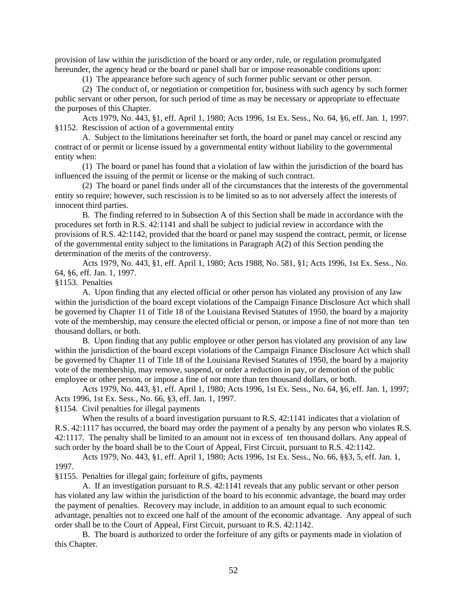provision of law within the jurisdiction of the board or any order, rule, or regulation promulgated hereunder, the agency head or the board or panel shall bar or impose reasonable conditions upon:

(1) The appearance before such agency of such former public servant or other person.

(2) The conduct of, or negotiation or competition for, business with such agency by such former public servant or other person, for such period of time as may be necessary or appropriate to effectuate the purposes of this Chapter.

Acts 1979, No. 443, §1, eff. April 1, 1980; Acts 1996, 1st Ex. Sess., No. 64, §6, eff. Jan. 1, 1997. §1152. Rescission of action of a governmental entity

A. Subject to the limitations hereinafter set forth, the board or panel may cancel or rescind any contract of or permit or license issued by a governmental entity without liability to the governmental entity when:

(1) The board or panel has found that a violation of law within the jurisdiction of the board has influenced the issuing of the permit or license or the making of such contract.

(2) The board or panel finds under all of the circumstances that the interests of the governmental entity so require; however, such rescission is to be limited so as to not adversely affect the interests of innocent third parties.

B. The finding referred to in Subsection A of this Section shall be made in accordance with the procedures set forth in R.S. 42:1141 and shall be subject to judicial review in accordance with the provisions of R.S. 42:1142, provided that the board or panel may suspend the contract, permit, or license of the governmental entity subject to the limitations in Paragraph A(2) of this Section pending the determination of the merits of the controversy.

Acts 1979, No. 443, §1, eff. April 1, 1980; Acts 1988, No. 581, §1; Acts 1996, 1st Ex. Sess., No. 64, §6, eff. Jan. 1, 1997.

§1153. Penalties

A. Upon finding that any elected official or other person has violated any provision of any law within the jurisdiction of the board except violations of the Campaign Finance Disclosure Act which shall be governed by Chapter 11 of Title 18 of the Louisiana Revised Statutes of 1950, the board by a majority vote of the membership, may censure the elected official or person, or impose a fine of not more than ten thousand dollars, or both.

B. Upon finding that any public employee or other person has violated any provision of any law within the jurisdiction of the board except violations of the Campaign Finance Disclosure Act which shall be governed by Chapter 11 of Title 18 of the Louisiana Revised Statutes of 1950, the board by a majority vote of the membership, may remove, suspend, or order a reduction in pay, or demotion of the public employee or other person, or impose a fine of not more than ten thousand dollars, or both.

Acts 1979, No. 443, §1, eff. April 1, 1980; Acts 1996, 1st Ex. Sess., No. 64, §6, eff. Jan. 1, 1997; Acts 1996, 1st Ex. Sess., No. 66, §3, eff. Jan. 1, 1997.

§1154. Civil penalties for illegal payments

When the results of a board investigation pursuant to R.S. 42:1141 indicates that a violation of R.S. 42:1117 has occurred, the board may order the payment of a penalty by any person who violates R.S. 42:1117. The penalty shall be limited to an amount not in excess of ten thousand dollars. Any appeal of such order by the board shall be to the Court of Appeal, First Circuit, pursuant to R.S. 42:1142.

Acts 1979, No. 443, §1, eff. April 1, 1980; Acts 1996, 1st Ex. Sess., No. 66, §§3, 5, eff. Jan. 1, 1997.

§1155. Penalties for illegal gain; forfeiture of gifts, payments

A. If an investigation pursuant to R.S. 42:1141 reveals that any public servant or other person has violated any law within the jurisdiction of the board to his economic advantage, the board may order the payment of penalties. Recovery may include, in addition to an amount equal to such economic advantage, penalties not to exceed one half of the amount of the economic advantage. Any appeal of such order shall be to the Court of Appeal, First Circuit, pursuant to R.S. 42:1142.

B. The board is authorized to order the forfeiture of any gifts or payments made in violation of this Chapter.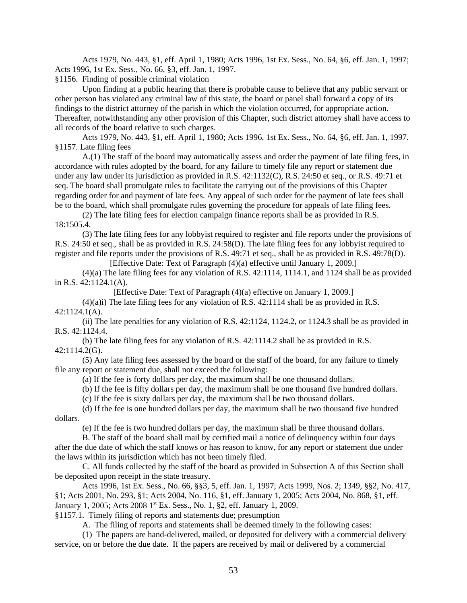Acts 1979, No. 443, §1, eff. April 1, 1980; Acts 1996, 1st Ex. Sess., No. 64, §6, eff. Jan. 1, 1997; Acts 1996, 1st Ex. Sess., No. 66, §3, eff. Jan. 1, 1997.

§1156. Finding of possible criminal violation

Upon finding at a public hearing that there is probable cause to believe that any public servant or other person has violated any criminal law of this state, the board or panel shall forward a copy of its findings to the district attorney of the parish in which the violation occurred, for appropriate action. Thereafter, notwithstanding any other provision of this Chapter, such district attorney shall have access to all records of the board relative to such charges.

Acts 1979, No. 443, §1, eff. April 1, 1980; Acts 1996, 1st Ex. Sess., No. 64, §6, eff. Jan. 1, 1997. §1157. Late filing fees

A.(1) The staff of the board may automatically assess and order the payment of late filing fees, in accordance with rules adopted by the board, for any failure to timely file any report or statement due under any law under its jurisdiction as provided in R.S. 42:1132(C), R.S. 24:50 et seq., or R.S. 49:71 et seq. The board shall promulgate rules to facilitate the carrying out of the provisions of this Chapter regarding order for and payment of late fees. Any appeal of such order for the payment of late fees shall be to the board, which shall promulgate rules governing the procedure for appeals of late filing fees.

(2) The late filing fees for election campaign finance reports shall be as provided in R.S. 18:1505.4.

(3) The late filing fees for any lobbyist required to register and file reports under the provisions of R.S. 24:50 et seq., shall be as provided in R.S. 24:58(D). The late filing fees for any lobbyist required to register and file reports under the provisions of R.S. 49:71 et seq., shall be as provided in R.S. 49:78(D).

[Effective Date: Text of Paragraph (4)(a) effective until January 1, 2009.]

(4)(a) The late filing fees for any violation of R.S. 42:1114, 1114.1, and 1124 shall be as provided in R.S. 42:1124.1(A).

[Effective Date: Text of Paragraph (4)(a) effective on January 1, 2009.]

 $(4)(a)i$ ) The late filing fees for any violation of R.S.  $42:1114$  shall be as provided in R.S. 42:1124.1(A).

(ii) The late penalties for any violation of R.S. 42:1124, 1124.2, or 1124.3 shall be as provided in R.S. 42:1124.4.

(b) The late filing fees for any violation of R.S. 42:1114.2 shall be as provided in R.S. 42:1114.2(G).

(5) Any late filing fees assessed by the board or the staff of the board, for any failure to timely file any report or statement due, shall not exceed the following:

(a) If the fee is forty dollars per day, the maximum shall be one thousand dollars.

(b) If the fee is fifty dollars per day, the maximum shall be one thousand five hundred dollars.

(c) If the fee is sixty dollars per day, the maximum shall be two thousand dollars.

(d) If the fee is one hundred dollars per day, the maximum shall be two thousand five hundred dollars.

(e) If the fee is two hundred dollars per day, the maximum shall be three thousand dollars.

B. The staff of the board shall mail by certified mail a notice of delinquency within four days after the due date of which the staff knows or has reason to know, for any report or statement due under the laws within its jurisdiction which has not been timely filed.

C. All funds collected by the staff of the board as provided in Subsection A of this Section shall be deposited upon receipt in the state treasury.

Acts 1996, 1st Ex. Sess., No. 66, §§3, 5, eff. Jan. 1, 1997; Acts 1999, Nos. 2; 1349, §§2, No. 417, §1; Acts 2001, No. 293, §1; Acts 2004, No. 116, §1, eff. January 1, 2005; Acts 2004, No. 868, §1, eff. January 1, 2005; Acts 2008 1<sup>st</sup> Ex. Sess., No. 1, §2, eff. January 1, 2009.

§1157.1. Timely filing of reports and statements due; presumption

A. The filing of reports and statements shall be deemed timely in the following cases:

(1) The papers are hand-delivered, mailed, or deposited for delivery with a commercial delivery service, on or before the due date. If the papers are received by mail or delivered by a commercial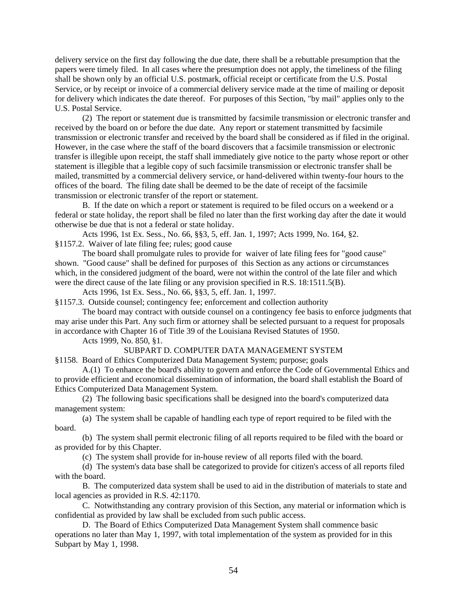delivery service on the first day following the due date, there shall be a rebuttable presumption that the papers were timely filed. In all cases where the presumption does not apply, the timeliness of the filing shall be shown only by an official U.S. postmark, official receipt or certificate from the U.S. Postal Service, or by receipt or invoice of a commercial delivery service made at the time of mailing or deposit for delivery which indicates the date thereof. For purposes of this Section, "by mail" applies only to the U.S. Postal Service.

(2) The report or statement due is transmitted by facsimile transmission or electronic transfer and received by the board on or before the due date. Any report or statement transmitted by facsimile transmission or electronic transfer and received by the board shall be considered as if filed in the original. However, in the case where the staff of the board discovers that a facsimile transmission or electronic transfer is illegible upon receipt, the staff shall immediately give notice to the party whose report or other statement is illegible that a legible copy of such facsimile transmission or electronic transfer shall be mailed, transmitted by a commercial delivery service, or hand-delivered within twenty-four hours to the offices of the board. The filing date shall be deemed to be the date of receipt of the facsimile transmission or electronic transfer of the report or statement.

B. If the date on which a report or statement is required to be filed occurs on a weekend or a federal or state holiday, the report shall be filed no later than the first working day after the date it would otherwise be due that is not a federal or state holiday.

Acts 1996, 1st Ex. Sess., No. 66, §§3, 5, eff. Jan. 1, 1997; Acts 1999, No. 164, §2. §1157.2. Waiver of late filing fee; rules; good cause

The board shall promulgate rules to provide for waiver of late filing fees for "good cause" shown. "Good cause" shall be defined for purposes of this Section as any actions or circumstances which, in the considered judgment of the board, were not within the control of the late filer and which were the direct cause of the late filing or any provision specified in R.S. 18:1511.5(B).

Acts 1996, 1st Ex. Sess., No. 66, §§3, 5, eff. Jan. 1, 1997.

§1157.3. Outside counsel; contingency fee; enforcement and collection authority

The board may contract with outside counsel on a contingency fee basis to enforce judgments that may arise under this Part. Any such firm or attorney shall be selected pursuant to a request for proposals in accordance with Chapter 16 of Title 39 of the Louisiana Revised Statutes of 1950.

Acts 1999, No. 850, §1.

#### SUBPART D. COMPUTER DATA MANAGEMENT SYSTEM

§1158. Board of Ethics Computerized Data Management System; purpose; goals

A.(1) To enhance the board's ability to govern and enforce the Code of Governmental Ethics and to provide efficient and economical dissemination of information, the board shall establish the Board of Ethics Computerized Data Management System.

(2) The following basic specifications shall be designed into the board's computerized data management system:

(a) The system shall be capable of handling each type of report required to be filed with the board.

(b) The system shall permit electronic filing of all reports required to be filed with the board or as provided for by this Chapter.

(c) The system shall provide for in-house review of all reports filed with the board.

(d) The system's data base shall be categorized to provide for citizen's access of all reports filed with the board.

B. The computerized data system shall be used to aid in the distribution of materials to state and local agencies as provided in R.S. 42:1170.

C. Notwithstanding any contrary provision of this Section, any material or information which is confidential as provided by law shall be excluded from such public access.

D. The Board of Ethics Computerized Data Management System shall commence basic operations no later than May 1, 1997, with total implementation of the system as provided for in this Subpart by May 1, 1998.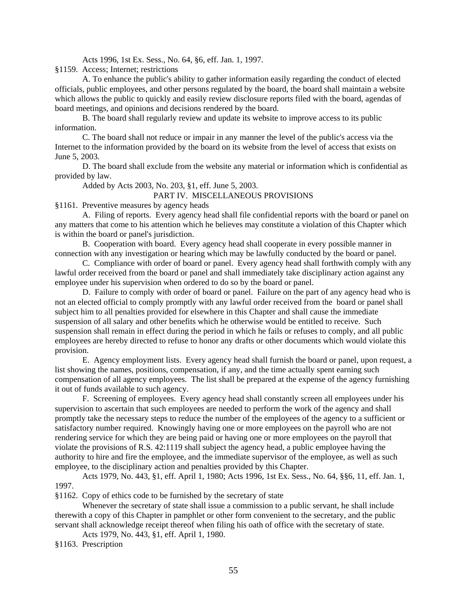Acts 1996, 1st Ex. Sess., No. 64, §6, eff. Jan. 1, 1997.

§1159. Access; Internet; restrictions

A. To enhance the public's ability to gather information easily regarding the conduct of elected officials, public employees, and other persons regulated by the board, the board shall maintain a website which allows the public to quickly and easily review disclosure reports filed with the board, agendas of board meetings, and opinions and decisions rendered by the board.

B. The board shall regularly review and update its website to improve access to its public information.

C. The board shall not reduce or impair in any manner the level of the public's access via the Internet to the information provided by the board on its website from the level of access that exists on June 5, 2003.

D. The board shall exclude from the website any material or information which is confidential as provided by law.

Added by Acts 2003, No. 203, §1, eff. June 5, 2003.

#### PART IV. MISCELLANEOUS PROVISIONS

§1161. Preventive measures by agency heads

A. Filing of reports. Every agency head shall file confidential reports with the board or panel on any matters that come to his attention which he believes may constitute a violation of this Chapter which is within the board or panel's jurisdiction.

B. Cooperation with board. Every agency head shall cooperate in every possible manner in connection with any investigation or hearing which may be lawfully conducted by the board or panel.

C. Compliance with order of board or panel. Every agency head shall forthwith comply with any lawful order received from the board or panel and shall immediately take disciplinary action against any employee under his supervision when ordered to do so by the board or panel.

D. Failure to comply with order of board or panel. Failure on the part of any agency head who is not an elected official to comply promptly with any lawful order received from the board or panel shall subject him to all penalties provided for elsewhere in this Chapter and shall cause the immediate suspension of all salary and other benefits which he otherwise would be entitled to receive. Such suspension shall remain in effect during the period in which he fails or refuses to comply, and all public employees are hereby directed to refuse to honor any drafts or other documents which would violate this provision.

E. Agency employment lists. Every agency head shall furnish the board or panel, upon request, a list showing the names, positions, compensation, if any, and the time actually spent earning such compensation of all agency employees. The list shall be prepared at the expense of the agency furnishing it out of funds available to such agency.

F. Screening of employees. Every agency head shall constantly screen all employees under his supervision to ascertain that such employees are needed to perform the work of the agency and shall promptly take the necessary steps to reduce the number of the employees of the agency to a sufficient or satisfactory number required. Knowingly having one or more employees on the payroll who are not rendering service for which they are being paid or having one or more employees on the payroll that violate the provisions of R.S. 42:1119 shall subject the agency head, a public employee having the authority to hire and fire the employee, and the immediate supervisor of the employee, as well as such employee, to the disciplinary action and penalties provided by this Chapter.

Acts 1979, No. 443, §1, eff. April 1, 1980; Acts 1996, 1st Ex. Sess., No. 64, §§6, 11, eff. Jan. 1, 1997.

§1162. Copy of ethics code to be furnished by the secretary of state

Whenever the secretary of state shall issue a commission to a public servant, he shall include therewith a copy of this Chapter in pamphlet or other form convenient to the secretary, and the public servant shall acknowledge receipt thereof when filing his oath of office with the secretary of state.

Acts 1979, No. 443, §1, eff. April 1, 1980.

§1163. Prescription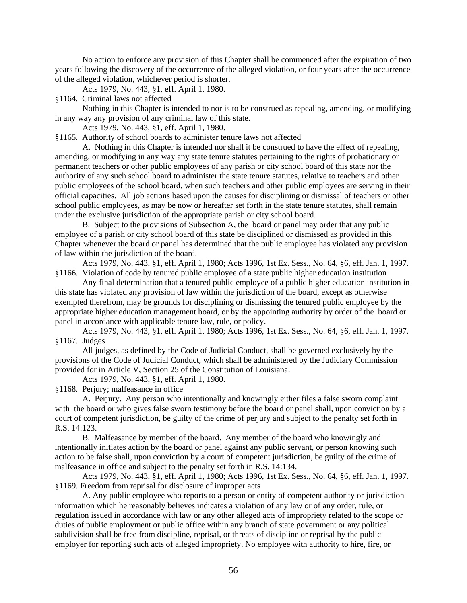No action to enforce any provision of this Chapter shall be commenced after the expiration of two years following the discovery of the occurrence of the alleged violation, or four years after the occurrence of the alleged violation, whichever period is shorter.

Acts 1979, No. 443, §1, eff. April 1, 1980.

§1164. Criminal laws not affected

Nothing in this Chapter is intended to nor is to be construed as repealing, amending, or modifying in any way any provision of any criminal law of this state.

Acts 1979, No. 443, §1, eff. April 1, 1980.

§1165. Authority of school boards to administer tenure laws not affected

A. Nothing in this Chapter is intended nor shall it be construed to have the effect of repealing, amending, or modifying in any way any state tenure statutes pertaining to the rights of probationary or permanent teachers or other public employees of any parish or city school board of this state nor the authority of any such school board to administer the state tenure statutes, relative to teachers and other public employees of the school board, when such teachers and other public employees are serving in their official capacities. All job actions based upon the causes for disciplining or dismissal of teachers or other school public employees, as may be now or hereafter set forth in the state tenure statutes, shall remain under the exclusive jurisdiction of the appropriate parish or city school board.

B. Subject to the provisions of Subsection A, the board or panel may order that any public employee of a parish or city school board of this state be disciplined or dismissed as provided in this Chapter whenever the board or panel has determined that the public employee has violated any provision of law within the jurisdiction of the board.

Acts 1979, No. 443, §1, eff. April 1, 1980; Acts 1996, 1st Ex. Sess., No. 64, §6, eff. Jan. 1, 1997. §1166. Violation of code by tenured public employee of a state public higher education institution

Any final determination that a tenured public employee of a public higher education institution in this state has violated any provision of law within the jurisdiction of the board, except as otherwise exempted therefrom, may be grounds for disciplining or dismissing the tenured public employee by the appropriate higher education management board, or by the appointing authority by order of the board or panel in accordance with applicable tenure law, rule, or policy.

Acts 1979, No. 443, §1, eff. April 1, 1980; Acts 1996, 1st Ex. Sess., No. 64, §6, eff. Jan. 1, 1997. §1167. Judges

All judges, as defined by the Code of Judicial Conduct, shall be governed exclusively by the provisions of the Code of Judicial Conduct, which shall be administered by the Judiciary Commission provided for in Article V, Section 25 of the Constitution of Louisiana.

Acts 1979, No. 443, §1, eff. April 1, 1980.

§1168. Perjury; malfeasance in office

A. Perjury. Any person who intentionally and knowingly either files a false sworn complaint with the board or who gives false sworn testimony before the board or panel shall, upon conviction by a court of competent jurisdiction, be guilty of the crime of perjury and subject to the penalty set forth in R.S. 14:123.

B. Malfeasance by member of the board. Any member of the board who knowingly and intentionally initiates action by the board or panel against any public servant, or person knowing such action to be false shall, upon conviction by a court of competent jurisdiction, be guilty of the crime of malfeasance in office and subject to the penalty set forth in R.S. 14:134.

Acts 1979, No. 443, §1, eff. April 1, 1980; Acts 1996, 1st Ex. Sess., No. 64, §6, eff. Jan. 1, 1997. §1169. Freedom from reprisal for disclosure of improper acts

A. Any public employee who reports to a person or entity of competent authority or jurisdiction information which he reasonably believes indicates a violation of any law or of any order, rule, or regulation issued in accordance with law or any other alleged acts of impropriety related to the scope or duties of public employment or public office within any branch of state government or any political subdivision shall be free from discipline, reprisal, or threats of discipline or reprisal by the public employer for reporting such acts of alleged impropriety. No employee with authority to hire, fire, or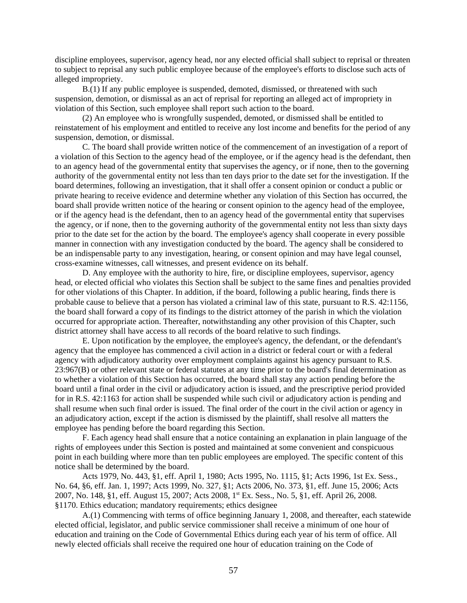discipline employees, supervisor, agency head, nor any elected official shall subject to reprisal or threaten to subject to reprisal any such public employee because of the employee's efforts to disclose such acts of alleged impropriety.

B.(1) If any public employee is suspended, demoted, dismissed, or threatened with such suspension, demotion, or dismissal as an act of reprisal for reporting an alleged act of impropriety in violation of this Section, such employee shall report such action to the board.

(2) An employee who is wrongfully suspended, demoted, or dismissed shall be entitled to reinstatement of his employment and entitled to receive any lost income and benefits for the period of any suspension, demotion, or dismissal.

C. The board shall provide written notice of the commencement of an investigation of a report of a violation of this Section to the agency head of the employee, or if the agency head is the defendant, then to an agency head of the governmental entity that supervises the agency, or if none, then to the governing authority of the governmental entity not less than ten days prior to the date set for the investigation. If the board determines, following an investigation, that it shall offer a consent opinion or conduct a public or private hearing to receive evidence and determine whether any violation of this Section has occurred, the board shall provide written notice of the hearing or consent opinion to the agency head of the employee, or if the agency head is the defendant, then to an agency head of the governmental entity that supervises the agency, or if none, then to the governing authority of the governmental entity not less than sixty days prior to the date set for the action by the board. The employee's agency shall cooperate in every possible manner in connection with any investigation conducted by the board. The agency shall be considered to be an indispensable party to any investigation, hearing, or consent opinion and may have legal counsel, cross-examine witnesses, call witnesses, and present evidence on its behalf.

D. Any employee with the authority to hire, fire, or discipline employees, supervisor, agency head, or elected official who violates this Section shall be subject to the same fines and penalties provided for other violations of this Chapter. In addition, if the board, following a public hearing, finds there is probable cause to believe that a person has violated a criminal law of this state, pursuant to R.S. 42:1156, the board shall forward a copy of its findings to the district attorney of the parish in which the violation occurred for appropriate action. Thereafter, notwithstanding any other provision of this Chapter, such district attorney shall have access to all records of the board relative to such findings.

E. Upon notification by the employee, the employee's agency, the defendant, or the defendant's agency that the employee has commenced a civil action in a district or federal court or with a federal agency with adjudicatory authority over employment complaints against his agency pursuant to R.S. 23:967(B) or other relevant state or federal statutes at any time prior to the board's final determination as to whether a violation of this Section has occurred, the board shall stay any action pending before the board until a final order in the civil or adjudicatory action is issued, and the prescriptive period provided for in R.S. 42:1163 for action shall be suspended while such civil or adjudicatory action is pending and shall resume when such final order is issued. The final order of the court in the civil action or agency in an adjudicatory action, except if the action is dismissed by the plaintiff, shall resolve all matters the employee has pending before the board regarding this Section.

F. Each agency head shall ensure that a notice containing an explanation in plain language of the rights of employees under this Section is posted and maintained at some convenient and conspicuous point in each building where more than ten public employees are employed. The specific content of this notice shall be determined by the board.

Acts 1979, No. 443, §1, eff. April 1, 1980; Acts 1995, No. 1115, §1; Acts 1996, 1st Ex. Sess., No. 64, §6, eff. Jan. 1, 1997; Acts 1999, No. 327, §1; Acts 2006, No. 373, §1, eff. June 15, 2006; Acts 2007, No. 148, §1, eff. August 15, 2007; Acts 2008, 1<sup>st</sup> Ex. Sess., No. 5, §1, eff. April 26, 2008. §1170. Ethics education; mandatory requirements; ethics designee

A.(1) Commencing with terms of office beginning January 1, 2008, and thereafter, each statewide elected official, legislator, and public service commissioner shall receive a minimum of one hour of education and training on the Code of Governmental Ethics during each year of his term of office. All newly elected officials shall receive the required one hour of education training on the Code of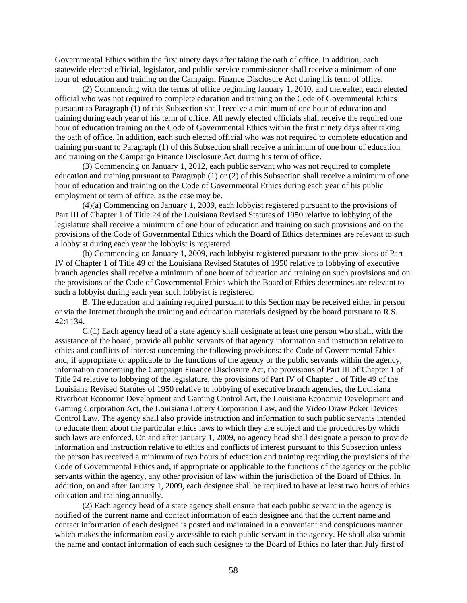Governmental Ethics within the first ninety days after taking the oath of office. In addition, each statewide elected official, legislator, and public service commissioner shall receive a minimum of one hour of education and training on the Campaign Finance Disclosure Act during his term of office.

(2) Commencing with the terms of office beginning January 1, 2010, and thereafter, each elected official who was not required to complete education and training on the Code of Governmental Ethics pursuant to Paragraph (1) of this Subsection shall receive a minimum of one hour of education and training during each year of his term of office. All newly elected officials shall receive the required one hour of education training on the Code of Governmental Ethics within the first ninety days after taking the oath of office. In addition, each such elected official who was not required to complete education and training pursuant to Paragraph (1) of this Subsection shall receive a minimum of one hour of education and training on the Campaign Finance Disclosure Act during his term of office.

(3) Commencing on January 1, 2012, each public servant who was not required to complete education and training pursuant to Paragraph (1) or (2) of this Subsection shall receive a minimum of one hour of education and training on the Code of Governmental Ethics during each year of his public employment or term of office, as the case may be.

(4)(a) Commencing on January 1, 2009, each lobbyist registered pursuant to the provisions of Part III of Chapter 1 of Title 24 of the Louisiana Revised Statutes of 1950 relative to lobbying of the legislature shall receive a minimum of one hour of education and training on such provisions and on the provisions of the Code of Governmental Ethics which the Board of Ethics determines are relevant to such a lobbyist during each year the lobbyist is registered.

(b) Commencing on January 1, 2009, each lobbyist registered pursuant to the provisions of Part IV of Chapter 1 of Title 49 of the Louisiana Revised Statutes of 1950 relative to lobbying of executive branch agencies shall receive a minimum of one hour of education and training on such provisions and on the provisions of the Code of Governmental Ethics which the Board of Ethics determines are relevant to such a lobbyist during each year such lobbyist is registered.

B. The education and training required pursuant to this Section may be received either in person or via the Internet through the training and education materials designed by the board pursuant to R.S. 42:1134.

C.(1) Each agency head of a state agency shall designate at least one person who shall, with the assistance of the board, provide all public servants of that agency information and instruction relative to ethics and conflicts of interest concerning the following provisions: the Code of Governmental Ethics and, if appropriate or applicable to the functions of the agency or the public servants within the agency, information concerning the Campaign Finance Disclosure Act, the provisions of Part III of Chapter 1 of Title 24 relative to lobbying of the legislature, the provisions of Part IV of Chapter 1 of Title 49 of the Louisiana Revised Statutes of 1950 relative to lobbying of executive branch agencies, the Louisiana Riverboat Economic Development and Gaming Control Act, the Louisiana Economic Development and Gaming Corporation Act, the Louisiana Lottery Corporation Law, and the Video Draw Poker Devices Control Law. The agency shall also provide instruction and information to such public servants intended to educate them about the particular ethics laws to which they are subject and the procedures by which such laws are enforced. On and after January 1, 2009, no agency head shall designate a person to provide information and instruction relative to ethics and conflicts of interest pursuant to this Subsection unless the person has received a minimum of two hours of education and training regarding the provisions of the Code of Governmental Ethics and, if appropriate or applicable to the functions of the agency or the public servants within the agency, any other provision of law within the jurisdiction of the Board of Ethics. In addition, on and after January 1, 2009, each designee shall be required to have at least two hours of ethics education and training annually.

(2) Each agency head of a state agency shall ensure that each public servant in the agency is notified of the current name and contact information of each designee and that the current name and contact information of each designee is posted and maintained in a convenient and conspicuous manner which makes the information easily accessible to each public servant in the agency. He shall also submit the name and contact information of each such designee to the Board of Ethics no later than July first of